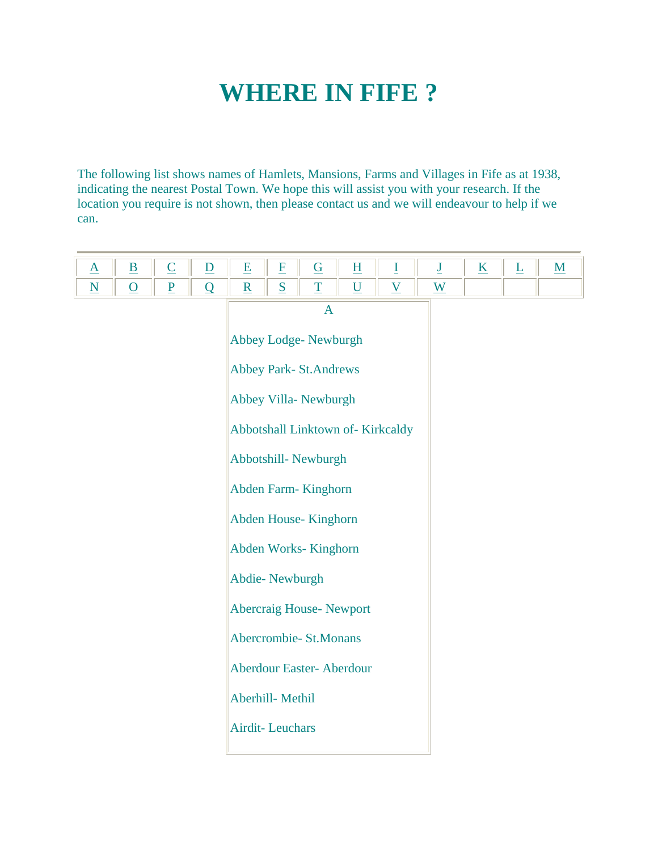## **WHERE IN FIFE ?**

The following list shows names of Hamlets, Mansions, Farms and Villages in Fife as at 1938, indicating the nearest Postal Town. We hope this will assist you with your research. If the location you require is not shown, then please contact us and we will endeavour to help if we can.

|  |  | and the state of the state of the |  | $\sim$ | $\sim$ |  |  |
|--|--|-----------------------------------|--|--------|--------|--|--|
|  |  |                                   |  |        |        |  |  |

| A                                |
|----------------------------------|
| Abbey Lodge- Newburgh            |
| <b>Abbey Park-St.Andrews</b>     |
| Abbey Villa- Newburgh            |
| Abbotshall Linktown of-Kirkcaldy |
| Abbotshill-Newburgh              |
| Abden Farm-Kinghorn              |
| Abden House-Kinghorn             |
| Abden Works-Kinghorn             |
| Abdie-Newburgh                   |
| <b>Abercraig House- Newport</b>  |
| Abercrombie- St.Monans           |
| <b>Aberdour Easter-Aberdour</b>  |
| Aberhill-Methil                  |
| <b>Airdit-Leuchars</b>           |
|                                  |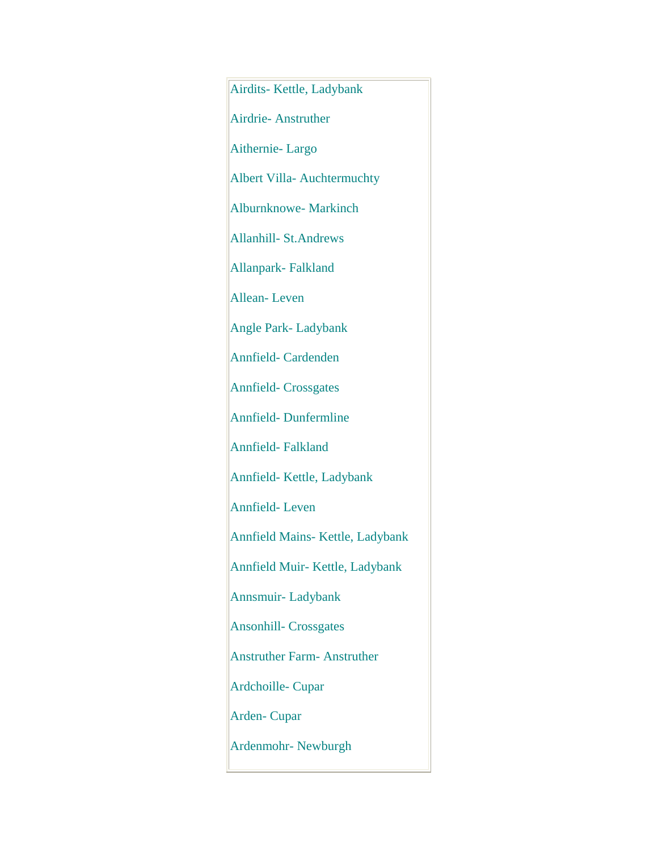Airdits- Kettle, Ladybank Airdrie- Anstruther Aithernie- Largo Albert Villa- Auchtermuchty Alburnknowe- Markinch Allanhill- St.Andrews Allanpark- Falkland Allean- Leven Angle Park- Ladybank Annfield- Cardenden Annfield- Crossgates Annfield- Dunfermline Annfield- Falkland Annfield- Kettle, Ladybank Annfield- Leven Annfield Mains- Kettle, Ladybank Annfield Muir- Kettle, Ladybank Annsmuir- Ladybank Ansonhill- Crossgates Anstruther Farm- Anstruther Ardchoille- Cupar Arden- Cupar Ardenmohr- Newburgh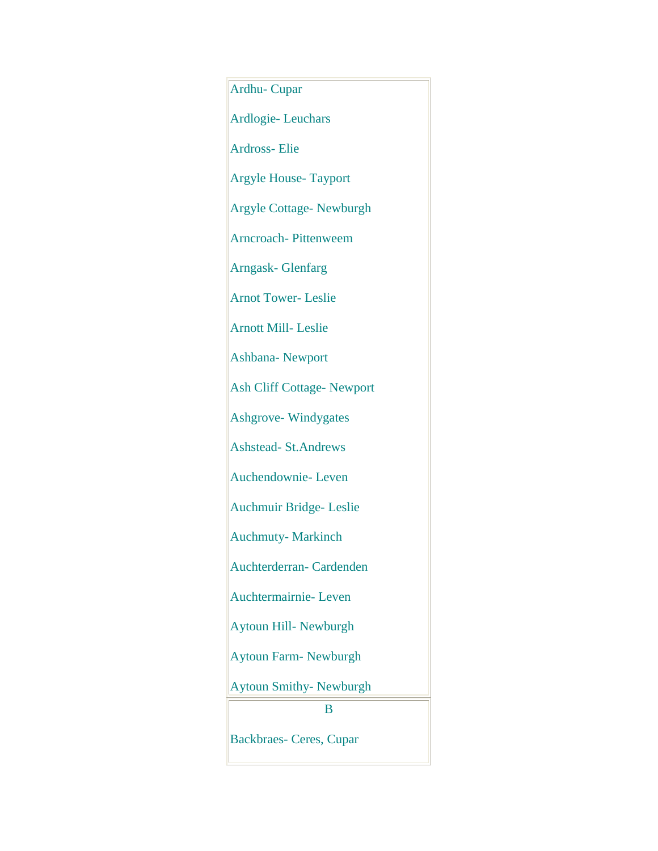Ardhu- Cupar Ardlogie- Leuchars Ardross- Elie Argyle House- Tayport Argyle Cottage- Newburgh Arncroach- Pittenweem Arngask- Glenfarg Arnot Tower- Leslie Arnott Mill- Leslie Ashbana- Newport Ash Cliff Cottage- Newport Ashgrove- Windygates Ashstead- St.Andrews Auchendownie- Leven Auchmuir Bridge- Leslie Auchmuty- Markinch Auchterderran- Cardenden Auchtermairnie- Leven Aytoun Hill- Newburgh Aytoun Farm- Newburgh Aytoun Smithy- Newburgh B Backbraes- Ceres, Cupar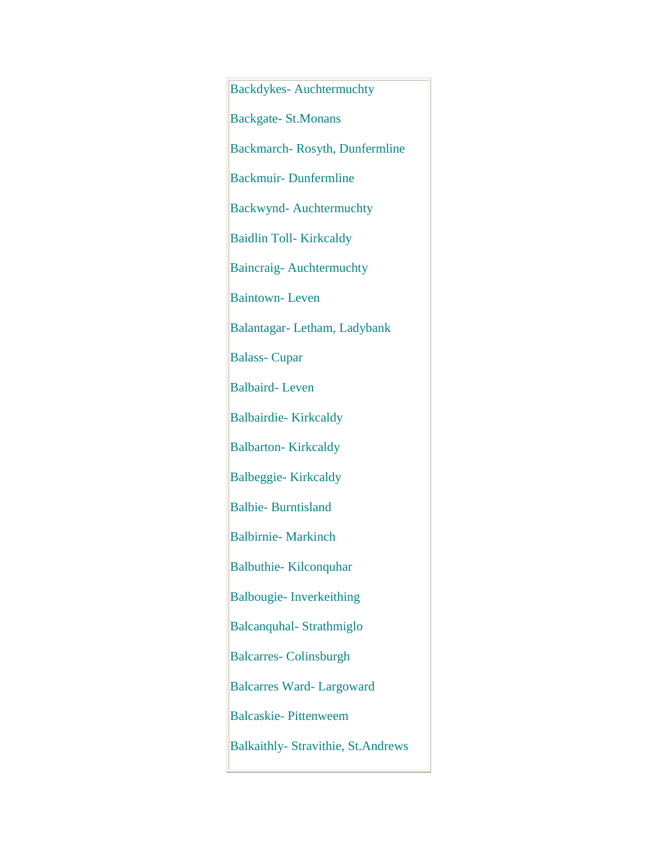Backdykes- Auchtermuchty Backgate- St.Monans Backmarch- Rosyth, Dunfermline Backmuir- Dunfermline Backwynd- Auchtermuchty Baidlin Toll- Kirkcaldy Baincraig- Auchtermuchty Baintown- Leven Balantagar- Letham, Ladybank Balass- Cupar Balbaird- Leven Balbairdie- Kirkcaldy Balbarton- Kirkcaldy Balbeggie- Kirkcaldy Balbie- Burntisland Balbirnie- Markinch Balbuthie- Kilconquhar Balbougie- Inverkeithing Balcanquhal- Strathmiglo Balcarres- Colinsburgh Balcarres Ward- Largoward Balcaskie- Pittenweem Balkaithly- Stravithie, St.Andrews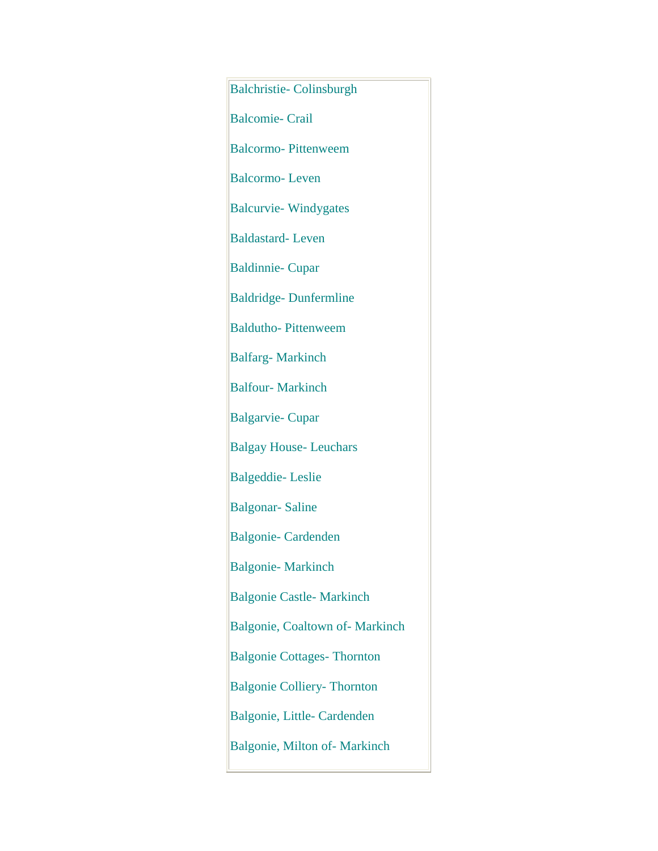Balchristie- Colinsburgh Balcomie- Crail Balcormo- Pittenweem Balcormo- Leven Balcurvie- Windygates Baldastard- Leven Baldinnie- Cupar Baldridge- Dunfermline Baldutho- Pittenweem Balfarg- Markinch Balfour- Markinch Balgarvie- Cupar Balgay House- Leuchars Balgeddie- Leslie Balgonar- Saline Balgonie- Cardenden Balgonie- Markinch Balgonie Castle- Markinch Balgonie, Coaltown of- Markinch Balgonie Cottages- Thornton Balgonie Colliery- Thornton Balgonie, Little- Cardenden Balgonie, Milton of- Markinch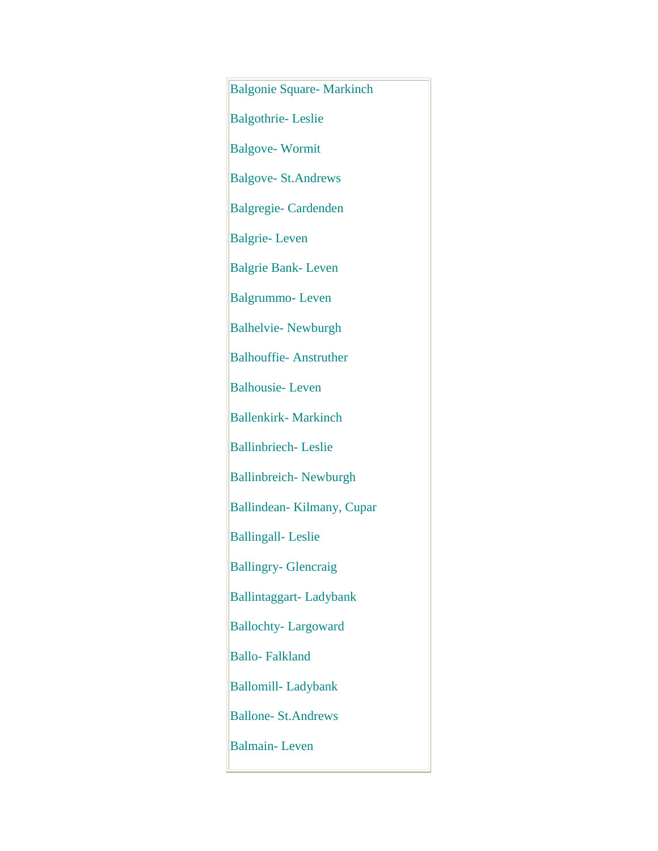Balgonie Square- Markinch Balgothrie- Leslie Balgove- Wormit Balgove- St.Andrews Balgregie- Cardenden Balgrie- Leven Balgrie Bank- Leven Balgrummo- Leven Balhelvie- Newburgh Balhouffie- Anstruther Balhousie- Leven Ballenkirk- Markinch Ballinbriech- Leslie Ballinbreich- Newburgh Ballindean- Kilmany, Cupar Ballingall- Leslie Ballingry- Glencraig Ballintaggart- Ladybank Ballochty- Largoward Ballo- Falkland Ballomill- Ladybank Ballone- St.Andrews Balmain- Leven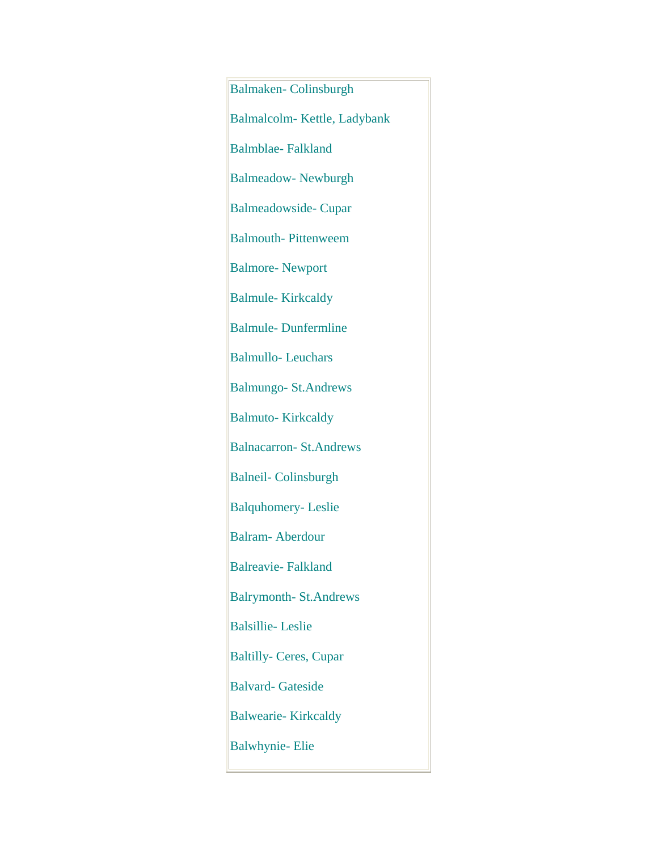Balmaken- Colinsburgh Balmalcolm- Kettle, Ladybank Balmblae- Falkland Balmeadow- Newburgh Balmeadowside- Cupar Balmouth- Pittenweem Balmore- Newport Balmule- Kirkcaldy Balmule- Dunfermline Balmullo- Leuchars Balmungo- St.Andrews Balmuto- Kirkcaldy Balnacarron- St.Andrews Balneil- Colinsburgh Balquhomery- Leslie Balram- Aberdour Balreavie- Falkland Balrymonth- St.Andrews Balsillie- Leslie Baltilly- Ceres, Cupar Balvard- Gateside Balwearie- Kirkcaldy Balwhynie- Elie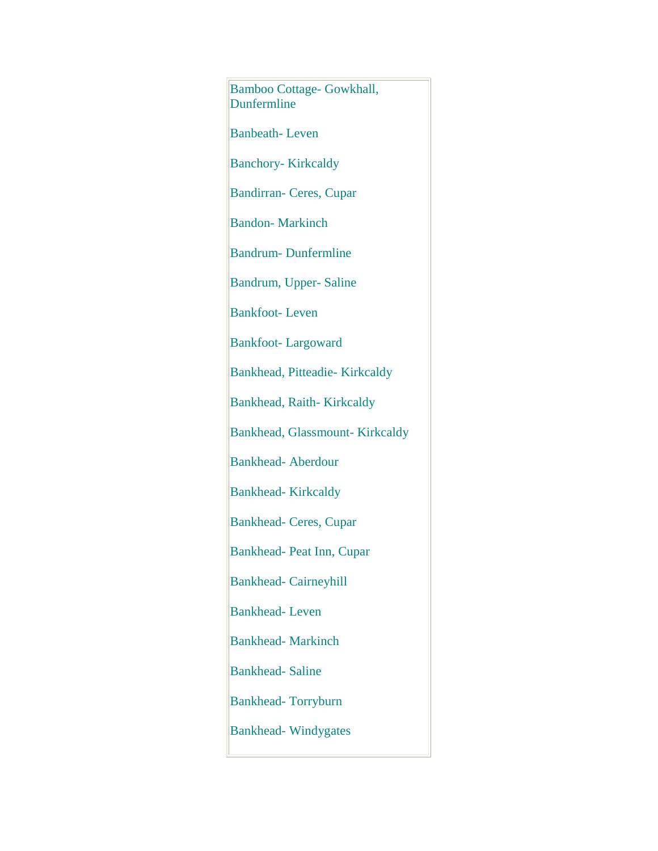Bamboo Cottage- Gowkhall, Dunfermline Banbeath- Leven Banchory- Kirkcaldy Bandirran- Ceres, Cupar Bandon- Markinch Bandrum- Dunfermline Bandrum, Upper- Saline Bankfoot- Leven Bankfoot- Largoward Bankhead, Pitteadie- Kirkcaldy Bankhead, Raith- Kirkcaldy Bankhead, Glassmount- Kirkcaldy Bankhead- Aberdour Bankhead- Kirkcaldy Bankhead- Ceres, Cupar Bankhead- Peat Inn, Cupar Bankhead- Cairneyhill Bankhead- Leven Bankhead- Markinch Bankhead- Saline Bankhead- Torryburn Bankhead- Windygates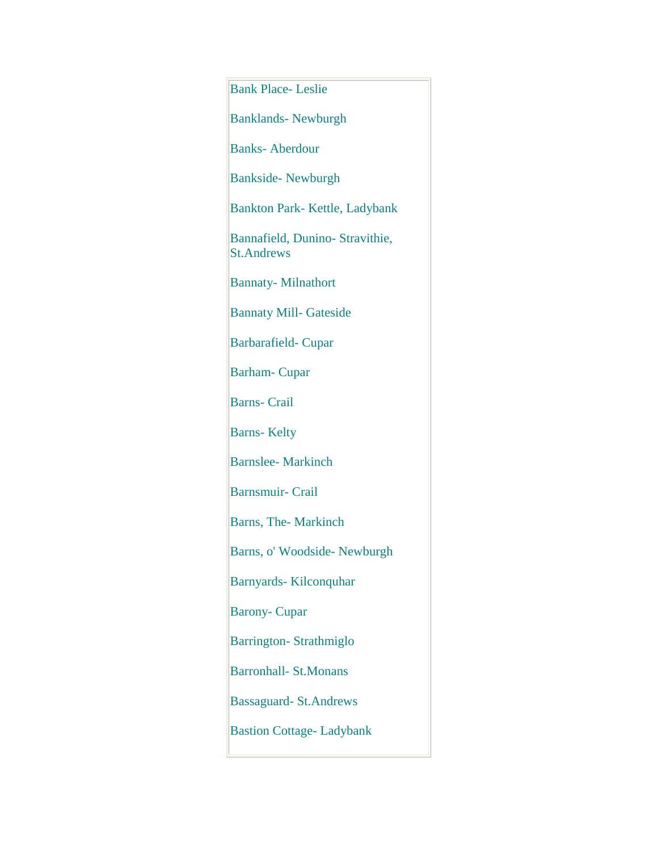| <b>Bank Place-Leslie</b>                             |
|------------------------------------------------------|
| <b>Banklands- Newburgh</b>                           |
| <b>Banks-Aberdour</b>                                |
| <b>Bankside-Newburgh</b>                             |
| Bankton Park-Kettle, Ladybank                        |
| Bannafield, Dunino- Stravithie,<br><b>St.Andrews</b> |
| <b>Bannaty-Milnathort</b>                            |
| <b>Bannaty Mill- Gateside</b>                        |
| <b>Barbarafield-Cupar</b>                            |
| <b>Barham-Cupar</b>                                  |
| <b>Barns-Crail</b>                                   |
| <b>Barns-Kelty</b>                                   |
| <b>Barnslee-Markinch</b>                             |
| <b>Barnsmuir- Crail</b>                              |
| Barns, The-Markinch                                  |
| Barns, o' Woodside- Newburgh                         |
| Barnyards-Kilconquhar                                |
| <b>Barony-Cupar</b>                                  |
| <b>Barrington-Strathmiglo</b>                        |
| <b>Barronhall-St.Monans</b>                          |
| <b>Bassaguard-St.Andrews</b>                         |
| <b>Bastion Cottage-Ladybank</b>                      |
|                                                      |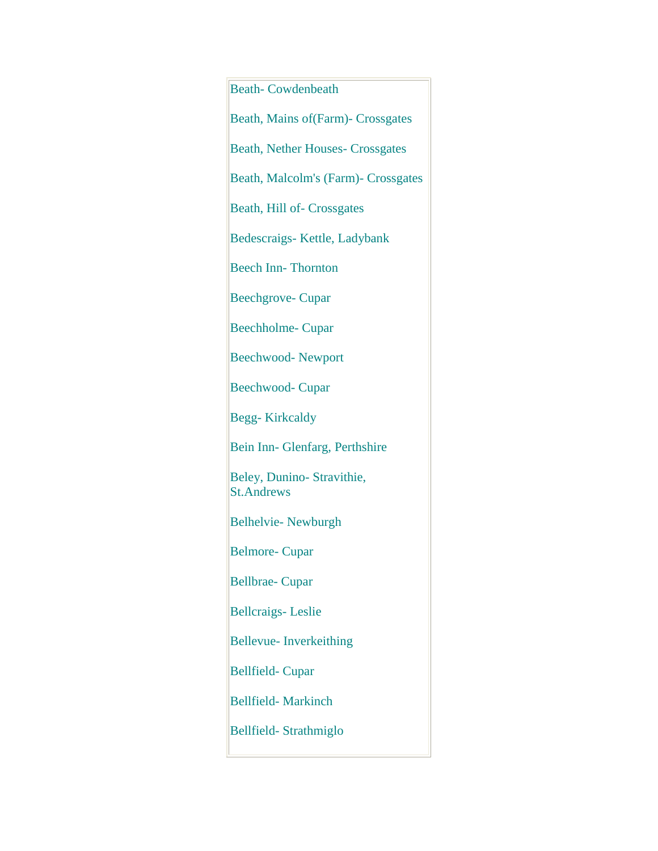| <b>Beath-Cowdenbeath</b>                        |
|-------------------------------------------------|
| Beath, Mains of (Farm) - Crossgates             |
| <b>Beath, Nether Houses- Crossgates</b>         |
| Beath, Malcolm's (Farm)- Crossgates             |
| Beath, Hill of-Crossgates                       |
| Bedescraigs-Kettle, Ladybank                    |
| <b>Beech Inn-Thornton</b>                       |
| <b>Beechgrove-Cupar</b>                         |
| <b>Beechholme-Cupar</b>                         |
| <b>Beechwood-Newport</b>                        |
| <b>Beechwood- Cupar</b>                         |
| <b>Begg-Kirkcaldy</b>                           |
| Bein Inn- Glenfarg, Perthshire                  |
| Beley, Dunino- Stravithie,<br><b>St.Andrews</b> |
| <b>Belhelvie- Newburgh</b>                      |
| <b>Belmore-Cupar</b>                            |
| <b>Bellbrae-Cupar</b>                           |
| <b>Bellcraigs-Leslie</b>                        |
| Bellevue- Inverkeithing                         |
| <b>Bellfield-Cupar</b>                          |
| <b>Bellfield-Markinch</b>                       |
| Bellfield-Strathmiglo                           |
|                                                 |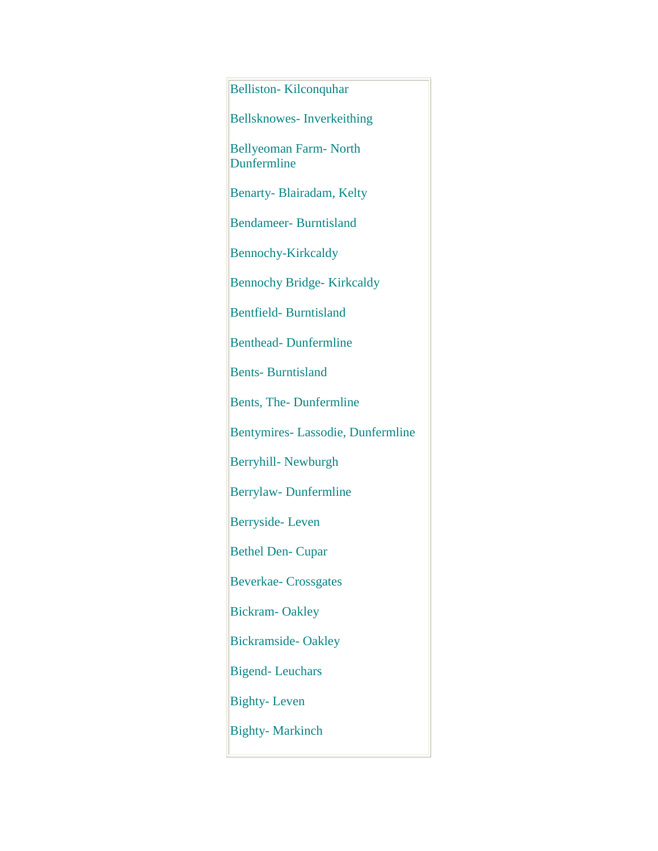| <b>Belliston-Kilconquhar</b>                |
|---------------------------------------------|
| <b>Bellsknowes-Inverkeithing</b>            |
| <b>Bellyeoman Farm-North</b><br>Dunfermline |
| Benarty-Blairadam, Kelty                    |
| <b>Bendameer-Burntisland</b>                |
| <b>Bennochy-Kirkcaldy</b>                   |
| <b>Bennochy Bridge-Kirkcaldy</b>            |
| <b>Bentfield-Burntisland</b>                |
| <b>Benthead-Dunfermline</b>                 |
| <b>Bents-Burntisland</b>                    |
| Bents, The-Dunfermline                      |
| Bentymires-Lassodie, Dunfermline            |
| Berryhill- Newburgh                         |
| Berrylaw-Dunfermline                        |
| Berryside-Leven                             |
| <b>Bethel Den- Cupar</b>                    |
| <b>Beverkae-Crossgates</b>                  |
| <b>Bickram-Oakley</b>                       |
| <b>Bickramside-Oakley</b>                   |
| <b>Bigend-Leuchars</b>                      |
| <b>Bighty-Leven</b>                         |
| <b>Bighty-Markinch</b>                      |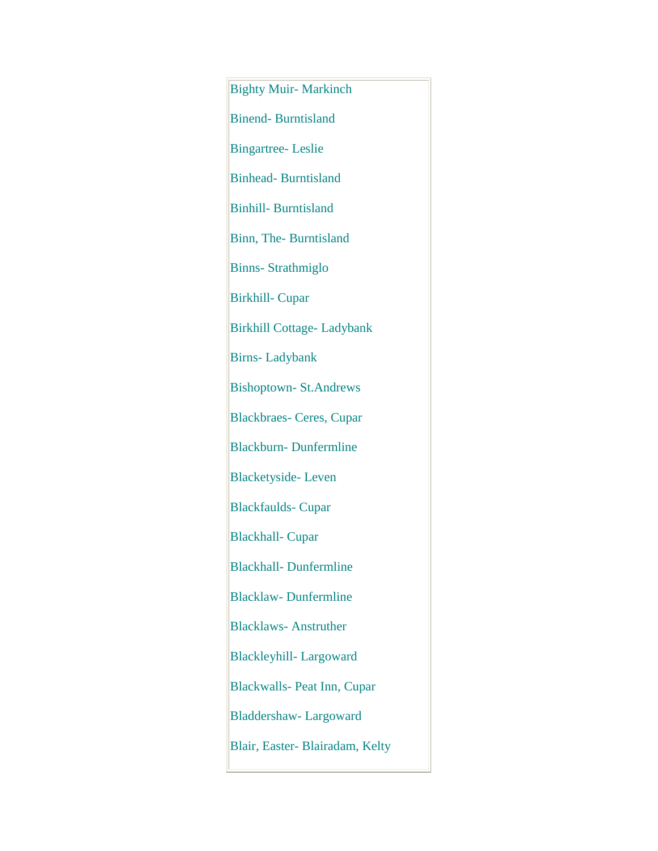Bighty Muir- Markinch Binend- Burntisland Bingartree- Leslie Binhead- Burntisland Binhill- Burntisland Binn, The- Burntisland Binns- Strathmiglo Birkhill- Cupar Birkhill Cottage- Ladybank Birns- Ladybank Bishoptown- St.Andrews Blackbraes- Ceres, Cupar Blackburn- Dunfermline Blacketyside- Leven Blackfaulds- Cupar Blackhall- Cupar Blackhall- Dunfermline Blacklaw- Dunfermline Blacklaws- Anstruther Blackleyhill- Largoward Blackwalls- Peat Inn, Cupar Bladdershaw- Largoward Blair, Easter- Blairadam, Kelty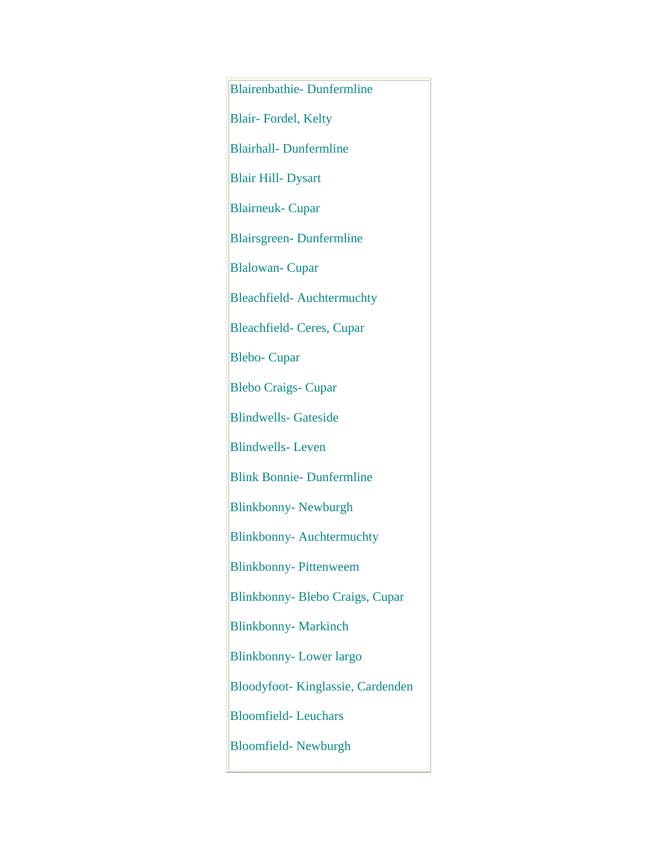Blairenbathie- Dunfermline Blair- Fordel, Kelty Blairhall- Dunfermline Blair Hill- Dysart Blairneuk- Cupar Blairsgreen- Dunfermline Blalowan- Cupar Bleachfield- Auchtermuchty Bleachfield- Ceres, Cupar Blebo- Cupar Blebo Craigs- Cupar Blindwells- Gateside Blindwells- Leven Blink Bonnie- Dunfermline Blinkbonny- Newburgh Blinkbonny- Auchtermuchty Blinkbonny- Pittenweem Blinkbonny- Blebo Craigs, Cupar Blinkbonny- Markinch Blinkbonny- Lower largo Bloodyfoot- Kinglassie, Cardenden Bloomfield- Leuchars Bloomfield- Newburgh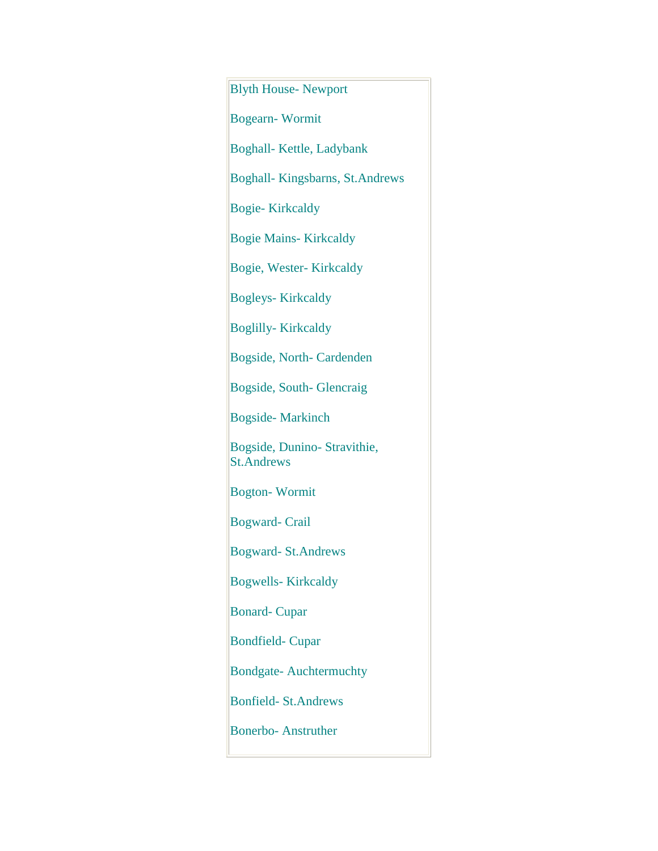Blyth House- Newport Bogearn- Wormit Boghall- Kettle, Ladybank Boghall- Kingsbarns, St.Andrews Bogie- Kirkcaldy Bogie Mains- Kirkcaldy Bogie, Wester- Kirkcaldy Bogleys- Kirkcaldy Boglilly- Kirkcaldy Bogside, North- Cardenden Bogside, South- Glencraig Bogside- Markinch Bogside, Dunino- Stravithie, St.Andrews Bogton- Wormit Bogward- Crail Bogward- St.Andrews Bogwells- Kirkcaldy Bonard- Cupar Bondfield- Cupar Bondgate- Auchtermuchty Bonfield- St.Andrews Bonerbo- Anstruther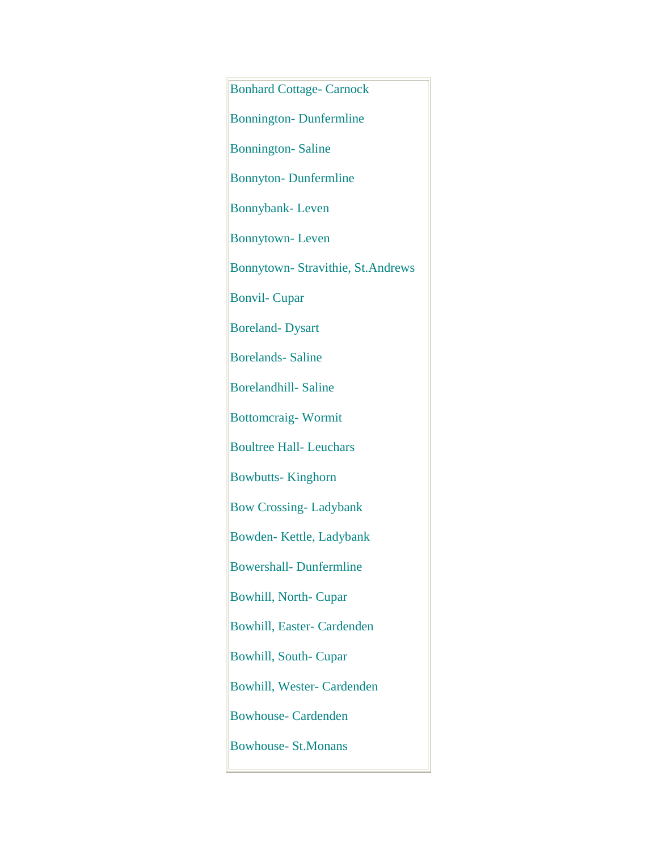Bonhard Cottage- Carnock Bonnington- Dunfermline Bonnington- Saline Bonnyton- Dunfermline Bonnybank- Leven Bonnytown- Leven Bonnytown- Stravithie, St.Andrews Bonvil- Cupar Boreland- Dysart Borelands- Saline Borelandhill- Saline Bottomcraig- Wormit Boultree Hall- Leuchars Bowbutts- Kinghorn Bow Crossing- Ladybank Bowden- Kettle, Ladybank Bowershall- Dunfermline Bowhill, North- Cupar Bowhill, Easter- Cardenden Bowhill, South- Cupar Bowhill, Wester- Cardenden Bowhouse- Cardenden Bowhouse- St.Monans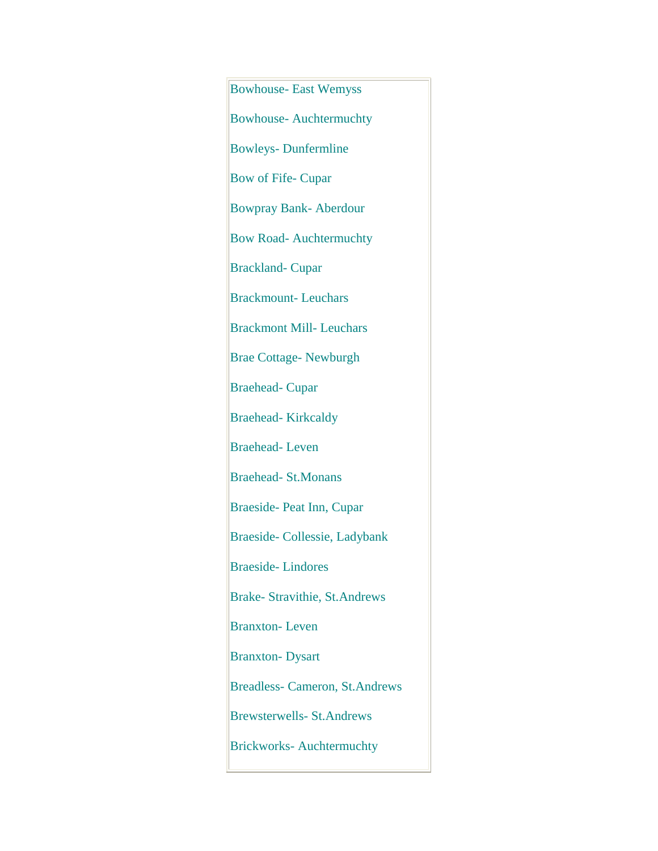Bowhouse- East Wemyss Bowhouse- Auchtermuchty Bowleys- Dunfermline Bow of Fife- Cupar Bowpray Bank- Aberdour Bow Road- Auchtermuchty Brackland- Cupar Brackmount- Leuchars Brackmont Mill- Leuchars Brae Cottage- Newburgh Braehead- Cupar Braehead- Kirkcaldy Braehead- Leven Braehead- St.Monans Braeside- Peat Inn, Cupar Braeside- Collessie, Ladybank Braeside- Lindores Brake- Stravithie, St.Andrews Branxton- Leven Branxton- Dysart Breadless- Cameron, St.Andrews Brewsterwells- St.Andrews Brickworks- Auchtermuchty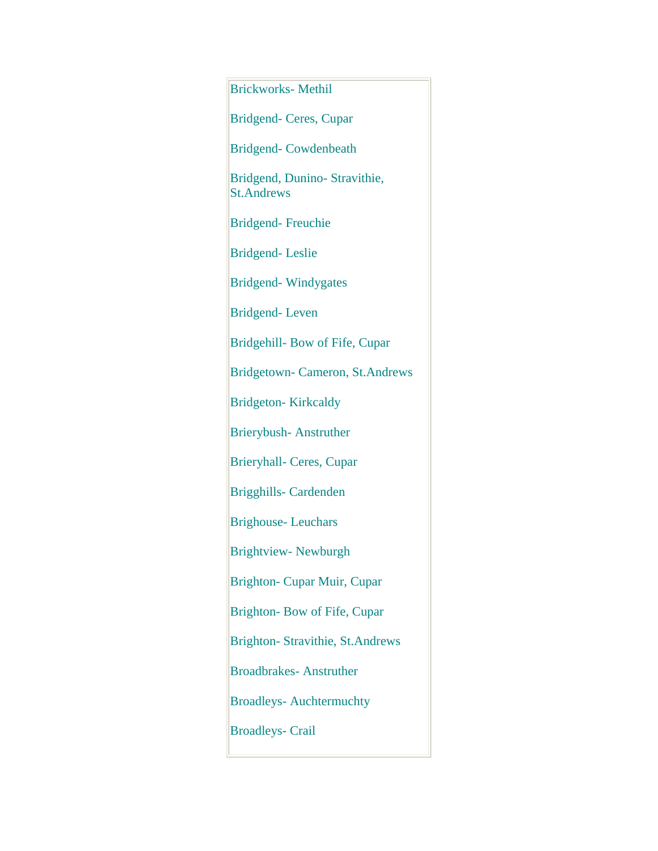| <b>Brickworks-Methil</b>                           |
|----------------------------------------------------|
| Bridgend- Ceres, Cupar                             |
| <b>Bridgend-Cowdenbeath</b>                        |
| Bridgend, Dunino- Stravithie,<br><b>St.Andrews</b> |
| <b>Bridgend-Freuchie</b>                           |
| <b>Bridgend-Leslie</b>                             |
| <b>Bridgend-Windygates</b>                         |
| <b>Bridgend-Leven</b>                              |
| Bridgehill- Bow of Fife, Cupar                     |
| Bridgetown- Cameron, St.Andrews                    |
| <b>Bridgeton-Kirkcaldy</b>                         |
| <b>Brierybush-Anstruther</b>                       |
| <b>Brieryhall- Ceres, Cupar</b>                    |
| <b>Brigghills- Cardenden</b>                       |
| <b>Brighouse-Leuchars</b>                          |
| <b>Brightview-Newburgh</b>                         |
| Brighton- Cupar Muir, Cupar                        |
| Brighton-Bow of Fife, Cupar                        |
| Brighton- Stravithie, St.Andrews                   |
| <b>Broadbrakes-Anstruther</b>                      |
| <b>Broadleys-Auchtermuchty</b>                     |
| <b>Broadleys- Crail</b>                            |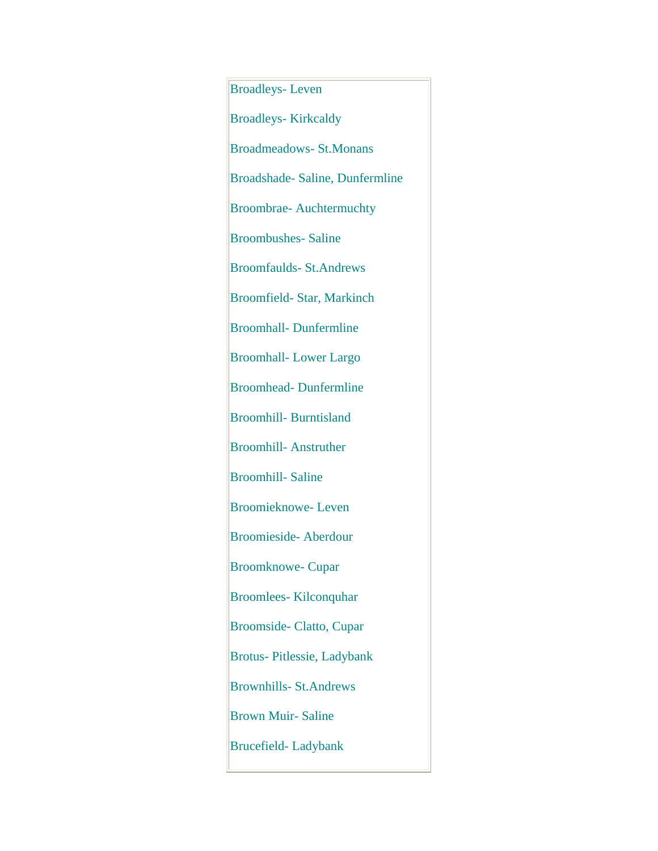Broadleys- Leven Broadleys- Kirkcaldy Broadmeadows- St.Monans Broadshade- Saline, Dunfermline Broombrae- Auchtermuchty Broombushes- Saline Broomfaulds- St.Andrews Broomfield- Star, Markinch Broomhall- Dunfermline Broomhall- Lower Largo Broomhead- Dunfermline Broomhill- Burntisland Broomhill- Anstruther Broomhill- Saline Broomieknowe- Leven Broomieside- Aberdour Broomknowe- Cupar Broomlees- Kilconquhar Broomside- Clatto, Cupar Brotus- Pitlessie, Ladybank Brownhills- St.Andrews Brown Muir- Saline Brucefield- Ladybank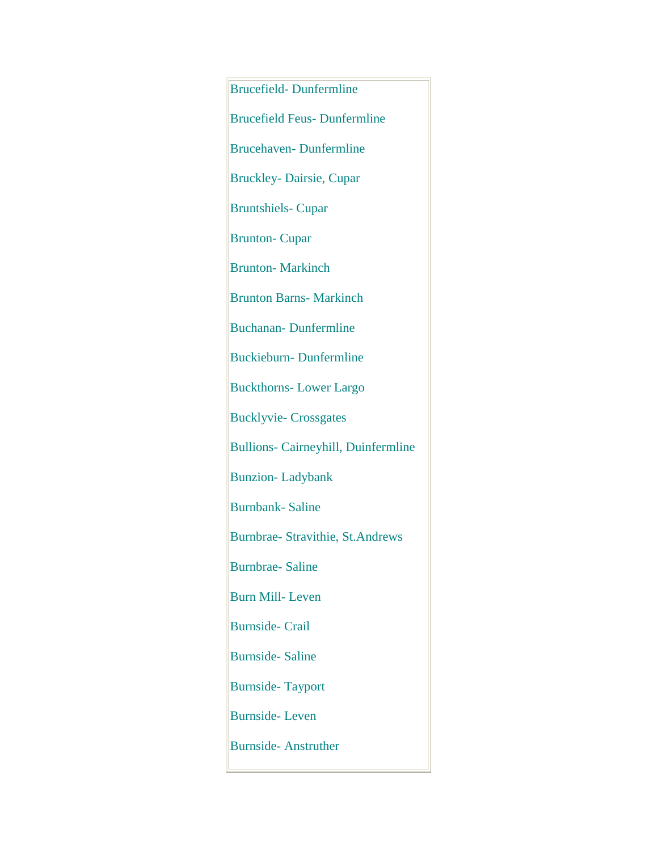Brucefield- Dunfermline Brucefield Feus- Dunfermline Brucehaven- Dunfermline Bruckley- Dairsie, Cupar Bruntshiels- Cupar Brunton- Cupar Brunton- Markinch Brunton Barns- Markinch Buchanan- Dunfermline Buckieburn- Dunfermline Buckthorns- Lower Largo Bucklyvie- Crossgates Bullions- Cairneyhill, Duinfermline Bunzion- Ladybank Burnbank- Saline Burnbrae- Stravithie, St.Andrews Burnbrae- Saline Burn Mill- Leven Burnside- Crail Burnside- Saline Burnside- Tayport Burnside- Leven Burnside- Anstruther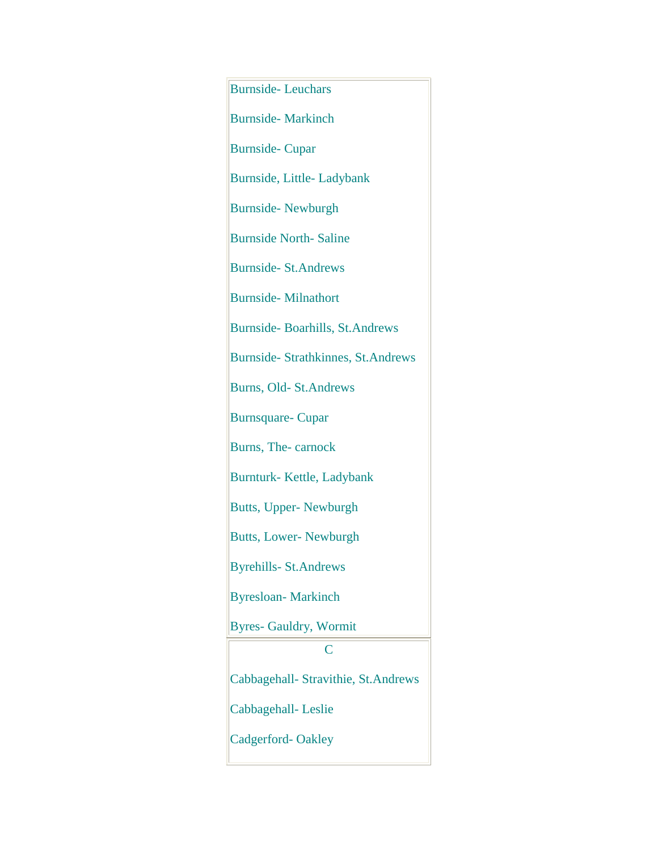| <b>Burnside-Leuchars</b>            |
|-------------------------------------|
| <b>Burnside-Markinch</b>            |
| <b>Burnside-Cupar</b>               |
| Burnside, Little-Ladybank           |
| <b>Burnside-Newburgh</b>            |
| <b>Burnside North-Saline</b>        |
| <b>Burnside-St.Andrews</b>          |
| <b>Burnside-Milnathort</b>          |
| Burnside-Boarhills, St.Andrews      |
| Burnside- Strathkinnes, St.Andrews  |
| Burns, Old- St. Andrews             |
| <b>Burnsquare-Cupar</b>             |
| Burns, The-carnock                  |
| Burnturk-Kettle, Ladybank           |
| <b>Butts, Upper-Newburgh</b>        |
| <b>Butts, Lower-Newburgh</b>        |
| <b>Byrehills-St.Andrews</b>         |
| <b>Byresloan-Markinch</b>           |
| <b>Byres- Gauldry, Wormit</b>       |
| C                                   |
| Cabbagehall- Stravithie, St.Andrews |
| Cabbagehall-Leslie                  |
| Cadgerford-Oakley                   |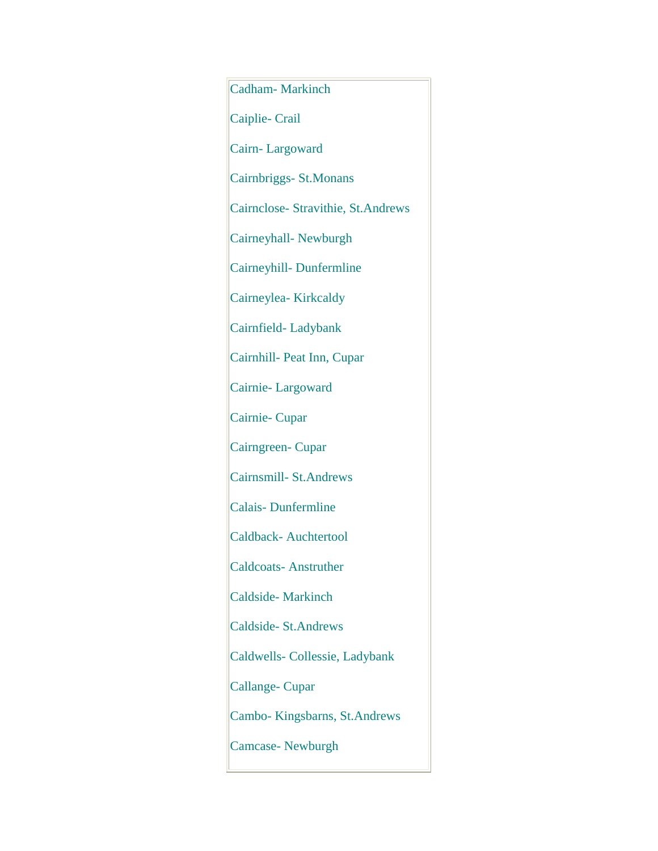Cadham- Markinch Caiplie- Crail Cairn- Largoward Cairnbriggs- St.Monans Cairnclose- Stravithie, St.Andrews Cairneyhall- Newburgh Cairneyhill- Dunfermline Cairneylea- Kirkcaldy Cairnfield- Ladybank Cairnhill- Peat Inn, Cupar Cairnie- Largoward Cairnie- Cupar Cairngreen- Cupar Cairnsmill- St.Andrews Calais- Dunfermline Caldback- Auchtertool Caldcoats- Anstruther Caldside- Markinch Caldside- St.Andrews Caldwells- Collessie, Ladybank Callange- Cupar Cambo- Kingsbarns, St.Andrews Camcase- Newburgh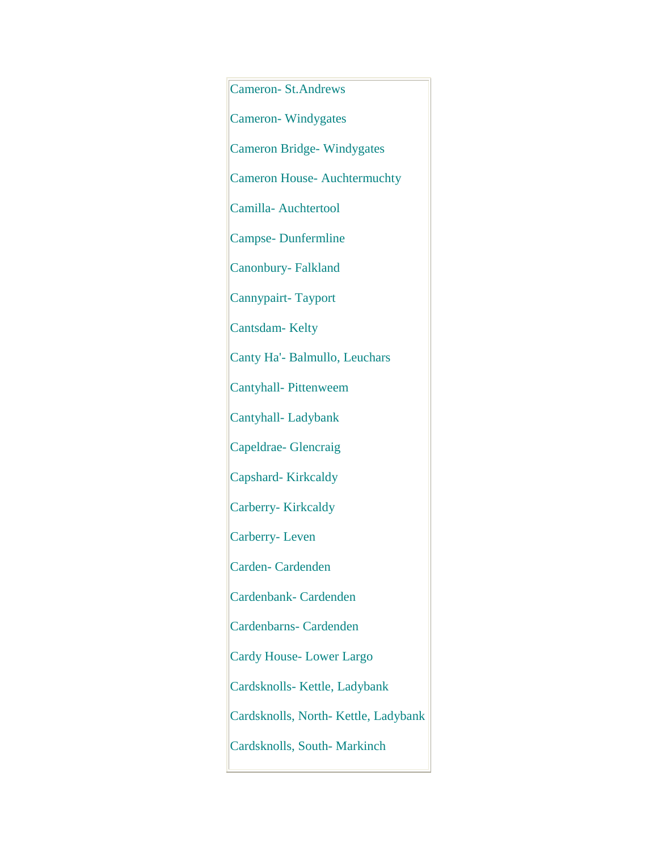Cameron- St.Andrews Cameron- Windygates Cameron Bridge- Windygates Cameron House- Auchtermuchty Camilla- Auchtertool Campse- Dunfermline Canonbury- Falkland Cannypairt- Tayport Cantsdam- Kelty Canty Ha'- Balmullo, Leuchars Cantyhall- Pittenweem Cantyhall- Ladybank Capeldrae- Glencraig Capshard- Kirkcaldy Carberry- Kirkcaldy Carberry- Leven Carden- Cardenden Cardenbank- Cardenden Cardenbarns- Cardenden Cardy House- Lower Largo Cardsknolls- Kettle, Ladybank Cardsknolls, North- Kettle, Ladybank Cardsknolls, South- Markinch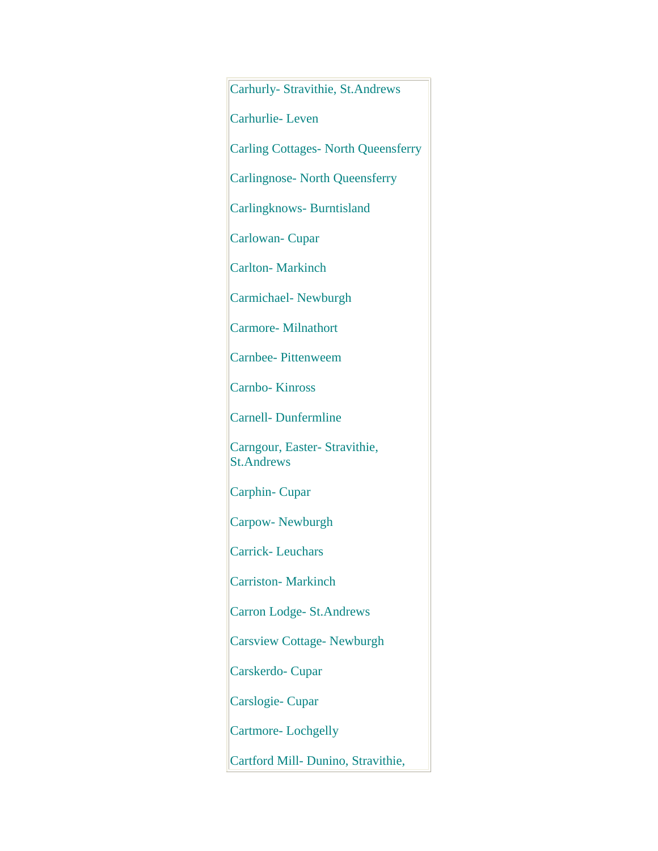Carhurly- Stravithie, St.Andrews

Carhurlie- Leven

Carling Cottages- North Queensferry

Carlingnose- North Queensferry

Carlingknows- Burntisland

Carlowan- Cupar

Carlton- Markinch

Carmichael- Newburgh

Carmore- Milnathort

Carnbee- Pittenweem

Carnbo- Kinross

Carnell- Dunfermline

Carngour, Easter- Stravithie, St.Andrews

Carphin- Cupar

Carpow- Newburgh

Carrick- Leuchars

Carriston- Markinch

Carron Lodge- St.Andrews

Carsview Cottage- Newburgh

Carskerdo- Cupar

Carslogie- Cupar

Cartmore- Lochgelly

Cartford Mill- Dunino, Stravithie,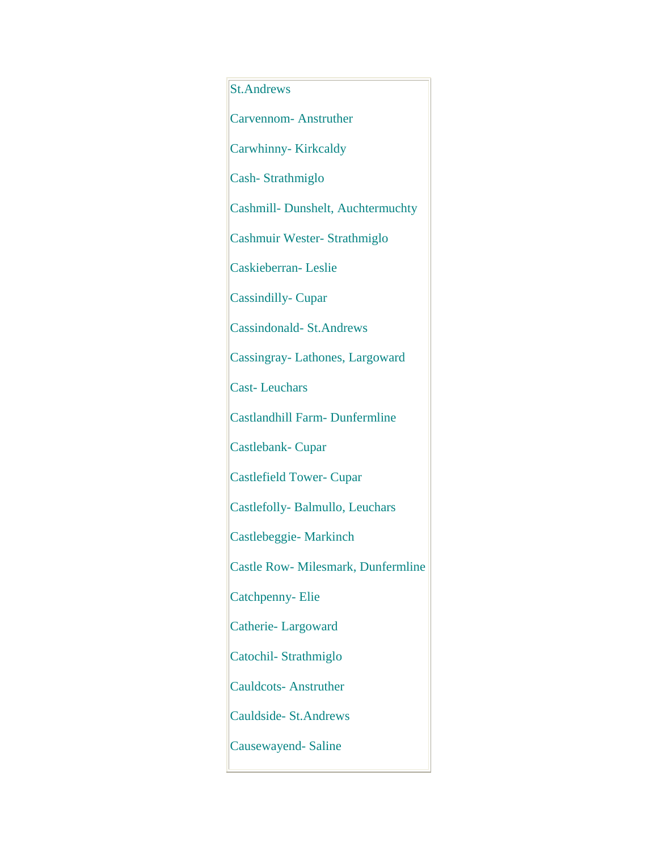## St.Andrews

Carvennom- Anstruther

Carwhinny- Kirkcaldy

Cash- Strathmiglo

Cashmill- Dunshelt, Auchtermuchty

Cashmuir Wester- Strathmiglo

Caskieberran- Leslie

Cassindilly- Cupar

Cassindonald- St.Andrews

Cassingray- Lathones, Largoward

Cast- Leuchars

Castlandhill Farm- Dunfermline

Castlebank- Cupar

Castlefield Tower- Cupar

Castlefolly- Balmullo, Leuchars

Castlebeggie- Markinch

Castle Row- Milesmark, Dunfermline

Catchpenny- Elie

Catherie- Largoward

Catochil- Strathmiglo

Cauldcots- Anstruther

Cauldside- St.Andrews

Causewayend- Saline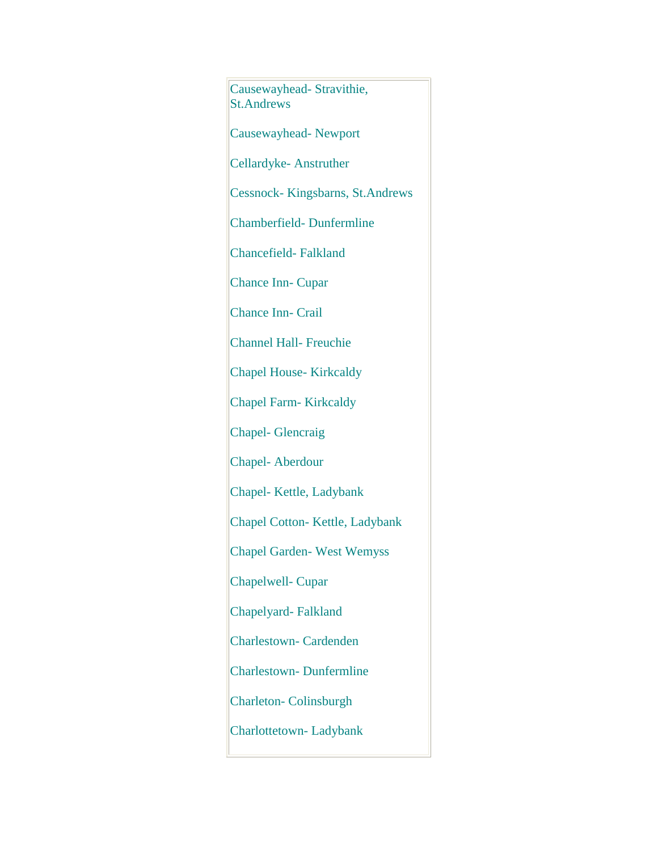Causewayhead- Stravithie, St.Andrews Causewayhead- Newport Cellardyke- Anstruther Cessnock- Kingsbarns, St.Andrews Chamberfield- Dunfermline Chancefield- Falkland Chance Inn- Cupar Chance Inn- Crail Channel Hall- Freuchie Chapel House- Kirkcaldy Chapel Farm- Kirkcaldy Chapel- Glencraig Chapel- Aberdour Chapel- Kettle, Ladybank Chapel Cotton- Kettle, Ladybank Chapel Garden- West Wemyss Chapelwell- Cupar Chapelyard- Falkland Charlestown- Cardenden Charlestown- Dunfermline Charleton- Colinsburgh Charlottetown- Ladybank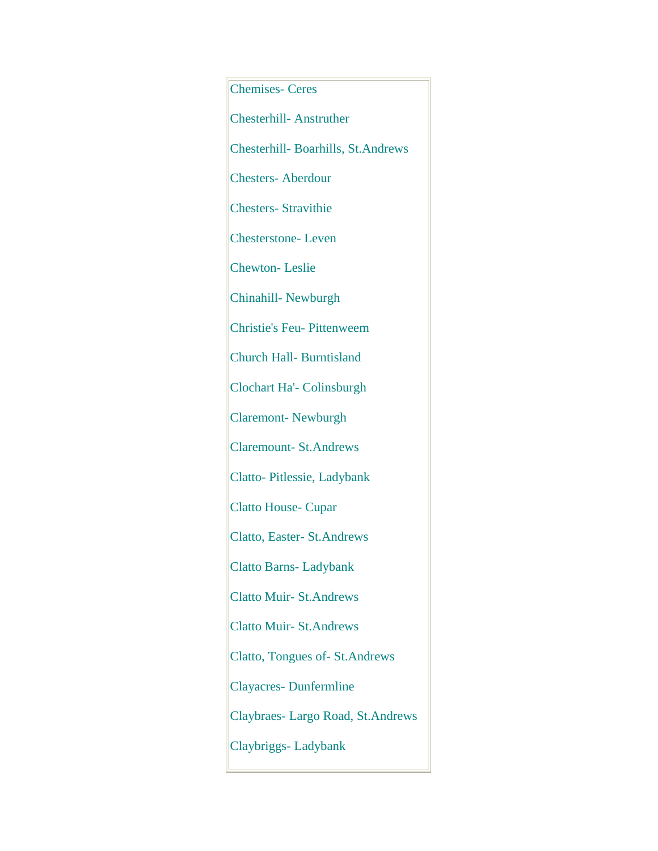Chemises- Ceres Chesterhill- Anstruther Chesterhill- Boarhills, St.Andrews Chesters- Aberdour Chesters- Stravithie Chesterstone- Leven Chewton- Leslie Chinahill- Newburgh Christie's Feu- Pittenweem Church Hall- Burntisland Clochart Ha'- Colinsburgh Claremont- Newburgh Claremount- St.Andrews Clatto- Pitlessie, Ladybank Clatto House- Cupar Clatto, Easter- St.Andrews Clatto Barns- Ladybank Clatto Muir- St.Andrews Clatto Muir- St.Andrews Clatto, Tongues of- St.Andrews Clayacres- Dunfermline Claybraes- Largo Road, St.Andrews Claybriggs- Ladybank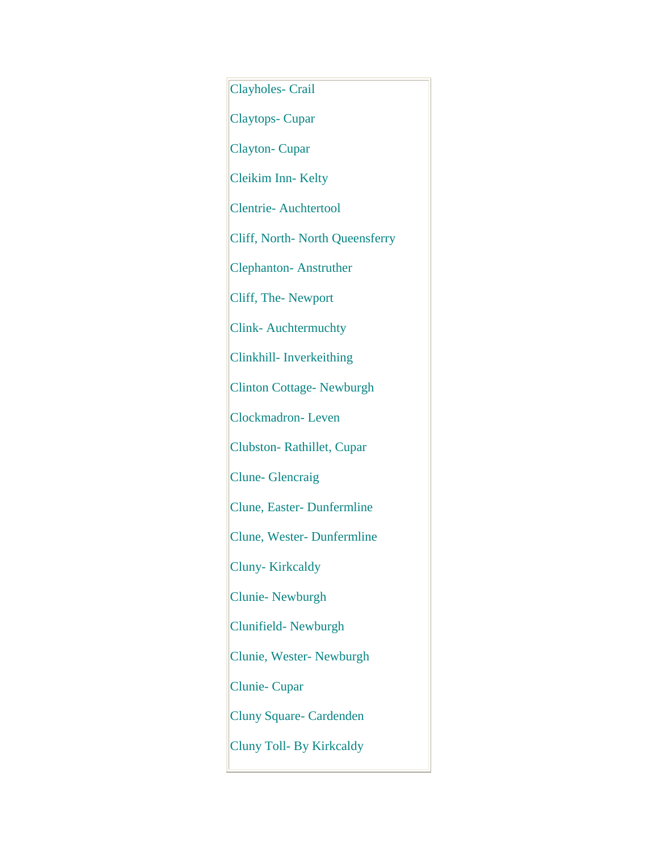Clayholes- Crail Claytops- Cupar Clayton- Cupar Cleikim Inn- Kelty Clentrie- Auchtertool Cliff, North- North Queensferry Clephanton- Anstruther Cliff, The- Newport Clink- Auchtermuchty Clinkhill- Inverkeithing Clinton Cottage- Newburgh Clockmadron- Leven Clubston- Rathillet, Cupar Clune- Glencraig Clune, Easter- Dunfermline Clune, Wester- Dunfermline Cluny- Kirkcaldy Clunie- Newburgh Clunifield- Newburgh Clunie, Wester- Newburgh Clunie- Cupar Cluny Square- Cardenden Cluny Toll- By Kirkcaldy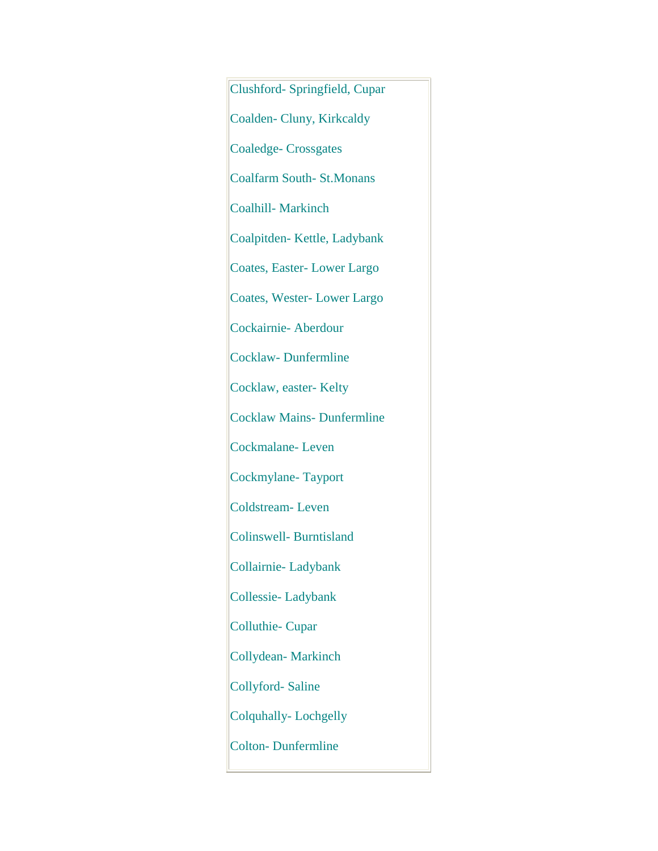Clushford- Springfield, Cupar Coalden- Cluny, Kirkcaldy Coaledge- Crossgates Coalfarm South- St.Monans Coalhill- Markinch Coalpitden- Kettle, Ladybank Coates, Easter- Lower Largo Coates, Wester- Lower Largo Cockairnie- Aberdour Cocklaw- Dunfermline Cocklaw, easter- Kelty Cocklaw Mains- Dunfermline Cockmalane- Leven Cockmylane- Tayport Coldstream- Leven Colinswell- Burntisland Collairnie- Ladybank Collessie- Ladybank Colluthie- Cupar Collydean- Markinch Collyford- Saline Colquhally- Lochgelly Colton- Dunfermline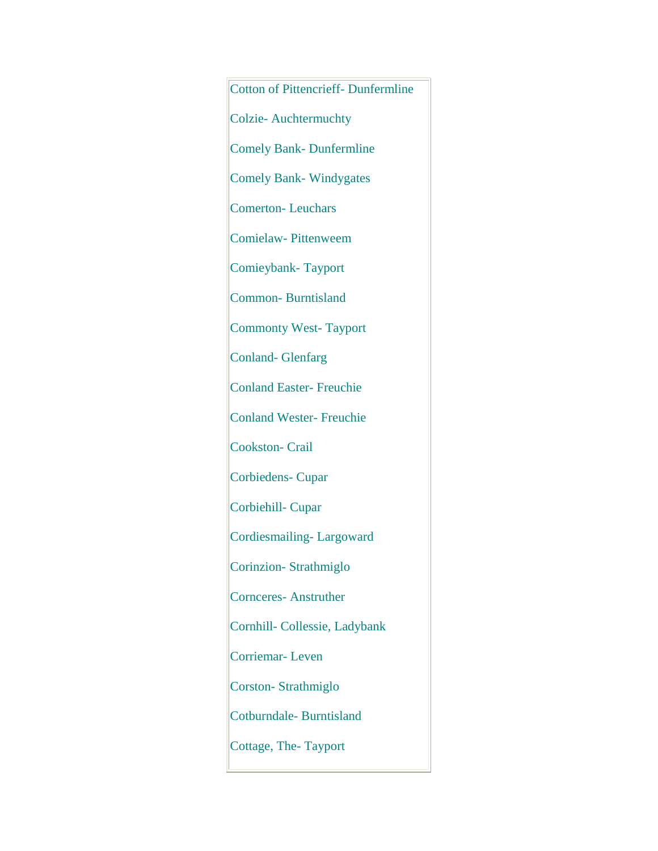Cotton of Pittencrieff- Dunfermline Colzie- Auchtermuchty Comely Bank- Dunfermline Comely Bank- Windygates Comerton- Leuchars Comielaw- Pittenweem Comieybank- Tayport Common- Burntisland Commonty West- Tayport Conland- Glenfarg Conland Easter- Freuchie Conland Wester- Freuchie Cookston- Crail Corbiedens- Cupar Corbiehill- Cupar Cordiesmailing- Largoward Corinzion- Strathmiglo Cornceres- Anstruther Cornhill- Collessie, Ladybank Corriemar- Leven Corston- Strathmiglo Cotburndale- Burntisland Cottage, The- Tayport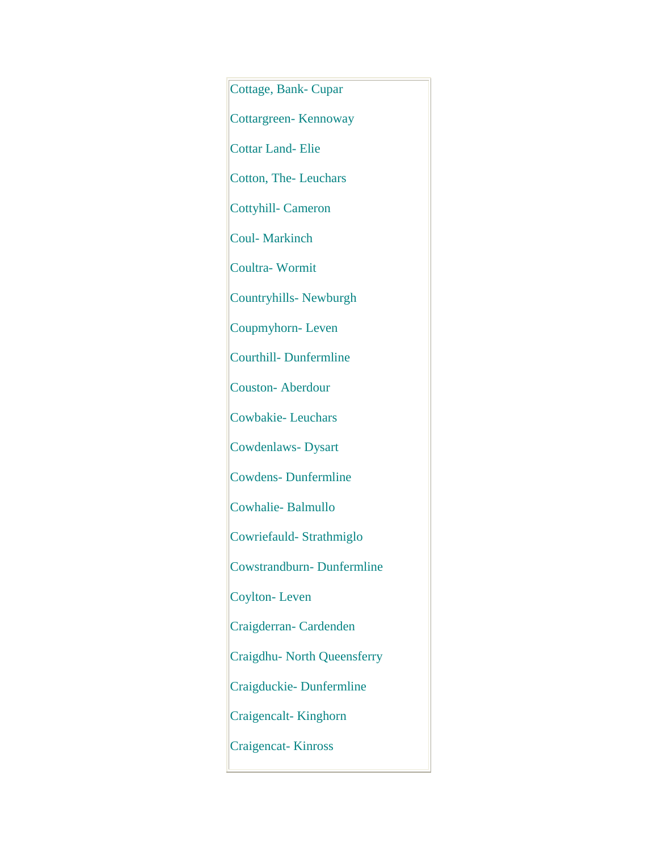Cottage, Bank- Cupar Cottargreen- Kennoway Cottar Land- Elie Cotton, The- Leuchars Cottyhill- Cameron Coul- Markinch Coultra- Wormit Countryhills- Newburgh Coupmyhorn- Leven Courthill- Dunfermline Couston- Aberdour Cowbakie- Leuchars Cowdenlaws- Dysart Cowdens- Dunfermline Cowhalie- Balmullo Cowriefauld- Strathmiglo Cowstrandburn- Dunfermline Coylton- Leven Craigderran- Cardenden Craigdhu- North Queensferry Craigduckie- Dunfermline Craigencalt- Kinghorn Craigencat- Kinross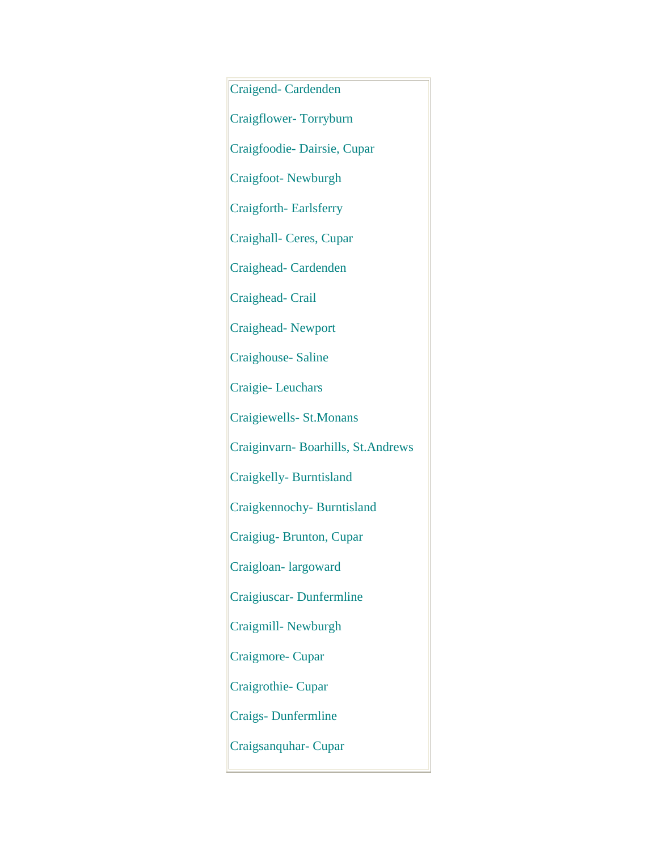Craigend- Cardenden Craigflower- Torryburn Craigfoodie- Dairsie, Cupar Craigfoot- Newburgh Craigforth- Earlsferry Craighall- Ceres, Cupar Craighead- Cardenden Craighead- Crail Craighead- Newport Craighouse- Saline Craigie- Leuchars Craigiewells- St.Monans Craiginvarn- Boarhills, St.Andrews Craigkelly- Burntisland Craigkennochy- Burntisland Craigiug- Brunton, Cupar Craigloan- largoward Craigiuscar- Dunfermline Craigmill- Newburgh Craigmore- Cupar Craigrothie- Cupar Craigs- Dunfermline Craigsanquhar- Cupar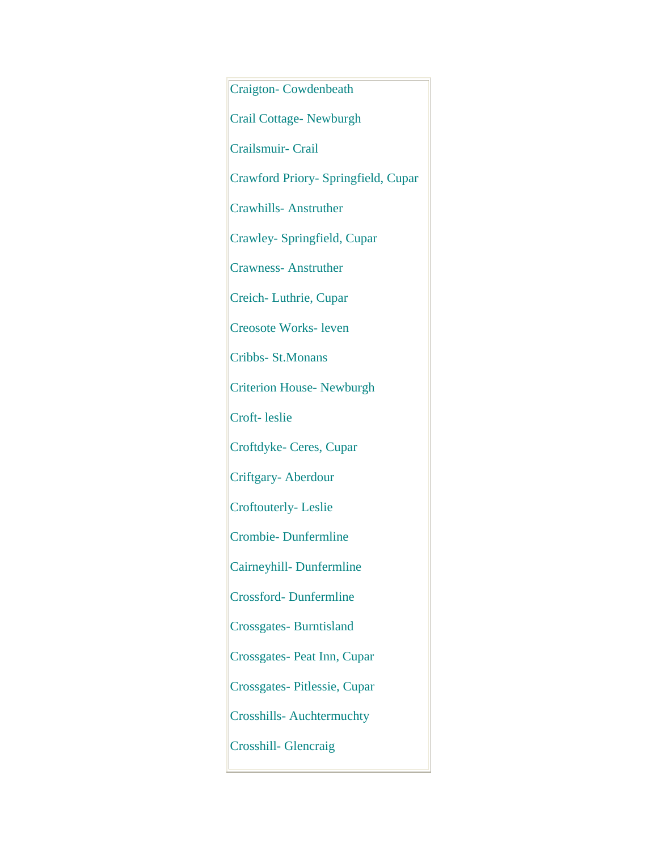Craigton- Cowdenbeath Crail Cottage- Newburgh Crailsmuir- Crail Crawford Priory- Springfield, Cupar Crawhills- Anstruther Crawley- Springfield, Cupar Crawness- Anstruther Creich- Luthrie, Cupar Creosote Works- leven Cribbs- St.Monans Criterion House- Newburgh Croft- leslie Croftdyke- Ceres, Cupar Criftgary- Aberdour Croftouterly- Leslie Crombie- Dunfermline Cairneyhill- Dunfermline Crossford- Dunfermline Crossgates- Burntisland Crossgates- Peat Inn, Cupar Crossgates- Pitlessie, Cupar Crosshills- Auchtermuchty Crosshill- Glencraig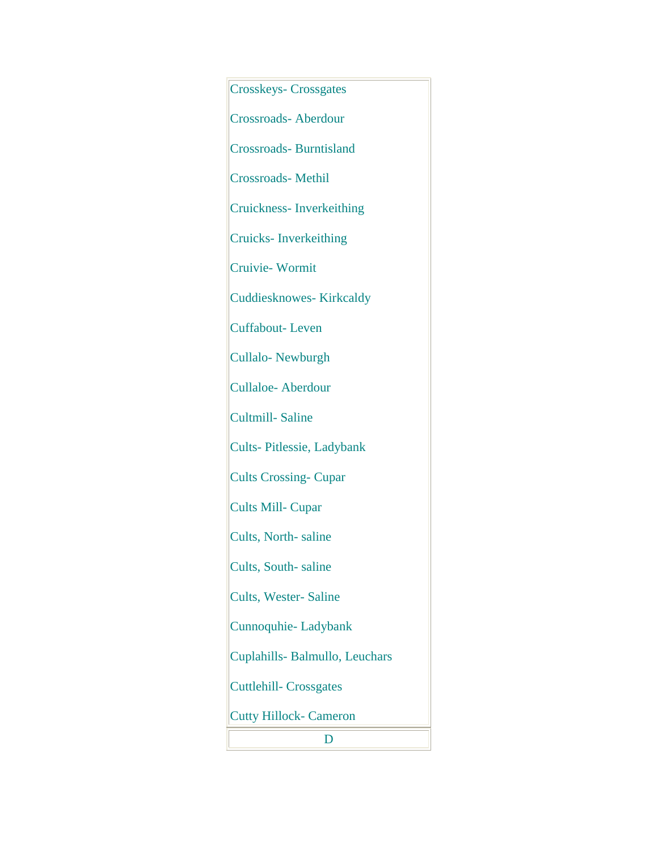Crosskeys- Crossgates Crossroads- Aberdour Crossroads- Burntisland Crossroads- Methil Cruickness- Inverkeithing Cruicks- Inverkeithing Cruivie- Wormit Cuddiesknowes- Kirkcaldy Cuffabout- Leven Cullalo- Newburgh Cullaloe- Aberdour Cultmill- Saline Cults- Pitlessie, Ladybank Cults Crossing- Cupar Cults Mill- Cupar Cults, North- saline Cults, South- saline Cults, Wester- Saline Cunnoquhie- Ladybank Cuplahills- Balmullo, Leuchars Cuttlehill- Crossgates Cutty Hillock- Cameron D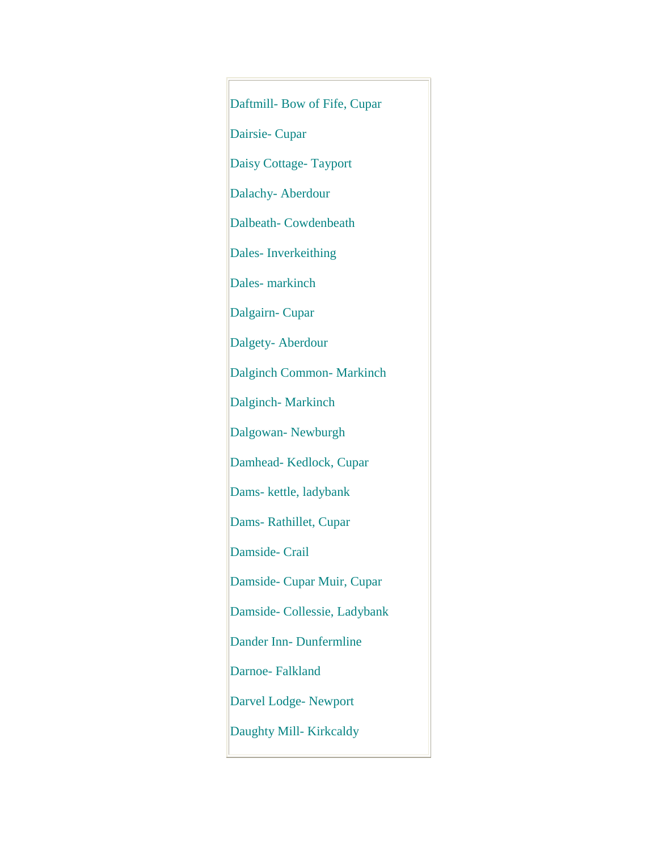Daftmill- Bow of Fife, Cupar Dairsie- Cupar Daisy Cottage- Tayport Dalachy- Aberdour Dalbeath- Cowdenbeath Dales- Inverkeithing Dales- markinch Dalgairn- Cupar Dalgety- Aberdour Dalginch Common- Markinch Dalginch- Markinch Dalgowan- Newburgh Damhead- Kedlock, Cupar Dams- kettle, ladybank Dams- Rathillet, Cupar Damside- Crail Damside- Cupar Muir, Cupar Damside- Collessie, Ladybank Dander Inn- Dunfermline Darnoe- Falkland Darvel Lodge- Newport Daughty Mill- Kirkcaldy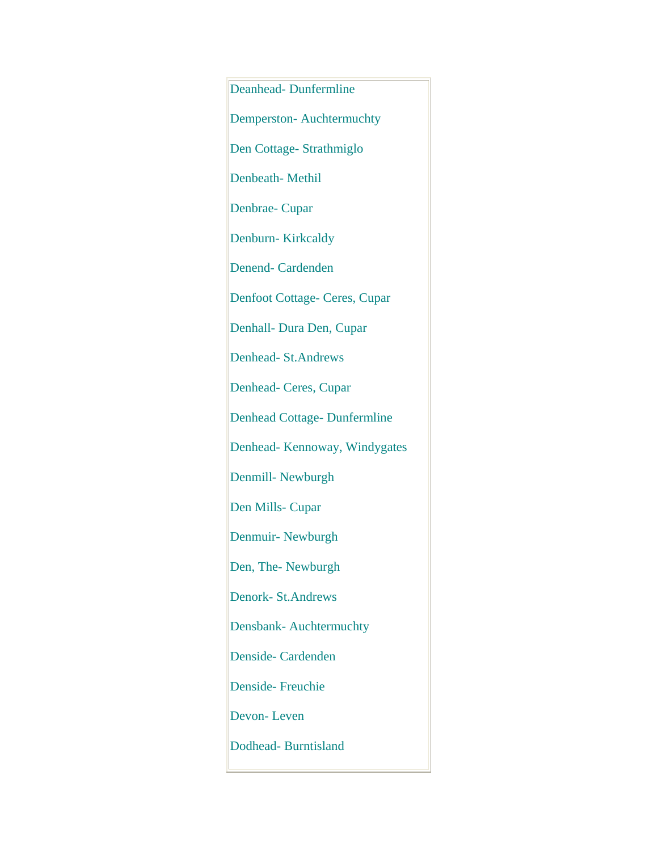Deanhead- Dunfermline Demperston- Auchtermuchty Den Cottage- Strathmiglo Denbeath- Methil Denbrae- Cupar Denburn-Kirkcaldy Denend- Cardenden Denfoot Cottage- Ceres, Cupar Denhall- Dura Den, Cupar Denhead- St.Andrews Denhead- Ceres, Cupar Denhead Cottage- Dunfermline Denhead- Kennoway, Windygates Denmill- Newburgh Den Mills- Cupar Denmuir- Newburgh Den, The- Newburgh Denork- St.Andrews Densbank- Auchtermuchty Denside- Cardenden Denside- Freuchie Devon- Leven Dodhead- Burntisland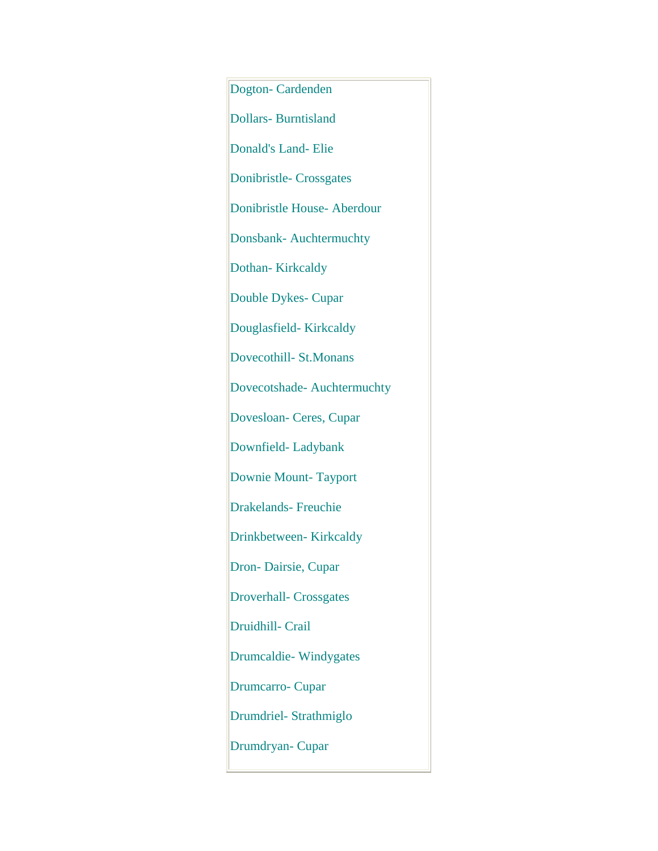Dogton- Cardenden Dollars- Burntisland Donald's Land- Elie Donibristle- Crossgates Donibristle House- Aberdour Donsbank- Auchtermuchty Dothan- Kirkcaldy Double Dykes- Cupar Douglasfield- Kirkcaldy Dovecothill- St.Monans Dovecotshade- Auchtermuchty Dovesloan- Ceres, Cupar Downfield- Ladybank Downie Mount- Tayport Drakelands- Freuchie Drinkbetween- Kirkcaldy Dron- Dairsie, Cupar Droverhall- Crossgates Druidhill- Crail Drumcaldie- Windygates Drumcarro- Cupar Drumdriel- Strathmiglo Drumdryan- Cupar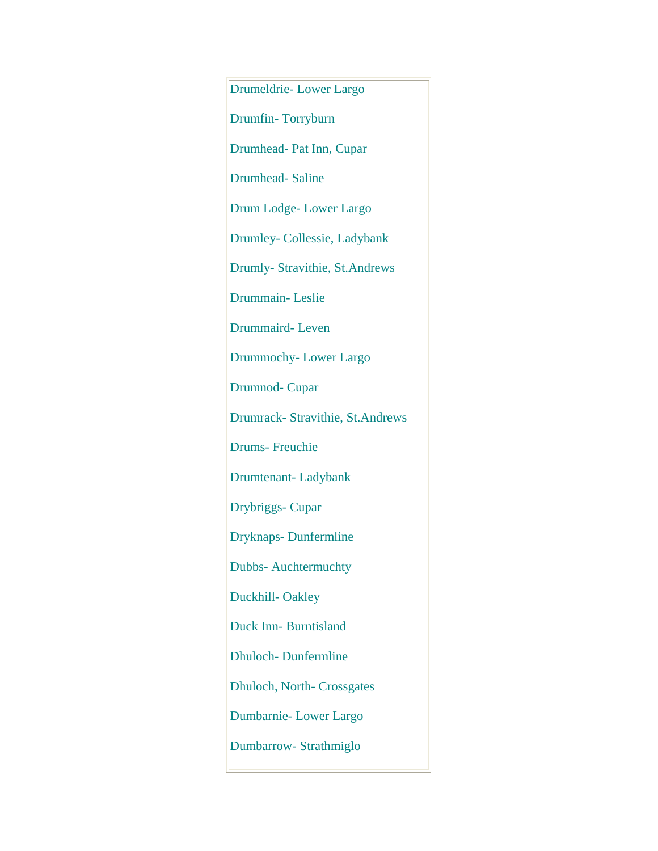Drumeldrie- Lower Largo Drumfin- Torryburn Drumhead- Pat Inn, Cupar Drumhead- Saline Drum Lodge- Lower Largo Drumley- Collessie, Ladybank Drumly- Stravithie, St.Andrews Drummain- Leslie Drummaird- Leven Drummochy- Lower Largo Drumnod- Cupar Drumrack- Stravithie, St.Andrews Drums- Freuchie Drumtenant- Ladybank Drybriggs- Cupar Dryknaps- Dunfermline Dubbs- Auchtermuchty Duckhill- Oakley Duck Inn- Burntisland Dhuloch- Dunfermline Dhuloch, North- Crossgates Dumbarnie- Lower Largo Dumbarrow- Strathmiglo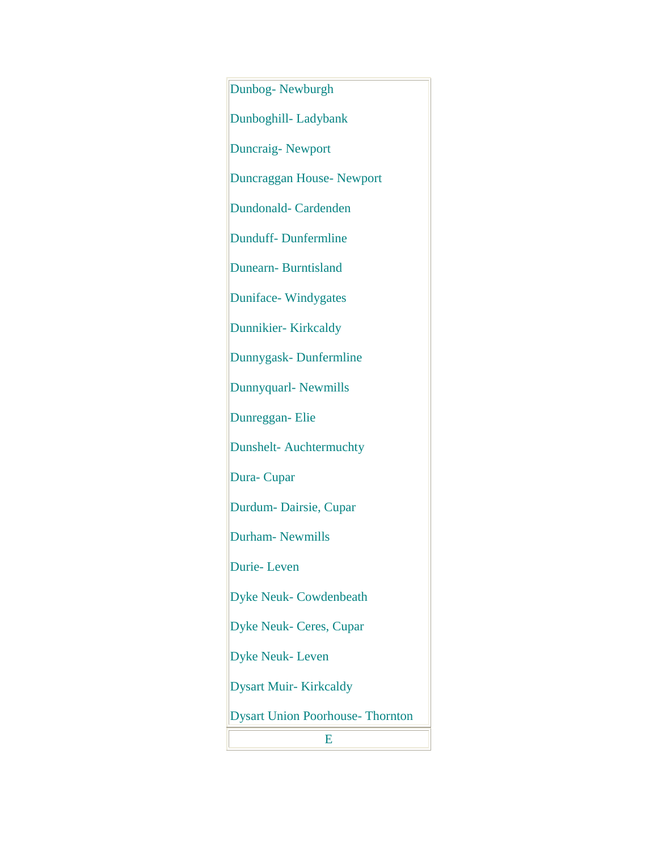Dunbog- Newburgh Dunboghill- Ladybank Duncraig- Newport Duncraggan House- Newport Dundonald- Cardenden Dunduff- Dunfermline Dunearn- Burntisland Duniface- Windygates Dunnikier- Kirkcaldy Dunnygask- Dunfermline Dunnyquarl- Newmills Dunreggan- Elie Dunshelt- Auchtermuchty Dura- Cupar Durdum- Dairsie, Cupar Durham- Newmills Durie- Leven Dyke Neuk- Cowdenbeath Dyke Neuk- Ceres, Cupar Dyke Neuk- Leven Dysart Muir- Kirkcaldy Dysart Union Poorhouse- Thornton E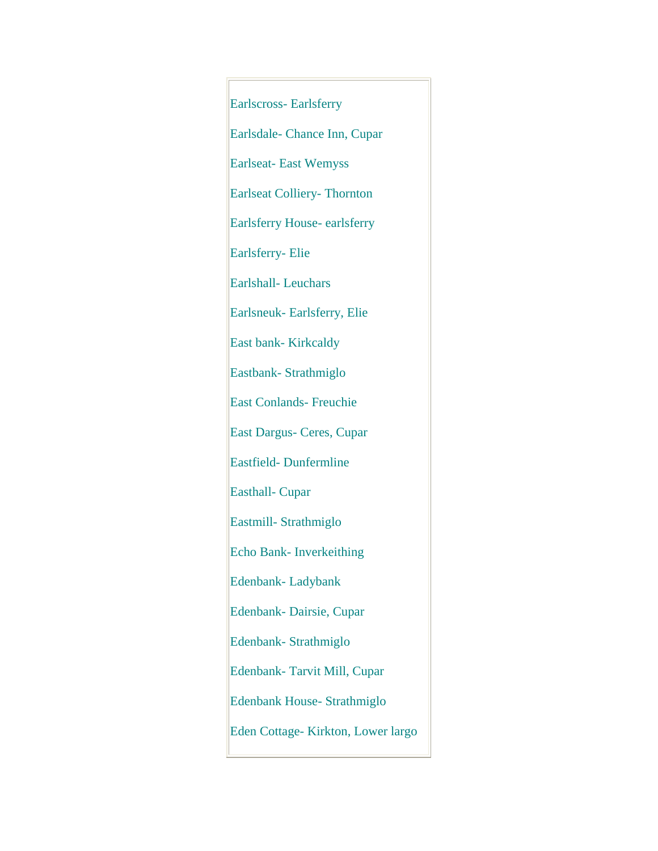Earlscross- Earlsferry Earlsdale- Chance Inn, Cupar Earlseat- East Wemyss Earlseat Colliery- Thornton Earlsferry House- earlsferry Earlsferry- Elie Earlshall- Leuchars Earlsneuk- Earlsferry, Elie East bank- Kirkcaldy Eastbank- Strathmiglo East Conlands- Freuchie East Dargus- Ceres, Cupar Eastfield- Dunfermline Easthall- Cupar Eastmill- Strathmiglo Echo Bank- Inverkeithing Edenbank- Ladybank Edenbank- Dairsie, Cupar Edenbank- Strathmiglo Edenbank- Tarvit Mill, Cupar Edenbank House- Strathmiglo Eden Cottage- Kirkton, Lower largo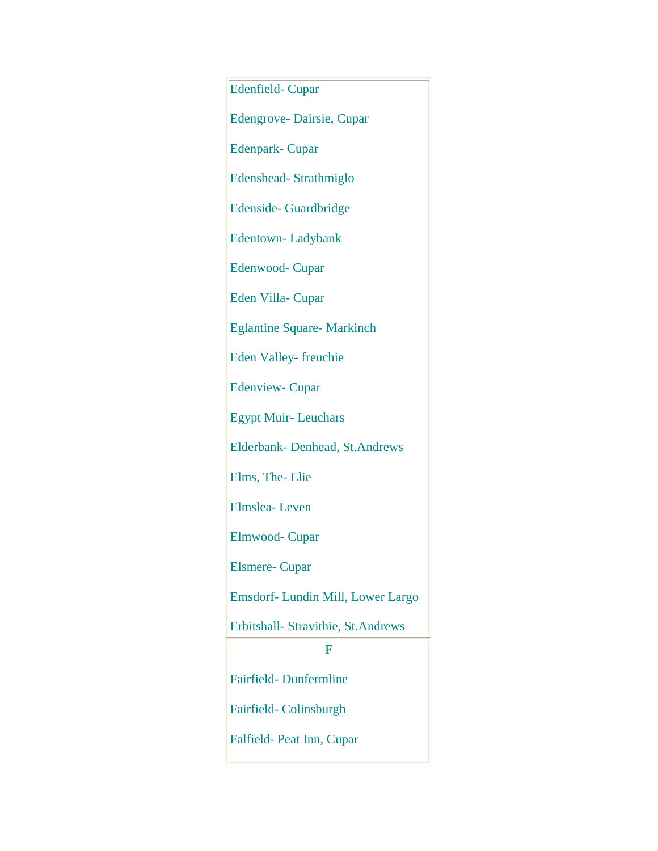Edenfield- Cupar Edengrove- Dairsie, Cupar Edenpark- Cupar Edenshead- Strathmiglo Edenside- Guardbridge Edentown- Ladybank Edenwood- Cupar Eden Villa- Cupar Eglantine Square- Markinch Eden Valley- freuchie Edenview- Cupar Egypt Muir- Leuchars Elderbank- Denhead, St.Andrews Elms, The- Elie Elmslea- Leven Elmwood- Cupar Elsmere- Cupar Emsdorf- Lundin Mill, Lower Largo Erbitshall- Stravithie, St.Andrews F Fairfield- Dunfermline Fairfield- Colinsburgh Falfield- Peat Inn, Cupar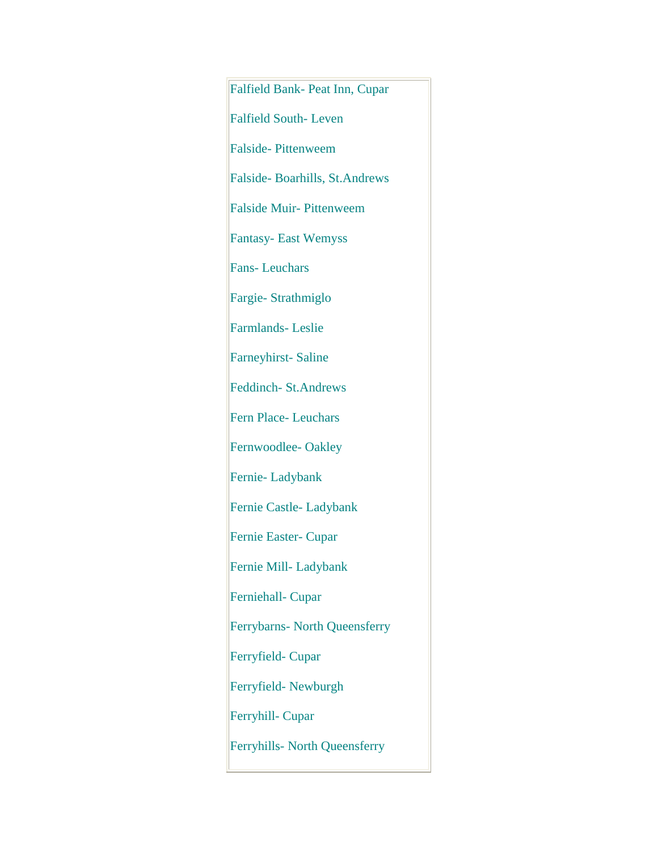Falfield Bank- Peat Inn, Cupar Falfield South- Leven Falside- Pittenweem Falside- Boarhills, St.Andrews Falside Muir- Pittenweem Fantasy- East Wemyss Fans- Leuchars Fargie- Strathmiglo Farmlands- Leslie Farneyhirst- Saline Feddinch- St.Andrews Fern Place- Leuchars Fernwoodlee- Oakley Fernie- Ladybank Fernie Castle- Ladybank Fernie Easter- Cupar Fernie Mill- Ladybank Ferniehall- Cupar Ferrybarns- North Queensferry Ferryfield- Cupar Ferryfield- Newburgh Ferryhill- Cupar Ferryhills- North Queensferry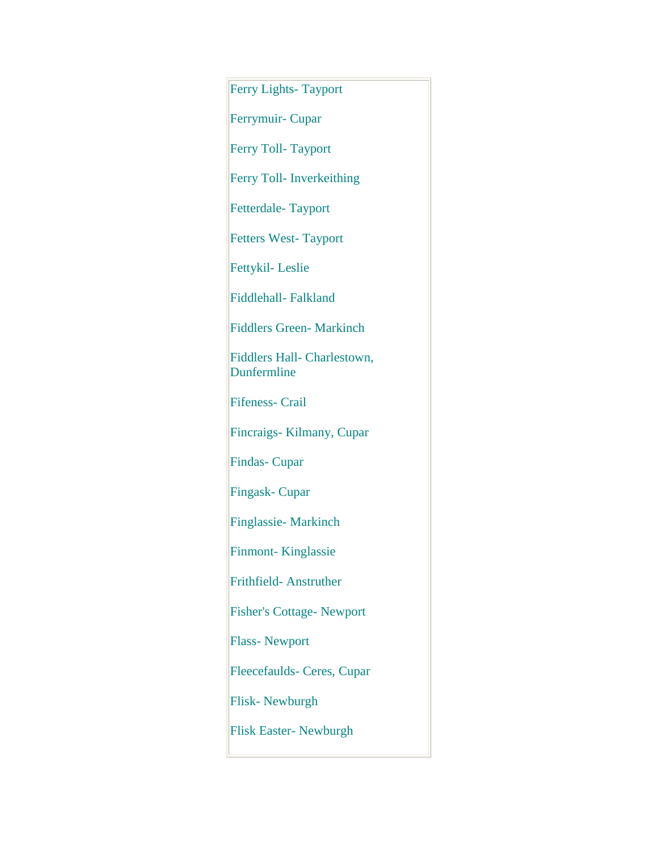Ferry Lights- Tayport Ferrymuir- Cupar Ferry Toll- Tayport Ferry Toll- Inverkeithing Fetterdale- Tayport Fetters West- Tayport Fettykil- Leslie Fiddlehall- Falkland Fiddlers Green- Markinch Fiddlers Hall- Charlestown, Dunfermline Fifeness- Crail Fincraigs- Kilmany, Cupar Findas- Cupar Fingask- Cupar Finglassie- Markinch Finmont- Kinglassie Frithfield- Anstruther Fisher's Cottage- Newport Flass- Newport Fleecefaulds- Ceres, Cupar Flisk- Newburgh Flisk Easter- Newburgh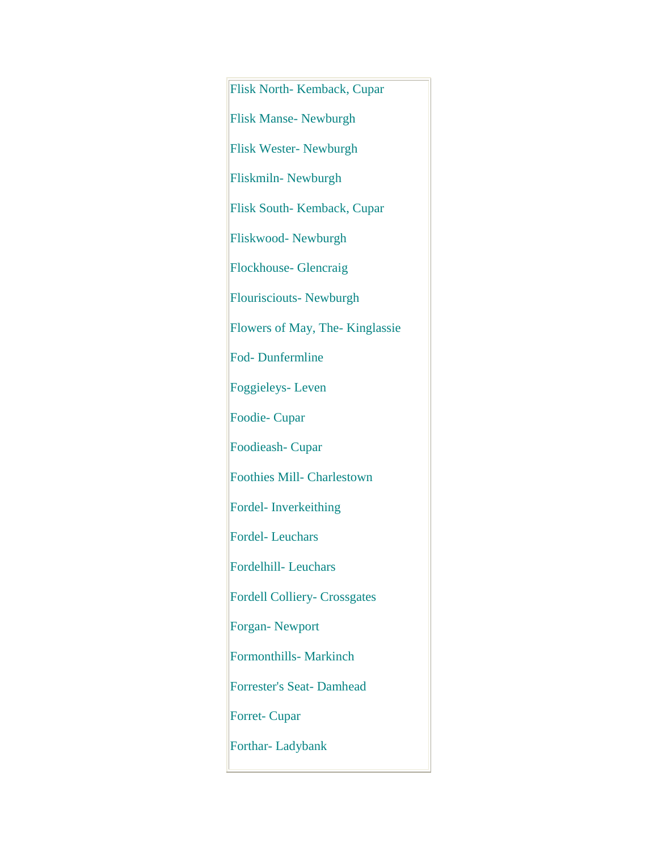Flisk North- Kemback, Cupar Flisk Manse- Newburgh Flisk Wester- Newburgh Fliskmiln- Newburgh Flisk South- Kemback, Cupar Fliskwood- Newburgh Flockhouse- Glencraig Flourisciouts- Newburgh Flowers of May, The- Kinglassie Fod- Dunfermline Foggieleys- Leven Foodie- Cupar Foodieash- Cupar Foothies Mill- Charlestown Fordel- Inverkeithing Fordel- Leuchars Fordelhill- Leuchars Fordell Colliery- Crossgates Forgan- Newport Formonthills- Markinch Forrester's Seat- Damhead Forret- Cupar Forthar- Ladybank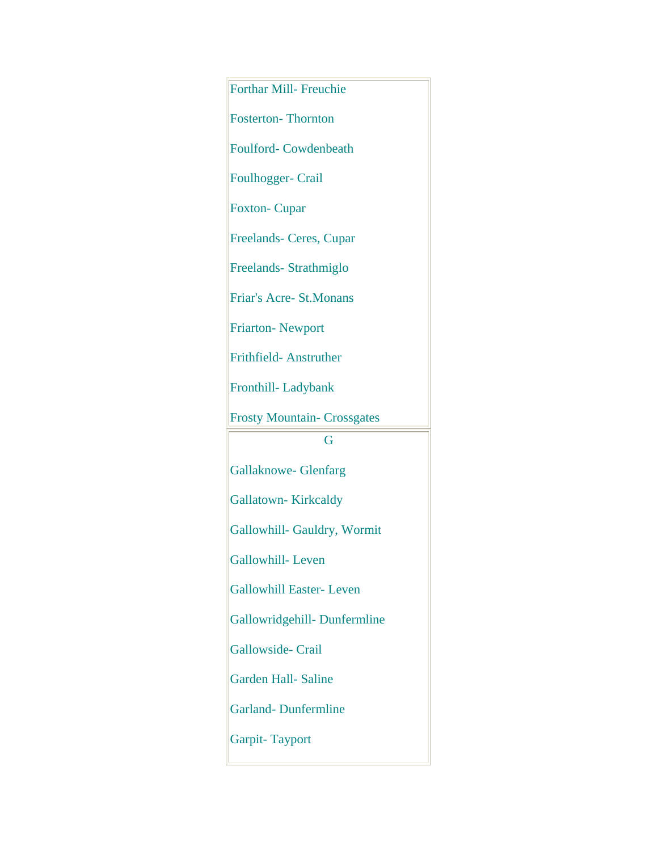Forthar Mill- Freuchie Fosterton- Thornton Foulford- Cowdenbeath Foulhogger- Crail Foxton- Cupar Freelands- Ceres, Cupar Freelands- Strathmiglo Friar's Acre- St.Monans Friarton- Newport Frithfield- Anstruther Fronthill- Ladybank Frosty Mountain- Crossgates G Gallaknowe- Glenfarg Gallatown- Kirkcaldy Gallowhill- Gauldry, Wormit Gallowhill- Leven Gallowhill Easter- Leven Gallowridgehill- Dunfermline Gallowside- Crail Garden Hall- Saline Garland- Dunfermline Garpit- Tayport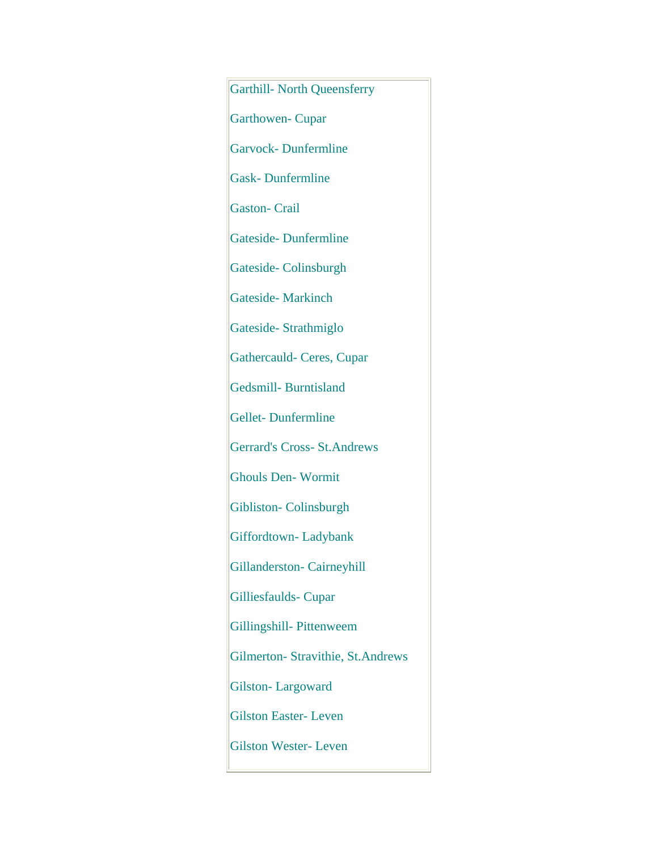Garthill- North Queensferry Garthowen- Cupar Garvock- Dunfermline Gask- Dunfermline Gaston- Crail Gateside- Dunfermline Gateside- Colinsburgh Gateside- Markinch Gateside- Strathmiglo Gathercauld- Ceres, Cupar Gedsmill- Burntisland Gellet- Dunfermline Gerrard's Cross- St.Andrews Ghouls Den- Wormit Gibliston- Colinsburgh Giffordtown- Ladybank Gillanderston- Cairneyhill Gilliesfaulds- Cupar Gillingshill- Pittenweem Gilmerton- Stravithie, St.Andrews Gilston- Largoward Gilston Easter- Leven Gilston Wester- Leven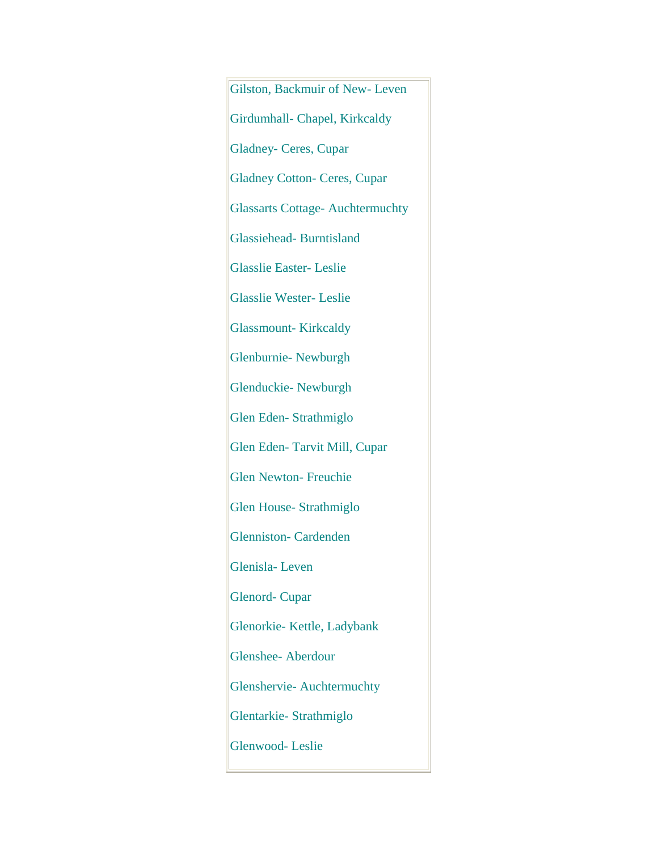Gilston, Backmuir of New- Leven Girdumhall- Chapel, Kirkcaldy Gladney- Ceres, Cupar Gladney Cotton- Ceres, Cupar Glassarts Cottage- Auchtermuchty Glassiehead- Burntisland Glasslie Easter- Leslie Glasslie Wester- Leslie Glassmount- Kirkcaldy Glenburnie- Newburgh Glenduckie- Newburgh Glen Eden- Strathmiglo Glen Eden- Tarvit Mill, Cupar Glen Newton- Freuchie Glen House- Strathmiglo Glenniston- Cardenden Glenisla- Leven Glenord- Cupar Glenorkie- Kettle, Ladybank Glenshee- Aberdour Glenshervie- Auchtermuchty Glentarkie- Strathmiglo Glenwood- Leslie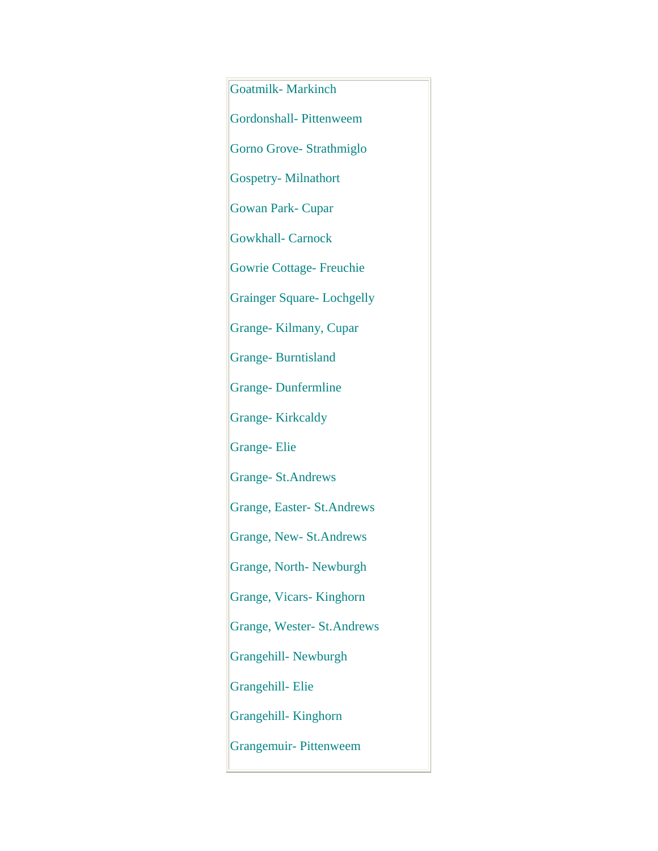Goatmilk- Markinch Gordonshall- Pittenweem Gorno Grove- Strathmiglo Gospetry- Milnathort Gowan Park- Cupar Gowkhall- Carnock Gowrie Cottage- Freuchie Grainger Square- Lochgelly Grange- Kilmany, Cupar Grange- Burntisland Grange- Dunfermline Grange- Kirkcaldy Grange- Elie Grange- St.Andrews Grange, Easter- St.Andrews Grange, New- St.Andrews Grange, North- Newburgh Grange, Vicars- Kinghorn Grange, Wester- St.Andrews Grangehill- Newburgh Grangehill- Elie Grangehill- Kinghorn Grangemuir- Pittenweem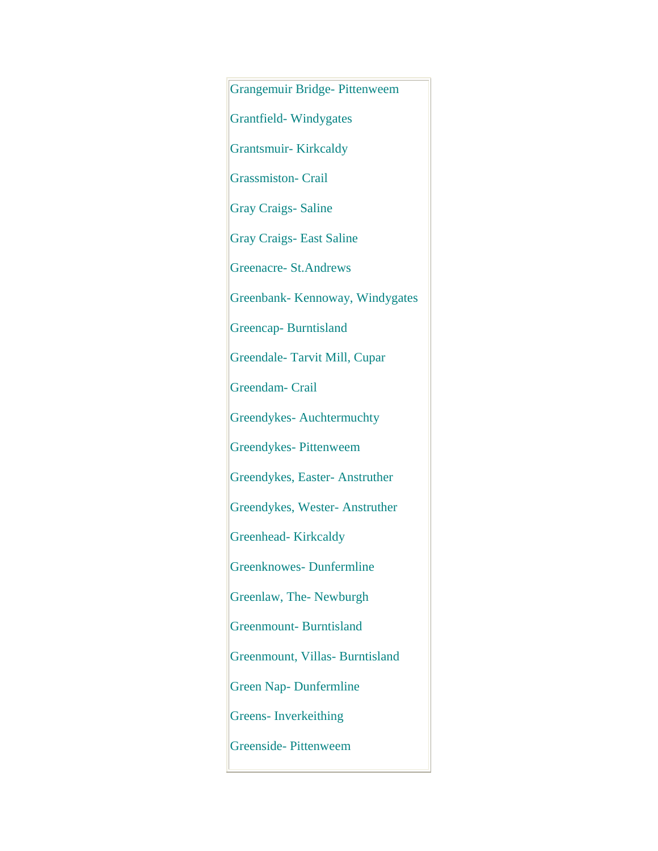Grangemuir Bridge- Pittenweem Grantfield- Windygates Grantsmuir- Kirkcaldy Grassmiston- Crail Gray Craigs- Saline Gray Craigs- East Saline Greenacre- St.Andrews Greenbank- Kennoway, Windygates Greencap- Burntisland Greendale- Tarvit Mill, Cupar Greendam- Crail Greendykes- Auchtermuchty Greendykes- Pittenweem Greendykes, Easter- Anstruther Greendykes, Wester- Anstruther Greenhead- Kirkcaldy Greenknowes- Dunfermline Greenlaw, The- Newburgh Greenmount- Burntisland Greenmount, Villas- Burntisland Green Nap- Dunfermline Greens- Inverkeithing Greenside- Pittenweem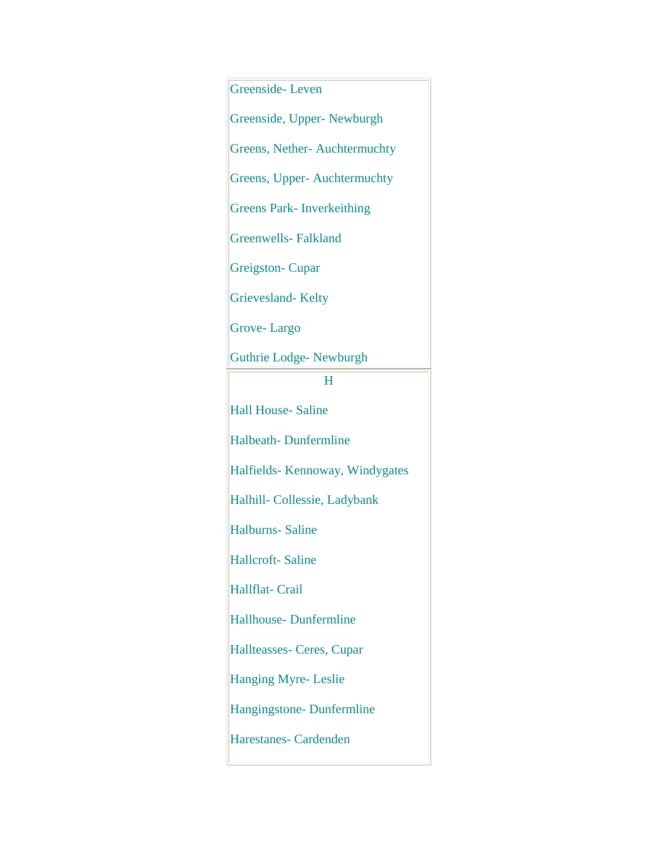Greenside- Leven Greenside, Upper- Newburgh Greens, Nether- Auchtermuchty Greens, Upper- Auchtermuchty Greens Park- Inverkeithing Greenwells- Falkland Greigston- Cupar Grievesland- Kelty Grove- Largo Guthrie Lodge- Newburgh H Hall House- Saline Halbeath- Dunfermline Halfields- Kennoway, Windygates Halhill- Collessie, Ladybank Halburns- Saline Hallcroft- Saline Hallflat- Crail Hallhouse- Dunfermline Hallteasses- Ceres, Cupar Hanging Myre- Leslie Hangingstone- Dunfermline Harestanes- Cardenden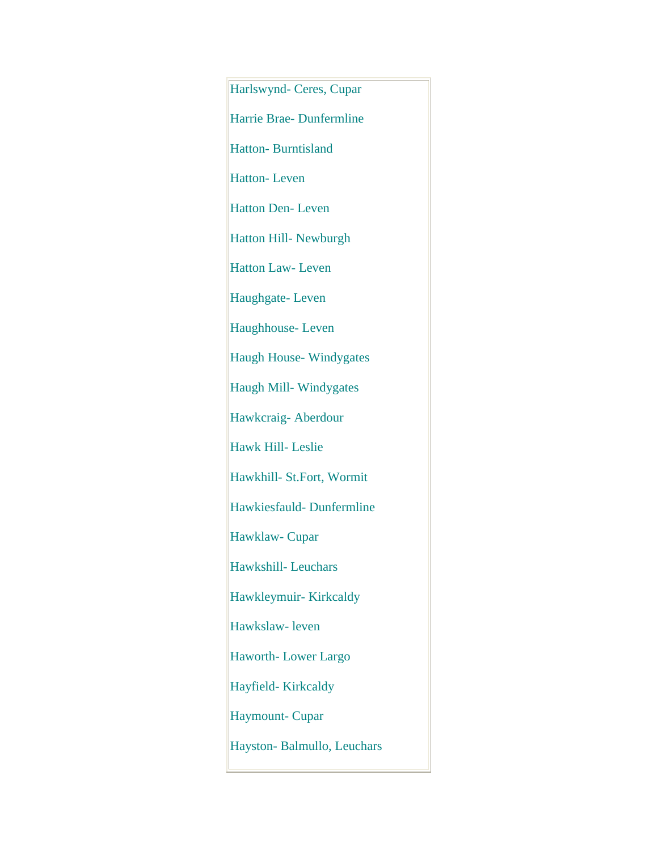Harlswynd- Ceres, Cupar Harrie Brae- Dunfermline Hatton- Burntisland Hatton- Leven Hatton Den- Leven Hatton Hill- Newburgh Hatton Law- Leven Haughgate- Leven Haughhouse- Leven Haugh House- Windygates Haugh Mill- Windygates Hawkcraig- Aberdour Hawk Hill- Leslie Hawkhill- St.Fort, Wormit Hawkiesfauld- Dunfermline Hawklaw- Cupar Hawkshill- Leuchars Hawkleymuir- Kirkcaldy Hawkslaw- leven Haworth- Lower Largo Hayfield- Kirkcaldy Haymount- Cupar Hayston- Balmullo, Leuchars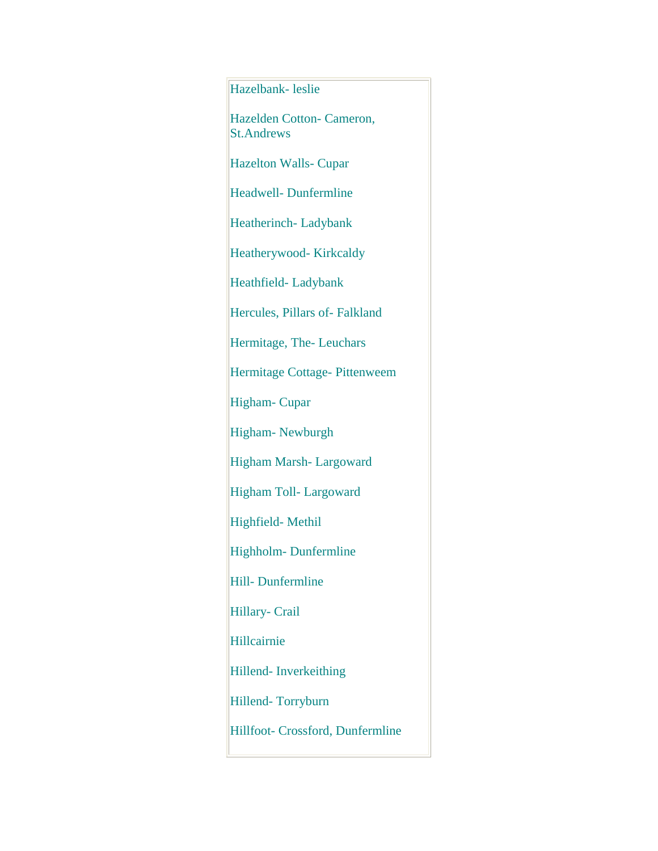## Hazelbank- leslie

Hazelden Cotton- Cameron, St.Andrews

Hazelton Walls- Cupar

Headwell- Dunfermline

Heatherinch- Ladybank

Heatherywood- Kirkcaldy

Heathfield- Ladybank

Hercules, Pillars of- Falkland

Hermitage, The- Leuchars

Hermitage Cottage- Pittenweem

Higham- Cupar

Higham- Newburgh

Higham Marsh- Largoward

Higham Toll- Largoward

Highfield- Methil

Highholm- Dunfermline

Hill- Dunfermline

Hillary- Crail

Hillcairnie

Hillend- Inverkeithing

Hillend- Torryburn

Hillfoot- Crossford, Dunfermline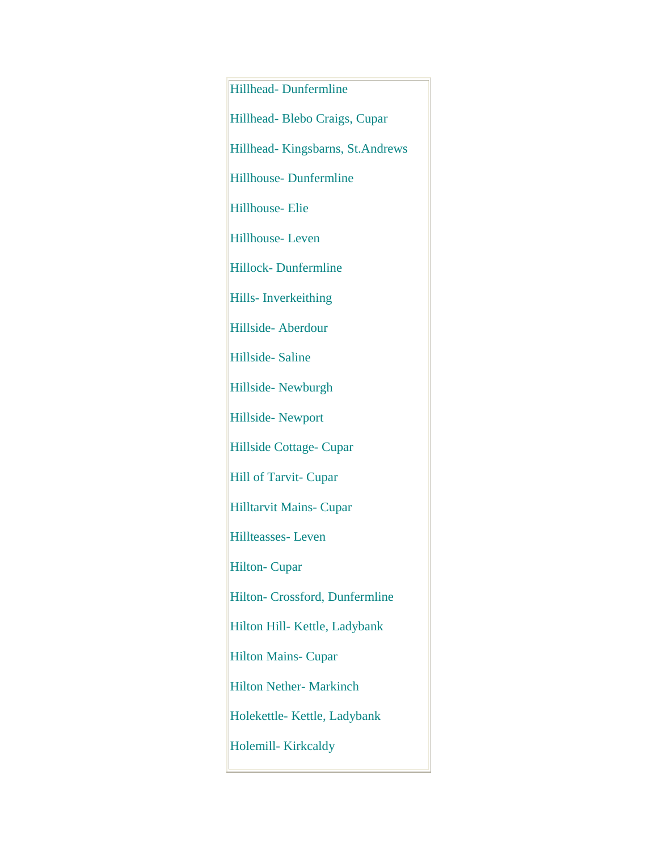Hillhead- Dunfermline Hillhead- Blebo Craigs, Cupar Hillhead- Kingsbarns, St.Andrews Hillhouse- Dunfermline Hillhouse- Elie Hillhouse- Leven Hillock- Dunfermline Hills- Inverkeithing Hillside- Aberdour Hillside- Saline Hillside- Newburgh Hillside- Newport Hillside Cottage- Cupar Hill of Tarvit- Cupar Hilltarvit Mains- Cupar Hillteasses- Leven Hilton- Cupar Hilton- Crossford, Dunfermline Hilton Hill- Kettle, Ladybank Hilton Mains- Cupar Hilton Nether- Markinch Holekettle- Kettle, Ladybank Holemill- Kirkcaldy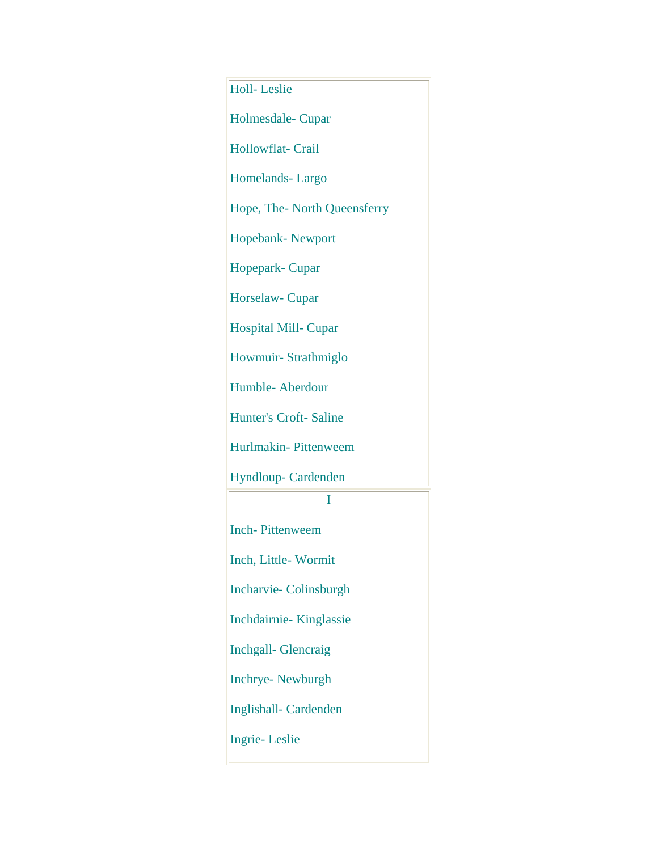| <b>Holl-Leslie</b>           |
|------------------------------|
| Holmesdale-Cupar             |
| Hollowflat- Crail            |
| Homelands-Largo              |
| Hope, The-North Queensferry  |
| <b>Hopebank-Newport</b>      |
| Hopepark-Cupar               |
| Horselaw- Cupar              |
| <b>Hospital Mill-Cupar</b>   |
| Howmuir-Strathmiglo          |
| Humble-Aberdour              |
| <b>Hunter's Croft-Saline</b> |
| Hurlmakin-Pittenweem         |
| Hyndloup-Cardenden           |
| I                            |
| <b>Inch-Pittenweem</b>       |
| Inch, Little-Wormit          |
| <b>Incharvie-Colinsburgh</b> |
| Inchdairnie-Kinglassie       |
| <b>Inchgall- Glencraig</b>   |
| <b>Inchrye-Newburgh</b>      |
| Inglishall-Cardenden         |
| <b>Ingrie-Leslie</b>         |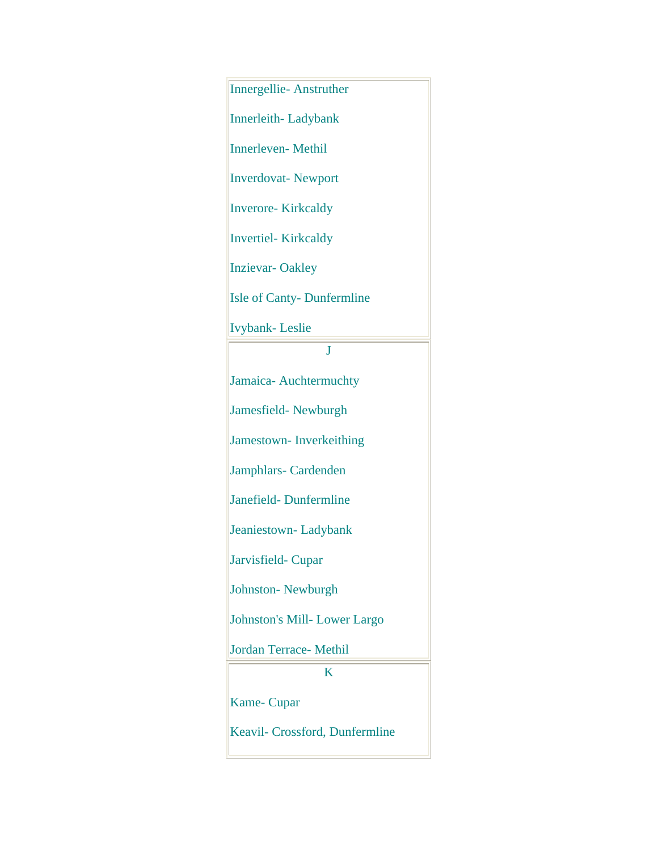| <b>Innergellie-Anstruther</b>    |
|----------------------------------|
| <b>Innerleith-Ladybank</b>       |
| Innerleven-Methil                |
| <b>Inverdovat-Newport</b>        |
| Inverore-Kirkcaldy               |
| <b>Invertiel-Kirkcaldy</b>       |
| <b>Inzievar-Oakley</b>           |
| <b>Isle of Canty-Dunfermline</b> |
| <b>Ivybank-Leslie</b>            |
| J                                |
| Jamaica- Auchtermuchty           |
| Jamesfield-Newburgh              |
| <b>Jamestown-Inverkeithing</b>   |
| Jamphlars-Cardenden              |
| Janefield-Dunfermline            |
| Jeaniestown-Ladybank             |
| Jarvisfield-Cupar                |
| <b>Johnston-Newburgh</b>         |
| Johnston's Mill-Lower Largo      |
| Jordan Terrace- Methil           |
| K                                |
| <b>Kame-Cupar</b>                |
| Keavil- Crossford, Dunfermline   |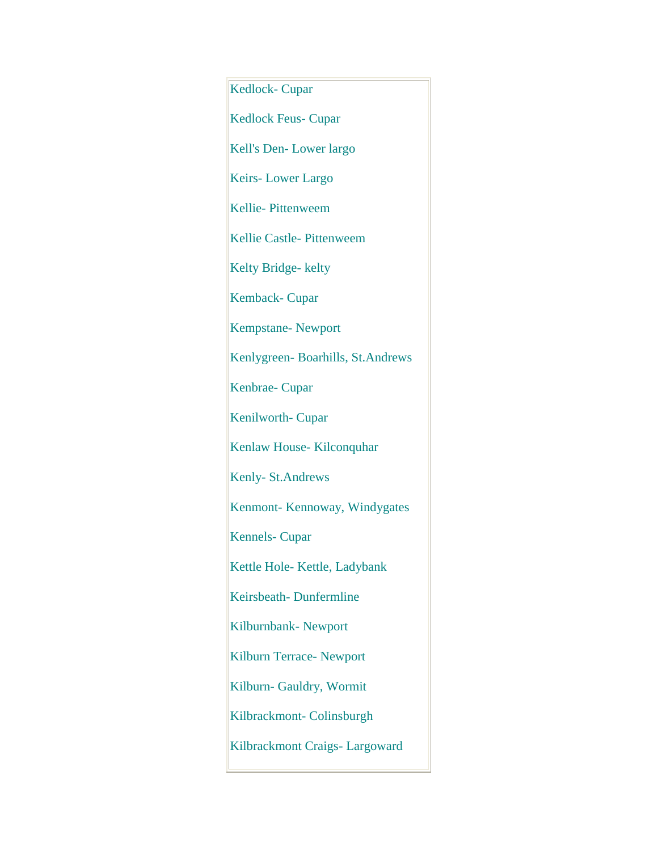Kedlock- Cupar Kedlock Feus- Cupar Kell's Den- Lower largo Keirs- Lower Largo Kellie- Pittenweem Kellie Castle- Pittenweem Kelty Bridge- kelty Kemback- Cupar Kempstane- Newport Kenlygreen- Boarhills, St.Andrews Kenbrae- Cupar Kenilworth- Cupar Kenlaw House- Kilconquhar Kenly- St.Andrews Kenmont- Kennoway, Windygates Kennels- Cupar Kettle Hole- Kettle, Ladybank Keirsbeath- Dunfermline Kilburnbank- Newport Kilburn Terrace- Newport Kilburn- Gauldry, Wormit Kilbrackmont- Colinsburgh Kilbrackmont Craigs- Largoward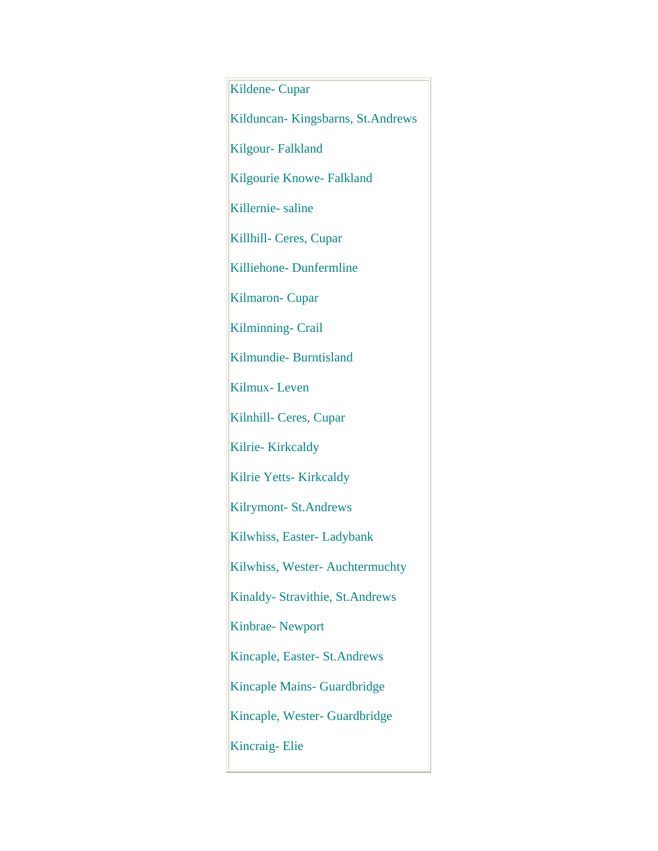Kildene- Cupar Kilduncan- Kingsbarns, St.Andrews Kilgour- Falkland Kilgourie Knowe- Falkland Killernie- saline Killhill- Ceres, Cupar Killiehone- Dunfermline Kilmaron- Cupar Kilminning- Crail Kilmundie- Burntisland Kilmux- Leven Kilnhill- Ceres, Cupar Kilrie- Kirkcaldy Kilrie Yetts- Kirkcaldy Kilrymont- St.Andrews Kilwhiss, Easter- Ladybank Kilwhiss, Wester- Auchtermuchty Kinaldy- Stravithie, St.Andrews Kinbrae- Newport Kincaple, Easter- St.Andrews Kincaple Mains- Guardbridge Kincaple, Wester- Guardbridge Kincraig- Elie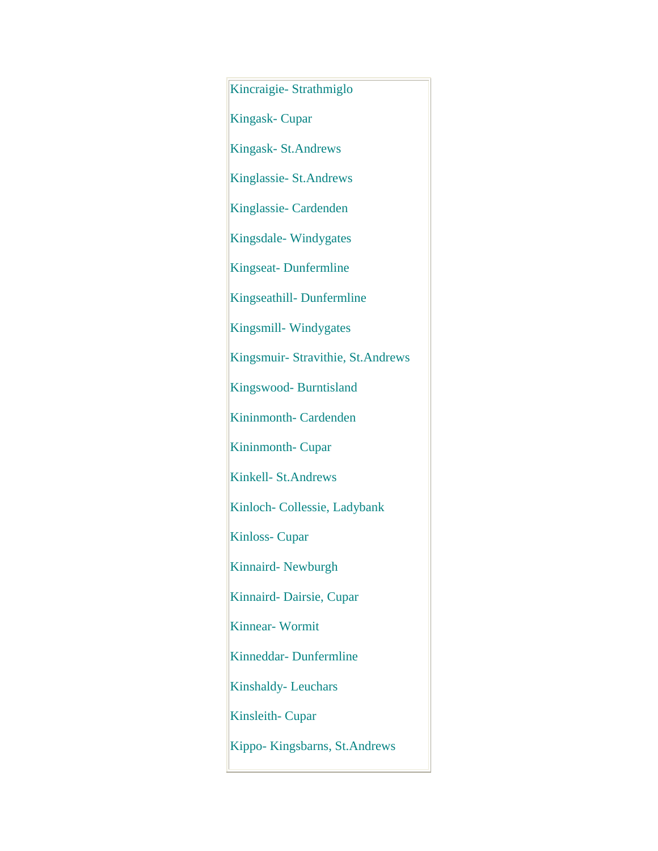Kincraigie- Strathmiglo Kingask- Cupar Kingask- St.Andrews Kinglassie- St.Andrews Kinglassie- Cardenden Kingsdale- Windygates Kingseat- Dunfermline Kingseathill- Dunfermline Kingsmill- Windygates Kingsmuir- Stravithie, St.Andrews Kingswood- Burntisland Kininmonth- Cardenden Kininmonth- Cupar Kinkell- St.Andrews Kinloch- Collessie, Ladybank Kinloss- Cupar Kinnaird- Newburgh Kinnaird- Dairsie, Cupar Kinnear- Wormit Kinneddar- Dunfermline Kinshaldy- Leuchars Kinsleith- Cupar Kippo- Kingsbarns, St.Andrews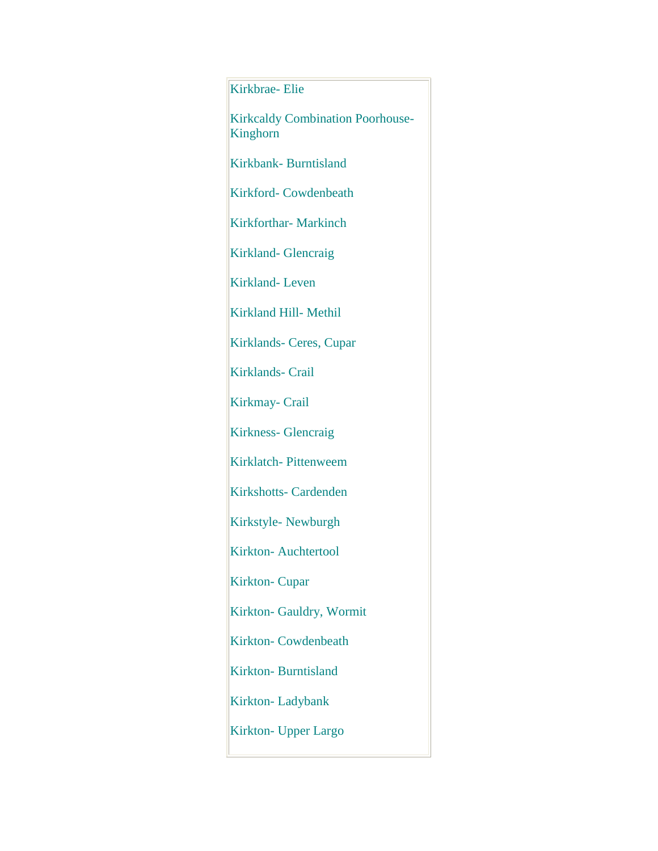## Kirkbrae- Elie

Kirkcaldy Combination Poorhouse-Kinghorn

Kirkbank- Burntisland

Kirkford- Cowdenbeath

Kirkforthar- Markinch

Kirkland- Glencraig

Kirkland- Leven

Kirkland Hill- Methil

Kirklands- Ceres, Cupar

Kirklands- Crail

Kirkmay- Crail

Kirkness- Glencraig

Kirklatch- Pittenweem

Kirkshotts- Cardenden

Kirkstyle- Newburgh

Kirkton- Auchtertool

Kirkton- Cupar

Kirkton- Gauldry, Wormit

Kirkton- Cowdenbeath

Kirkton- Burntisland

Kirkton- Ladybank

Kirkton- Upper Largo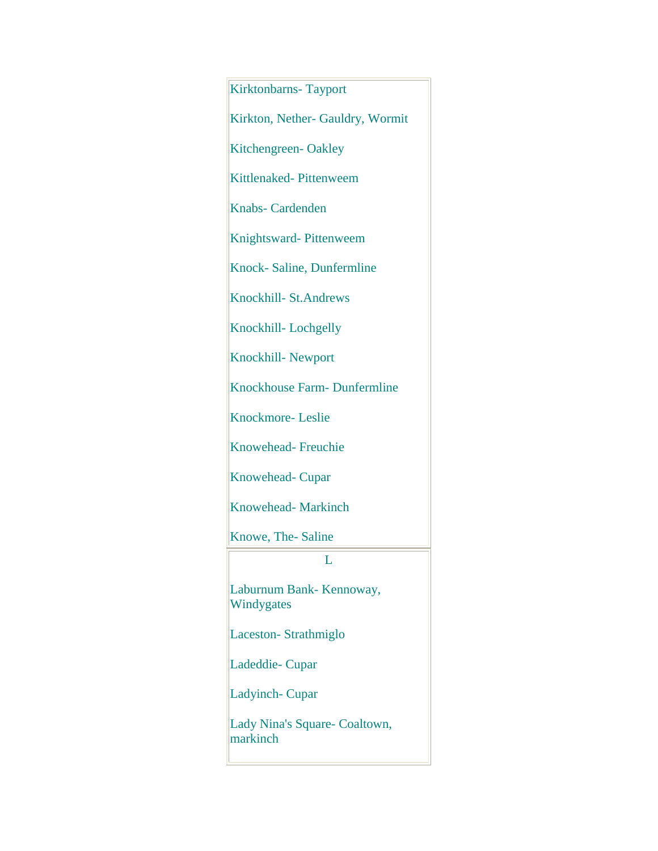Kirktonbarns- Tayport Kirkton, Nether- Gauldry, Wormit Kitchengreen- Oakley Kittlenaked- Pittenweem Knabs- Cardenden Knightsward- Pittenweem Knock- Saline, Dunfermline Knockhill- St.Andrews Knockhill- Lochgelly Knockhill- Newport Knockhouse Farm- Dunfermline Knockmore- Leslie Knowehead- Freuchie Knowehead- Cupar Knowehead- Markinch Knowe, The- Saline  $L$ Laburnum Bank- Kennoway, Windygates Laceston- Strathmiglo Ladeddie- Cupar Ladyinch- Cupar Lady Nina's Square- Coaltown, markinch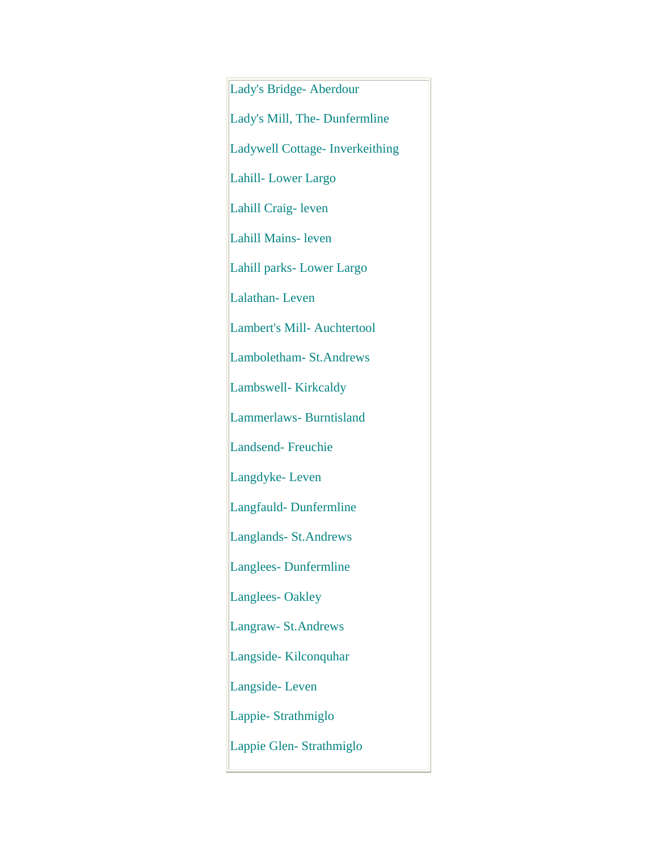Lady's Bridge- Aberdour Lady's Mill, The- Dunfermline Ladywell Cottage- Inverkeithing Lahill- Lower Largo Lahill Craig- leven Lahill Mains- leven Lahill parks- Lower Largo Lalathan- Leven Lambert's Mill- Auchtertool Lamboletham- St.Andrews Lambswell- Kirkcaldy Lammerlaws- Burntisland Landsend- Freuchie Langdyke- Leven Langfauld- Dunfermline Langlands- St.Andrews Langlees- Dunfermline Langlees- Oakley Langraw- St.Andrews Langside- Kilconquhar Langside- Leven Lappie- Strathmiglo Lappie Glen- Strathmiglo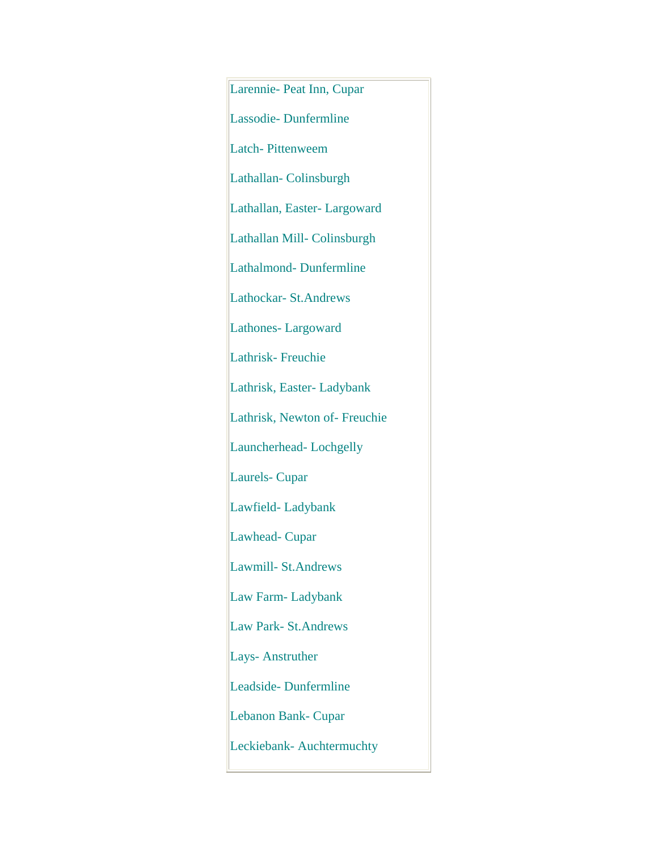Larennie- Peat Inn, Cupar Lassodie- Dunfermline Latch- Pittenweem Lathallan- Colinsburgh Lathallan, Easter- Largoward Lathallan Mill- Colinsburgh Lathalmond- Dunfermline Lathockar- St.Andrews Lathones- Largoward Lathrisk- Freuchie Lathrisk, Easter- Ladybank Lathrisk, Newton of- Freuchie Launcherhead- Lochgelly Laurels- Cupar Lawfield- Ladybank Lawhead- Cupar Lawmill- St.Andrews Law Farm- Ladybank Law Park- St.Andrews Lays- Anstruther Leadside- Dunfermline Lebanon Bank- Cupar Leckiebank- Auchtermuchty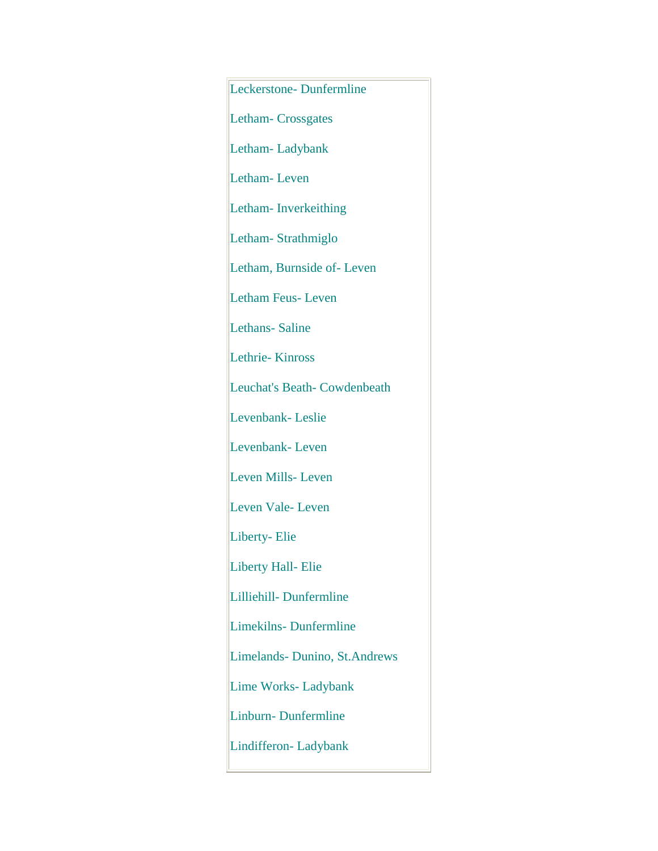Leckerstone- Dunfermline Letham- Crossgates Letham- Ladybank Letham- Leven Letham- Inverkeithing Letham- Strathmiglo Letham, Burnside of- Leven Letham Feus- Leven Lethans- Saline Lethrie- Kinross Leuchat's Beath- Cowdenbeath Levenbank- Leslie Levenbank- Leven Leven Mills- Leven Leven Vale- Leven Liberty- Elie Liberty Hall- Elie Lilliehill- Dunfermline Limekilns- Dunfermline Limelands- Dunino, St.Andrews Lime Works- Ladybank Linburn- Dunfermline Lindifferon- Ladybank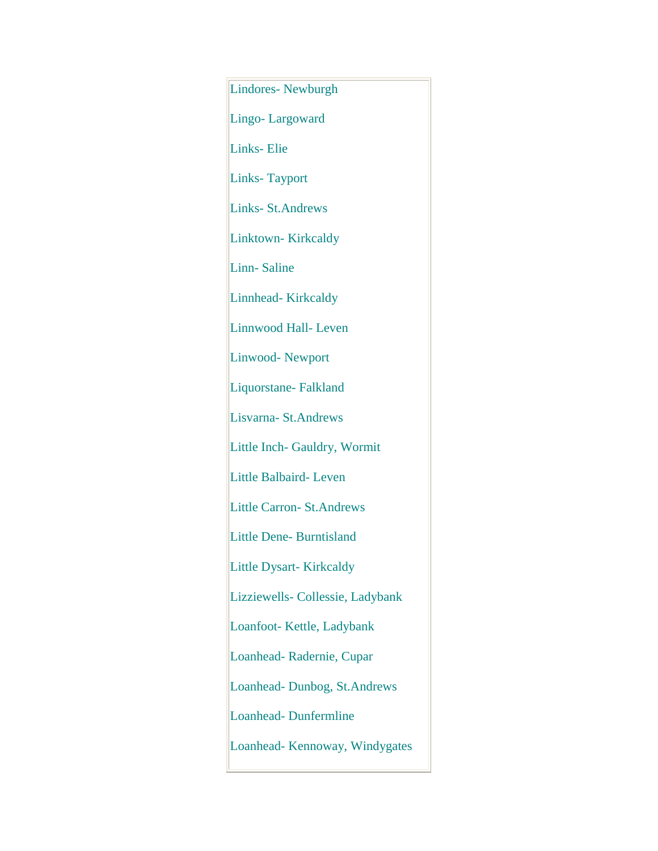Lindores- Newburgh Lingo- Largoward Links- Elie Links- Tayport Links- St.Andrews Linktown- Kirkcaldy Linn- Saline Linnhead- Kirkcaldy Linnwood Hall- Leven Linwood- Newport Liquorstane- Falkland Lisvarna- St.Andrews Little Inch- Gauldry, Wormit Little Balbaird- Leven Little Carron- St.Andrews Little Dene- Burntisland Little Dysart- Kirkcaldy Lizziewells- Collessie, Ladybank Loanfoot- Kettle, Ladybank Loanhead- Radernie, Cupar Loanhead- Dunbog, St.Andrews Loanhead- Dunfermline Loanhead- Kennoway, Windygates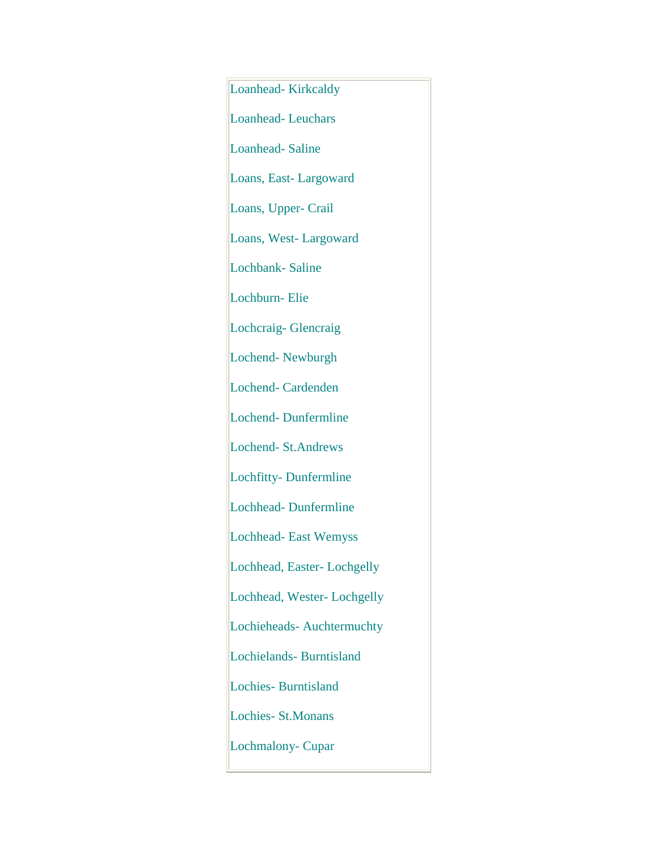Loanhead- Kirkcaldy Loanhead- Leuchars Loanhead- Saline Loans, East- Largoward Loans, Upper- Crail Loans, West- Largoward Lochbank- Saline Lochburn- Elie Lochcraig- Glencraig Lochend- Newburgh Lochend- Cardenden Lochend- Dunfermline Lochend- St.Andrews Lochfitty- Dunfermline Lochhead- Dunfermline Lochhead- East Wemyss Lochhead, Easter- Lochgelly Lochhead, Wester- Lochgelly Lochieheads- Auchtermuchty Lochielands- Burntisland Lochies- Burntisland Lochies- St.Monans Lochmalony- Cupar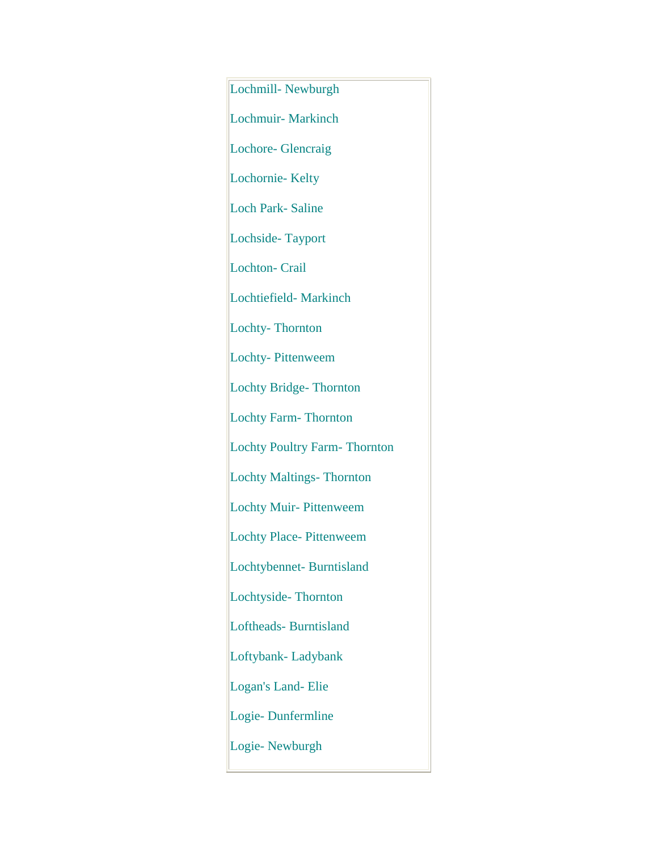Lochmill- Newburgh Lochmuir- Markinch Lochore- Glencraig Lochornie- Kelty Loch Park- Saline Lochside- Tayport Lochton- Crail Lochtiefield- Markinch Lochty- Thornton Lochty- Pittenweem Lochty Bridge- Thornton Lochty Farm- Thornton Lochty Poultry Farm- Thornton Lochty Maltings- Thornton Lochty Muir- Pittenweem Lochty Place- Pittenweem Lochtybennet- Burntisland Lochtyside- Thornton Loftheads- Burntisland Loftybank- Ladybank Logan's Land- Elie Logie- Dunfermline Logie- Newburgh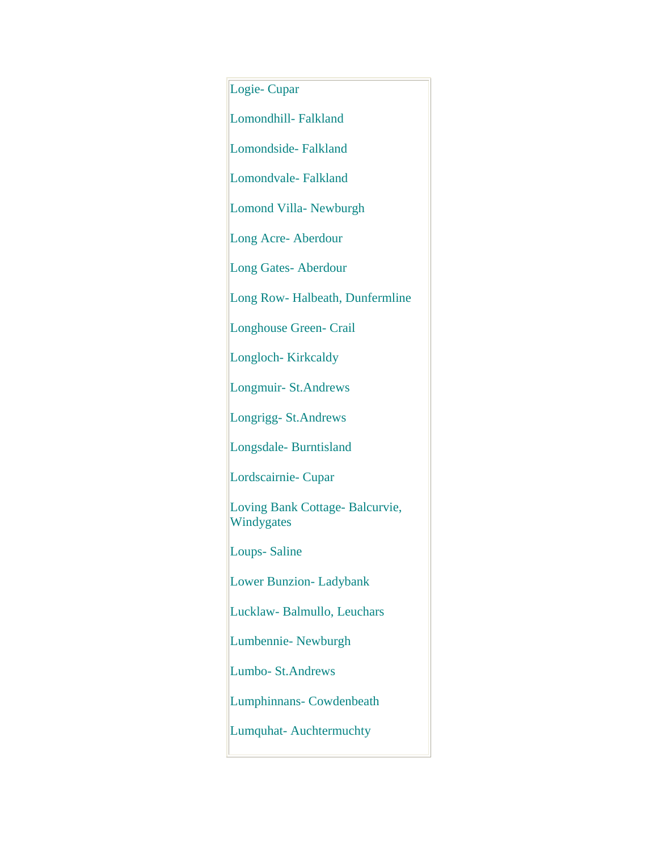Logie- Cupar Lomondhill- Falkland Lomondside- Falkland Lomondvale- Falkland Lomond Villa- Newburgh Long Acre- Aberdour Long Gates- Aberdour Long Row- Halbeath, Dunfermline Longhouse Green- Crail Longloch- Kirkcaldy Longmuir- St.Andrews Longrigg- St.Andrews Longsdale- Burntisland Lordscairnie- Cupar Loving Bank Cottage- Balcurvie, Windygates Loups- Saline Lower Bunzion- Ladybank Lucklaw- Balmullo, Leuchars Lumbennie- Newburgh Lumbo- St.Andrews Lumphinnans- Cowdenbeath Lumquhat- Auchtermuchty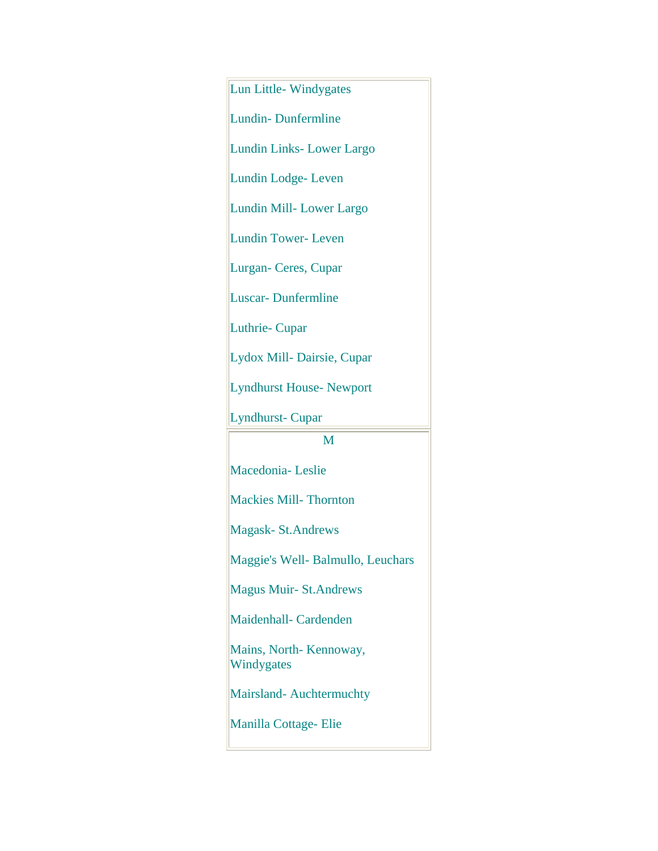Lun Little- Windygates Lundin- Dunfermline Lundin Links- Lower Largo Lundin Lodge- Leven Lundin Mill- Lower Largo Lundin Tower- Leven Lurgan- Ceres, Cupar Luscar- Dunfermline Luthrie- Cupar Lydox Mill- Dairsie, Cupar Lyndhurst House- Newport Lyndhurst- Cupar M Macedonia- Leslie Mackies Mill- Thornton Magask- St.Andrews Maggie's Well- Balmullo, Leuchars Magus Muir- St.Andrews Maidenhall- Cardenden Mains, North- Kennoway, Windygates Mairsland- Auchtermuchty Manilla Cottage- Elie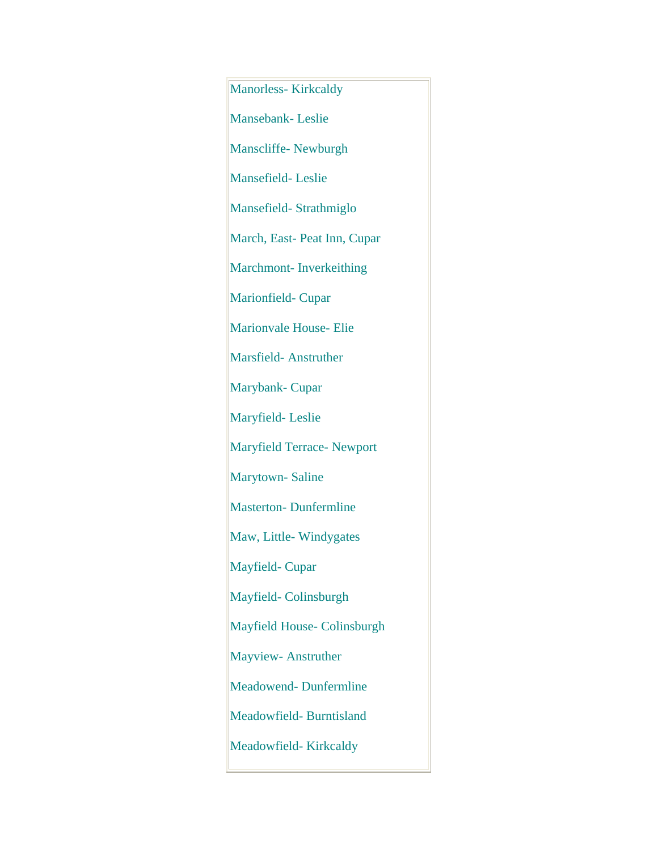Manorless- Kirkcaldy Mansebank- Leslie Manscliffe- Newburgh Mansefield- Leslie Mansefield- Strathmiglo March, East- Peat Inn, Cupar Marchmont- Inverkeithing Marionfield- Cupar Marionvale House- Elie Marsfield- Anstruther Marybank- Cupar Maryfield- Leslie Maryfield Terrace- Newport Marytown- Saline Masterton- Dunfermline Maw, Little- Windygates Mayfield- Cupar Mayfield- Colinsburgh Mayfield House- Colinsburgh Mayview- Anstruther Meadowend- Dunfermline Meadowfield- Burntisland Meadowfield- Kirkcaldy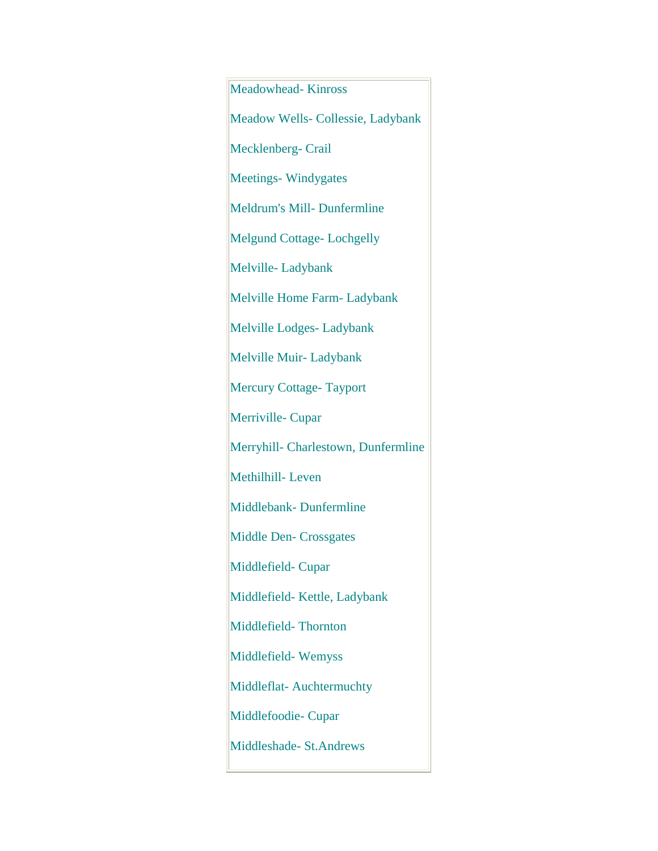Meadowhead- Kinross Meadow Wells- Collessie, Ladybank Mecklenberg- Crail Meetings-Windygates Meldrum's Mill- Dunfermline Melgund Cottage- Lochgelly Melville-Ladybank Melville Home Farm- Ladybank Melville Lodges- Ladybank Melville Muir- Ladybank Mercury Cottage- Tayport Merriville- Cupar Merryhill- Charlestown, Dunfermline Methilhill- Leven Middlebank- Dunfermline Middle Den- Crossgates Middlefield- Cupar Middlefield- Kettle, Ladybank Middlefield- Thornton Middlefield- Wemyss Middleflat- Auchtermuchty Middlefoodie- Cupar Middleshade- St.Andrews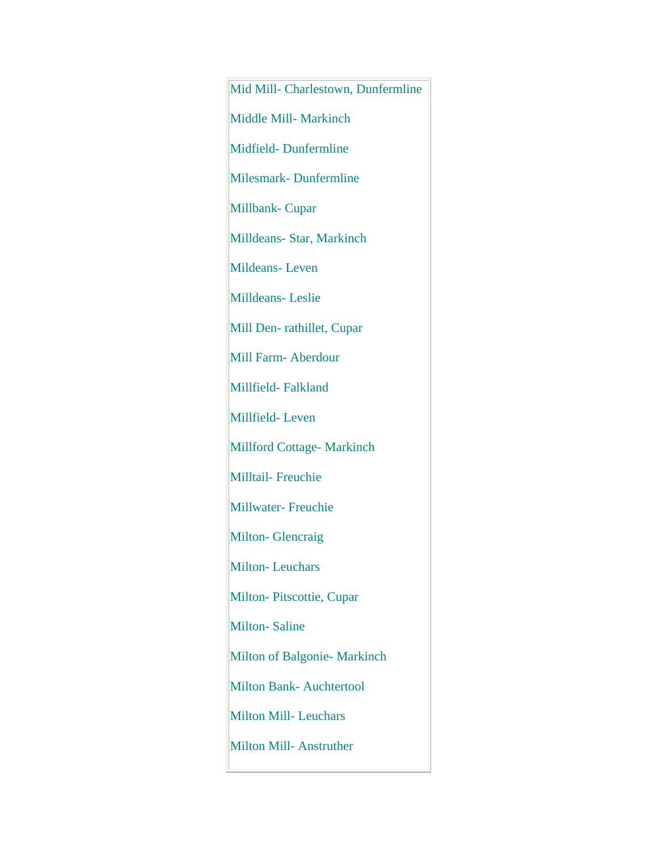Mid Mill- Charlestown, Dunfermline Middle Mill- Markinch Midfield- Dunfermline Milesmark- Dunfermline Millbank- Cupar Milldeans- Star, Markinch Mildeans- Leven Milldeans- Leslie Mill Den- rathillet, Cupar Mill Farm- Aberdour Millfield- Falkland Millfield- Leven Millford Cottage- Markinch Milltail- Freuchie Millwater- Freuchie Milton- Glencraig Milton-Leuchars Milton- Pitscottie, Cupar Milton- Saline Milton of Balgonie- Markinch Milton Bank- Auchtertool Milton Mill- Leuchars Milton Mill- Anstruther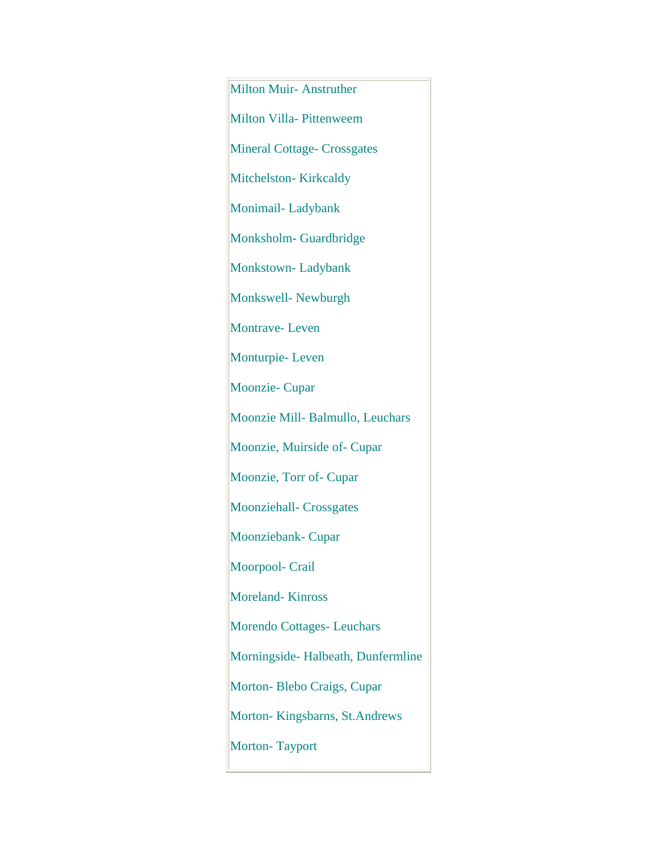Milton Muir- Anstruther Milton Villa- Pittenweem Mineral Cottage- Crossgates Mitchelston-Kirkcaldy Monimail- Ladybank Monksholm- Guardbridge Monkstown- Ladybank Monkswell- Newburgh Montrave- Leven Monturpie- Leven Moonzie- Cupar Moonzie Mill- Balmullo, Leuchars Moonzie, Muirside of- Cupar Moonzie, Torr of- Cupar Moonziehall- Crossgates Moonziebank- Cupar Moorpool- Crail Moreland- Kinross Morendo Cottages- Leuchars Morningside- Halbeath, Dunfermline Morton- Blebo Craigs, Cupar Morton- Kingsbarns, St.Andrews Morton- Tayport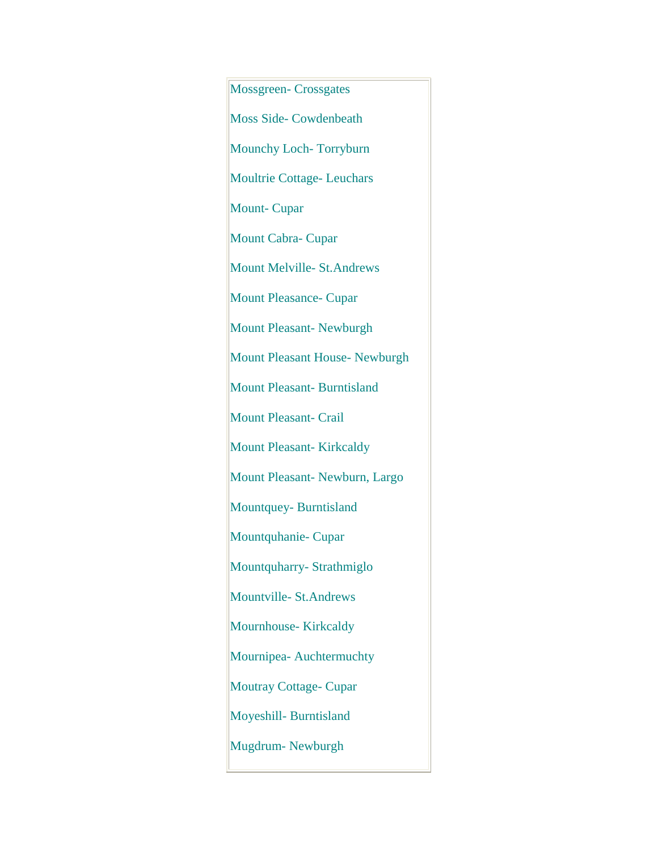Mossgreen- Crossgates Moss Side- Cowdenbeath Mounchy Loch- Torryburn Moultrie Cottage- Leuchars Mount- Cupar Mount Cabra- Cupar Mount Melville- St.Andrews Mount Pleasance- Cupar Mount Pleasant- Newburgh Mount Pleasant House- Newburgh Mount Pleasant- Burntisland Mount Pleasant- Crail Mount Pleasant- Kirkcaldy Mount Pleasant- Newburn, Largo Mountquey- Burntisland Mountquhanie- Cupar Mountquharry- Strathmiglo Mountville- St.Andrews Mournhouse- Kirkcaldy Mournipea- Auchtermuchty Moutray Cottage- Cupar Moyeshill- Burntisland Mugdrum- Newburgh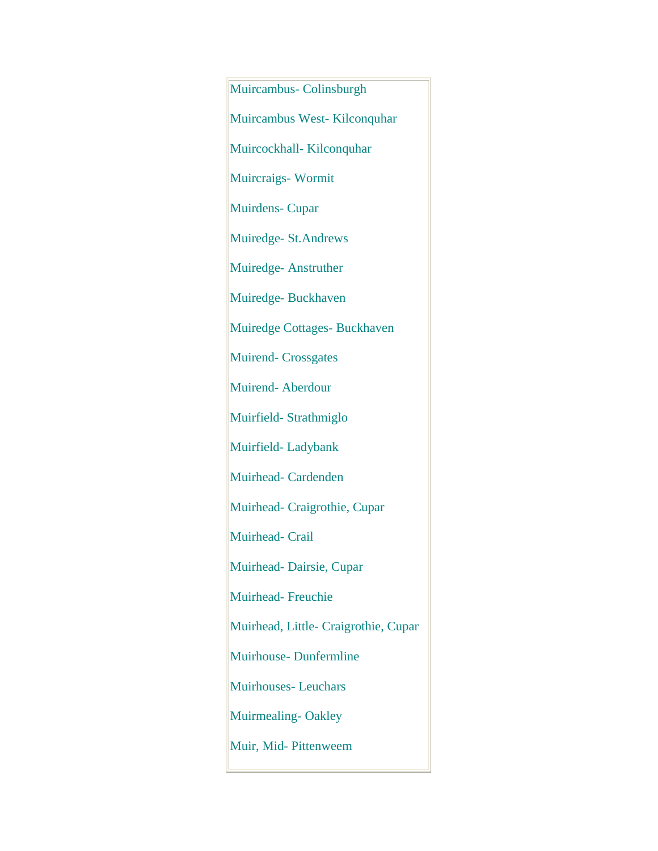Muircambus- Colinsburgh Muircambus West- Kilconquhar Muircockhall- Kilconquhar Muircraigs- Wormit Muirdens- Cupar Muiredge- St.Andrews Muiredge- Anstruther Muiredge- Buckhaven Muiredge Cottages- Buckhaven Muirend- Crossgates Muirend- Aberdour Muirfield- Strathmiglo Muirfield- Ladybank Muirhead- Cardenden Muirhead- Craigrothie, Cupar Muirhead- Crail Muirhead- Dairsie, Cupar Muirhead- Freuchie Muirhead, Little- Craigrothie, Cupar Muirhouse- Dunfermline Muirhouses- Leuchars Muirmealing-Oakley Muir, Mid- Pittenweem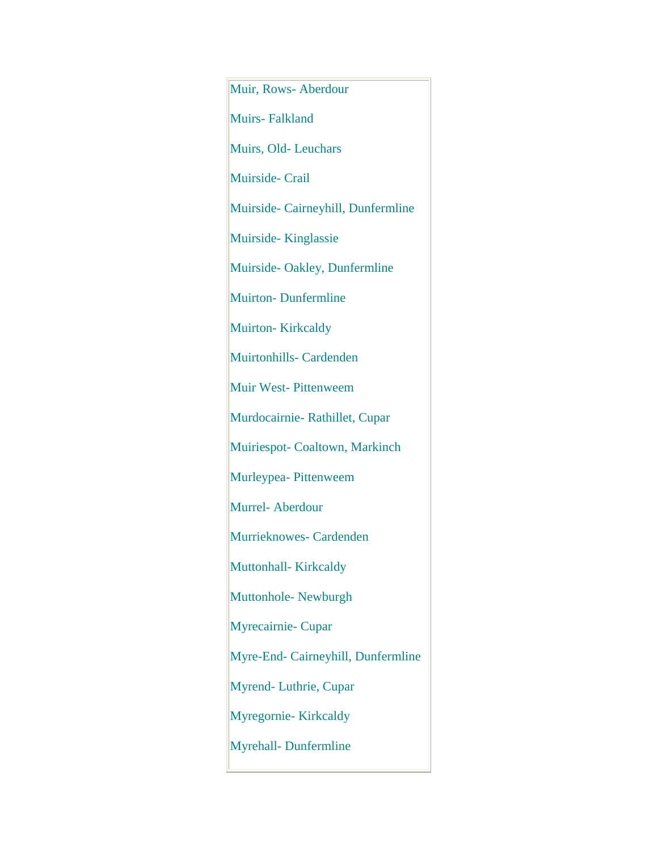Muir, Rows- Aberdour Muirs- Falkland Muirs, Old- Leuchars Muirside- Crail Muirside- Cairneyhill, Dunfermline Muirside- Kinglassie Muirside- Oakley, Dunfermline Muirton- Dunfermline Muirton-Kirkcaldy Muirtonhills- Cardenden Muir West- Pittenweem Murdocairnie- Rathillet, Cupar Muiriespot- Coaltown, Markinch Murleypea- Pittenweem Murrel- Aberdour Murrieknowes- Cardenden Muttonhall- Kirkcaldy Muttonhole- Newburgh Myrecairnie- Cupar Myre-End- Cairneyhill, Dunfermline Myrend- Luthrie, Cupar Myregornie- Kirkcaldy Myrehall- Dunfermline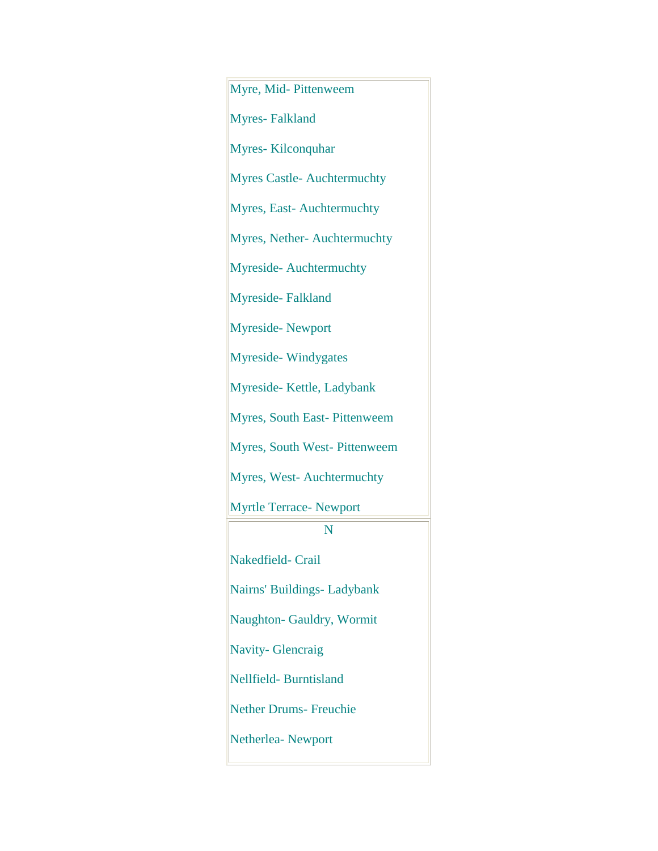Myre, Mid- Pittenweem Myres- Falkland Myres- Kilconquhar Myres Castle- Auchtermuchty Myres, East- Auchtermuchty Myres, Nether- Auchtermuchty Myreside- Auchtermuchty Myreside- Falkland Myreside- Newport Myreside- Windygates Myreside- Kettle, Ladybank Myres, South East- Pittenweem Myres, South West- Pittenweem Myres, West- Auchtermuchty Myrtle Terrace- Newport N Nakedfield- Crail Nairns' Buildings- Ladybank Naughton- Gauldry, Wormit Navity- Glencraig Nellfield- Burntisland Nether Drums- Freuchie Netherlea- Newport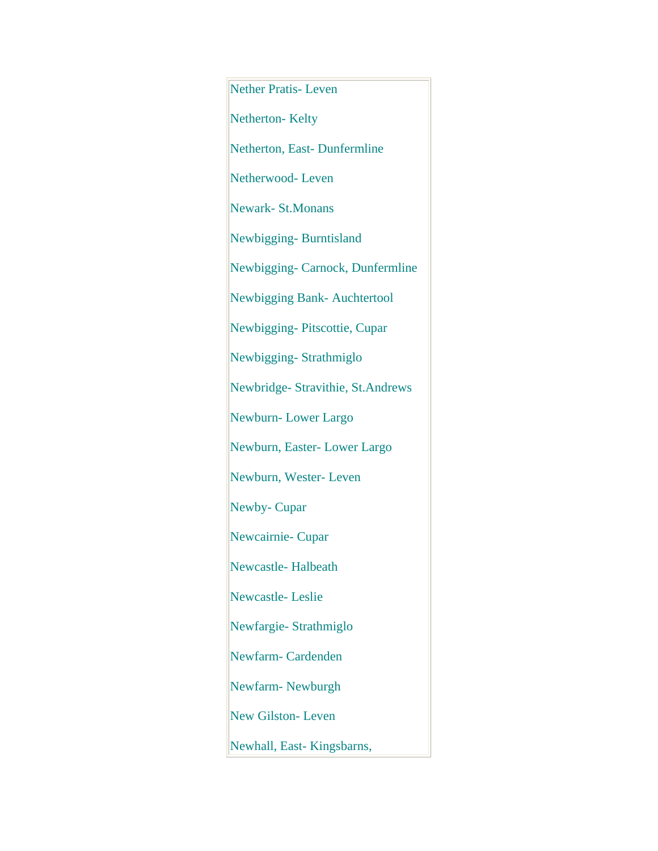Nether Pratis- Leven Netherton-Kelty Netherton, East- Dunfermline Netherwood- Leven Newark- St.Monans Newbigging- Burntisland Newbigging- Carnock, Dunfermline Newbigging Bank- Auchtertool Newbigging- Pitscottie, Cupar Newbigging- Strathmiglo Newbridge- Stravithie, St.Andrews Newburn- Lower Largo Newburn, Easter- Lower Largo Newburn, Wester- Leven Newby- Cupar Newcairnie- Cupar Newcastle- Halbeath Newcastle- Leslie Newfargie- Strathmiglo Newfarm- Cardenden Newfarm- Newburgh New Gilston- Leven Newhall, East- Kingsbarns,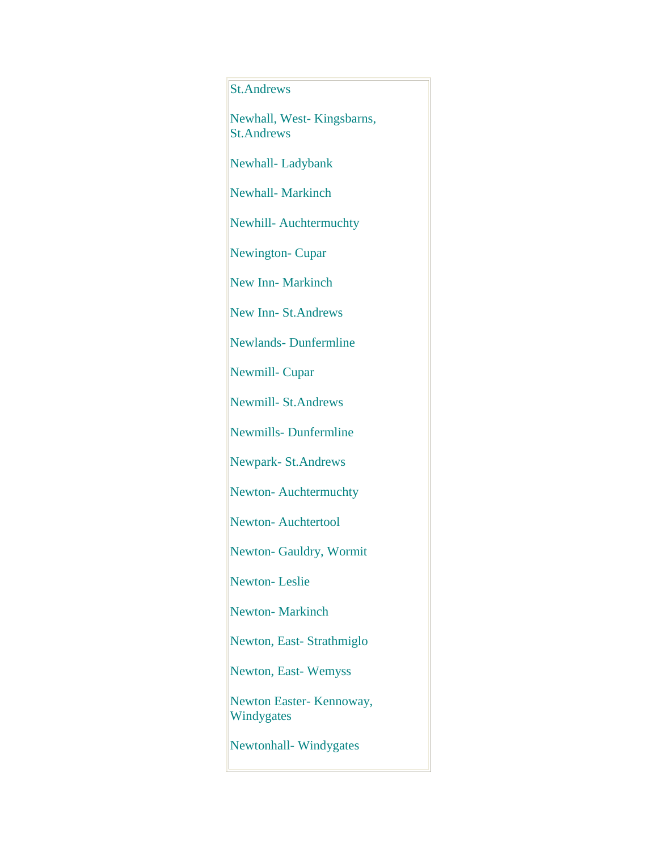## St.Andrews

Newhall, West- Kingsbarns, St.Andrews

Newhall- Ladybank

Newhall- Markinch

Newhill- Auchtermuchty

Newington- Cupar

New Inn- Markinch

New Inn- St.Andrews

Newlands- Dunfermline

Newmill- Cupar

Newmill- St.Andrews

Newmills- Dunfermline

Newpark- St.Andrews

Newton- Auchtermuchty

Newton- Auchtertool

Newton- Gauldry, Wormit

Newton- Leslie

Newton- Markinch

Newton, East- Strathmiglo

Newton, East- Wemyss

Newton Easter- Kennoway, Windygates

Newtonhall- Windygates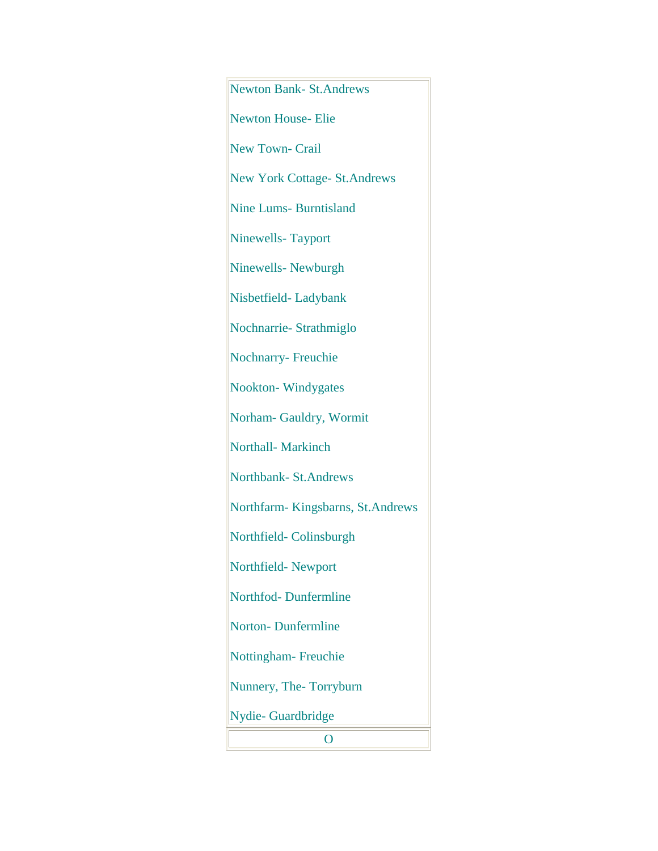Newton Bank- St.Andrews Newton House- Elie New Town- Crail New York Cottage- St.Andrews Nine Lums- Burntisland Ninewells- Tayport Ninewells- Newburgh Nisbetfield- Ladybank Nochnarrie- Strathmiglo Nochnarry- Freuchie Nookton- Windygates Norham- Gauldry, Wormit Northall- Markinch Northbank- St.Andrews Northfarm- Kingsbarns, St.Andrews Northfield- Colinsburgh Northfield- Newport Northfod- Dunfermline Norton- Dunfermline Nottingham- Freuchie Nunnery, The- Torryburn Nydie- Guardbridge O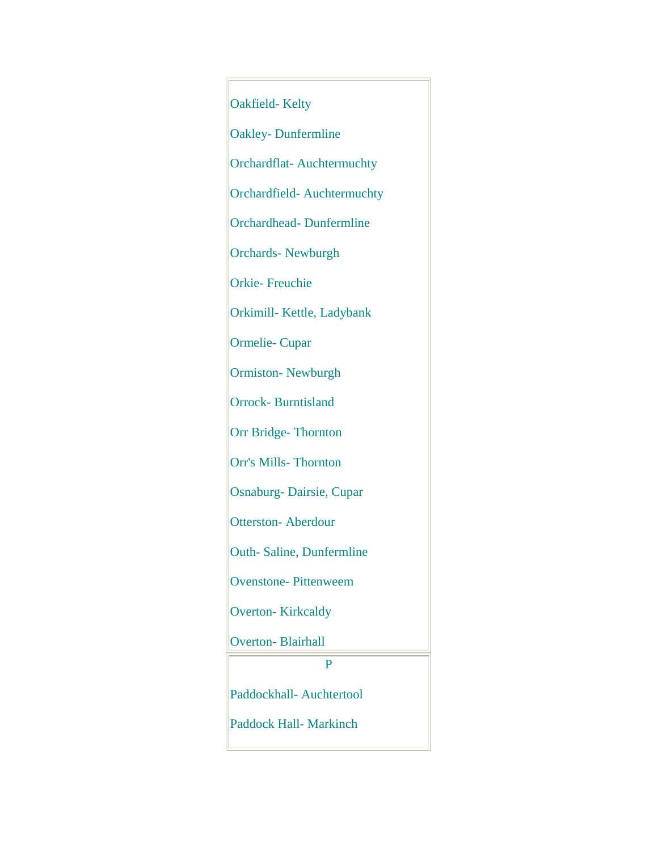Oakfield- Kelty Oakley- Dunfermline Orchardflat- Auchtermuchty Orchardfield- Auchtermuchty Orchardhead- Dunfermline Orchards- Newburgh Orkie- Freuchie Orkimill- Kettle, Ladybank Ormelie- Cupar Ormiston- Newburgh Orrock- Burntisland Orr Bridge- Thornton Orr's Mills- Thornton Osnaburg- Dairsie, Cupar Otterston- Aberdour Outh- Saline, Dunfermline Ovenstone- Pittenweem Overton- Kirkcaldy Overton- Blairhall P Paddockhall- Auchtertool Paddock Hall- Markinch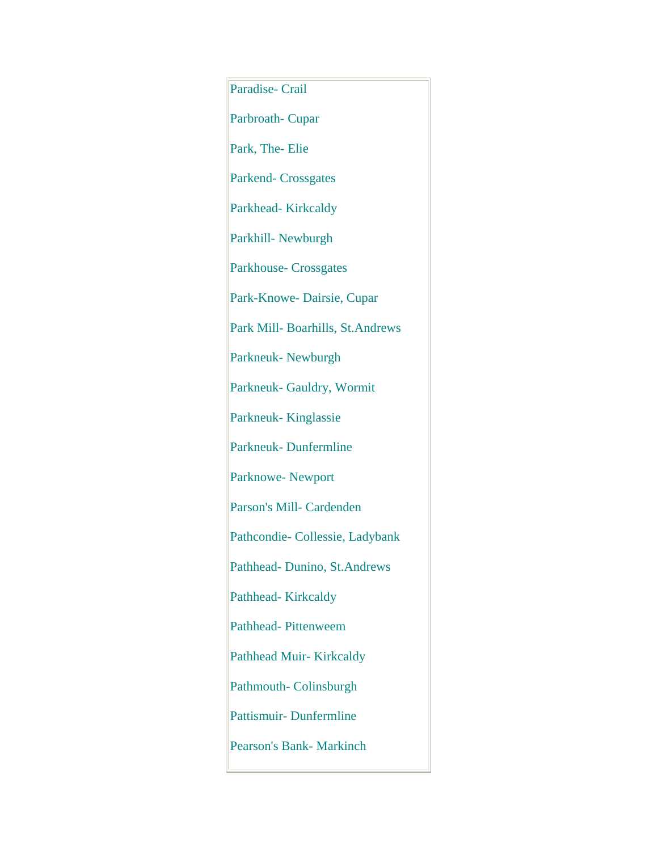Paradise- Crail Parbroath- Cupar Park, The- Elie Parkend- Crossgates Parkhead- Kirkcaldy Parkhill- Newburgh Parkhouse- Crossgates Park-Knowe- Dairsie, Cupar Park Mill- Boarhills, St.Andrews Parkneuk- Newburgh Parkneuk- Gauldry, Wormit Parkneuk- Kinglassie Parkneuk- Dunfermline Parknowe- Newport Parson's Mill- Cardenden Pathcondie- Collessie, Ladybank Pathhead- Dunino, St.Andrews Pathhead- Kirkcaldy Pathhead- Pittenweem Pathhead Muir- Kirkcaldy Pathmouth- Colinsburgh Pattismuir- Dunfermline Pearson's Bank- Markinch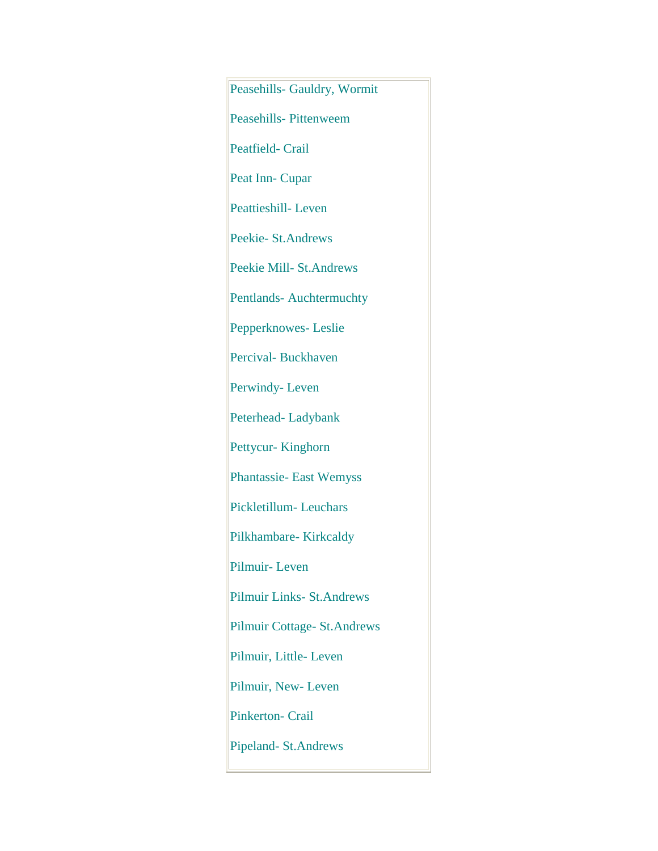Peasehills- Gauldry, Wormit Peasehills- Pittenweem Peatfield- Crail Peat Inn- Cupar Peattieshill- Leven Peekie- St.Andrews Peekie Mill- St.Andrews Pentlands- Auchtermuchty Pepperknowes- Leslie Percival- Buckhaven Perwindy- Leven Peterhead- Ladybank Pettycur- Kinghorn Phantassie- East Wemyss Pickletillum- Leuchars Pilkhambare- Kirkcaldy Pilmuir- Leven Pilmuir Links- St.Andrews Pilmuir Cottage- St.Andrews Pilmuir, Little- Leven Pilmuir, New- Leven Pinkerton- Crail Pipeland- St.Andrews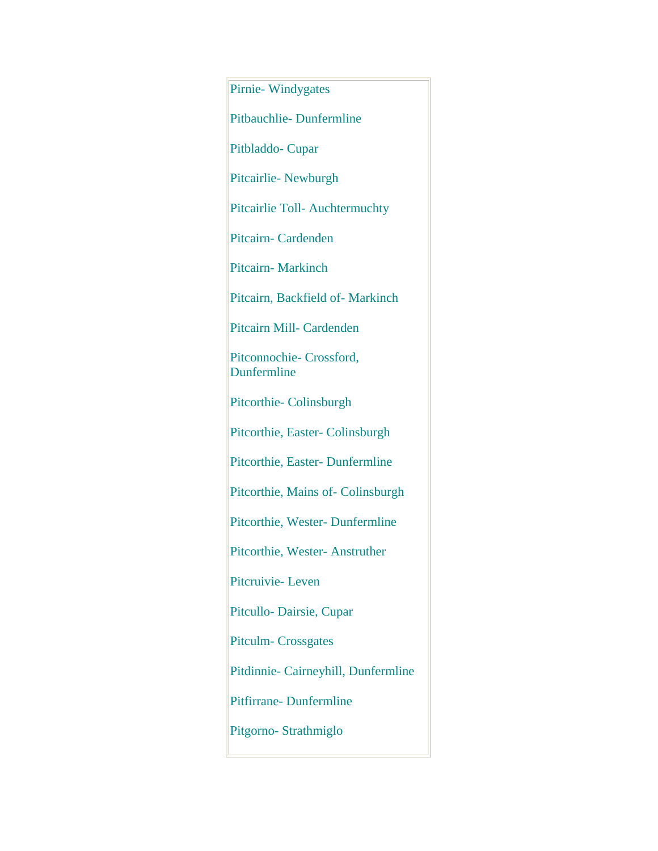Pirnie- Windygates Pitbauchlie- Dunfermline Pitbladdo- Cupar Pitcairlie- Newburgh Pitcairlie Toll- Auchtermuchty Pitcairn- Cardenden Pitcairn- Markinch Pitcairn, Backfield of- Markinch Pitcairn Mill- Cardenden Pitconnochie- Crossford, **Dunfermline** Pitcorthie- Colinsburgh Pitcorthie, Easter- Colinsburgh Pitcorthie, Easter- Dunfermline Pitcorthie, Mains of- Colinsburgh Pitcorthie, Wester- Dunfermline Pitcorthie, Wester- Anstruther Pitcruivie- Leven Pitcullo- Dairsie, Cupar Pitculm- Crossgates Pitdinnie- Cairneyhill, Dunfermline Pitfirrane- Dunfermline Pitgorno- Strathmiglo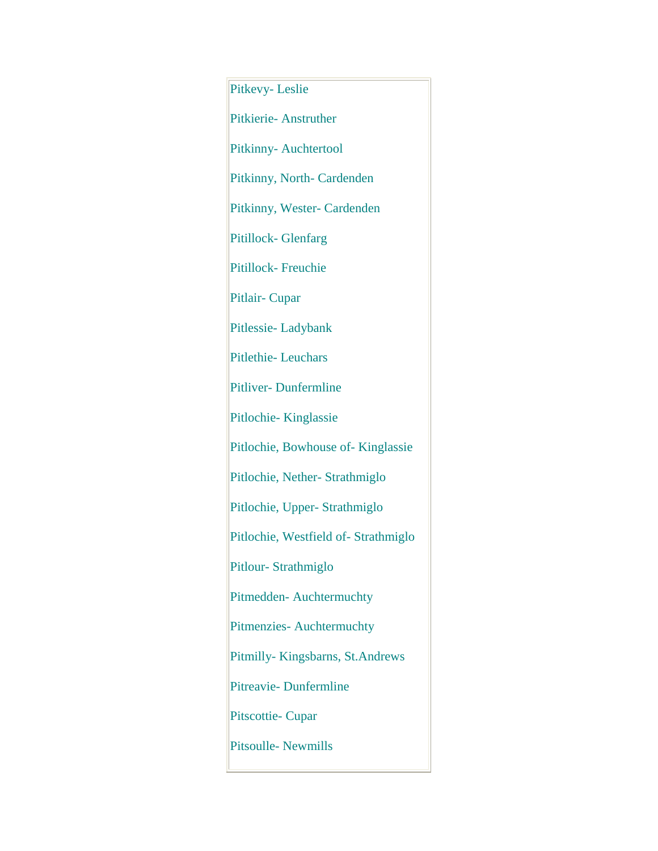Pitkevy- Leslie Pitkierie- Anstruther Pitkinny- Auchtertool Pitkinny, North- Cardenden Pitkinny, Wester- Cardenden Pitillock- Glenfarg Pitillock- Freuchie Pitlair- Cupar Pitlessie- Ladybank Pitlethie- Leuchars Pitliver- Dunfermline Pitlochie- Kinglassie Pitlochie, Bowhouse of- Kinglassie Pitlochie, Nether- Strathmiglo Pitlochie, Upper- Strathmiglo Pitlochie, Westfield of- Strathmiglo Pitlour- Strathmiglo Pitmedden- Auchtermuchty Pitmenzies- Auchtermuchty Pitmilly- Kingsbarns, St.Andrews Pitreavie- Dunfermline Pitscottie- Cupar Pitsoulle- Newmills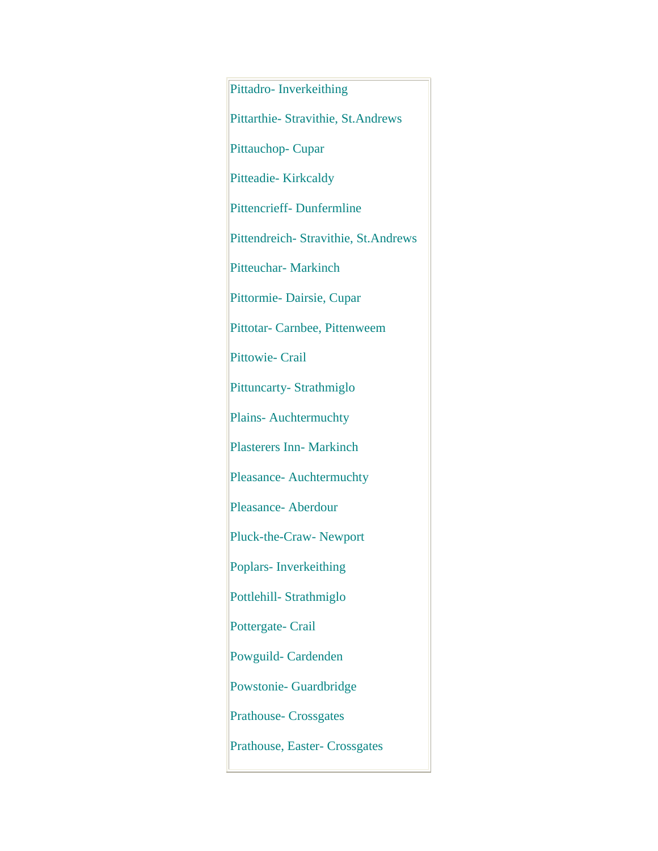Pittadro- Inverkeithing Pittarthie- Stravithie, St.Andrews Pittauchop- Cupar Pitteadie- Kirkcaldy Pittencrieff- Dunfermline Pittendreich- Stravithie, St.Andrews Pitteuchar- Markinch Pittormie- Dairsie, Cupar Pittotar- Carnbee, Pittenweem Pittowie- Crail Pittuncarty- Strathmiglo Plains- Auchtermuchty Plasterers Inn- Markinch Pleasance- Auchtermuchty Pleasance- Aberdour Pluck-the-Craw- Newport Poplars- Inverkeithing Pottlehill- Strathmiglo Pottergate- Crail Powguild- Cardenden Powstonie- Guardbridge Prathouse- Crossgates Prathouse, Easter- Crossgates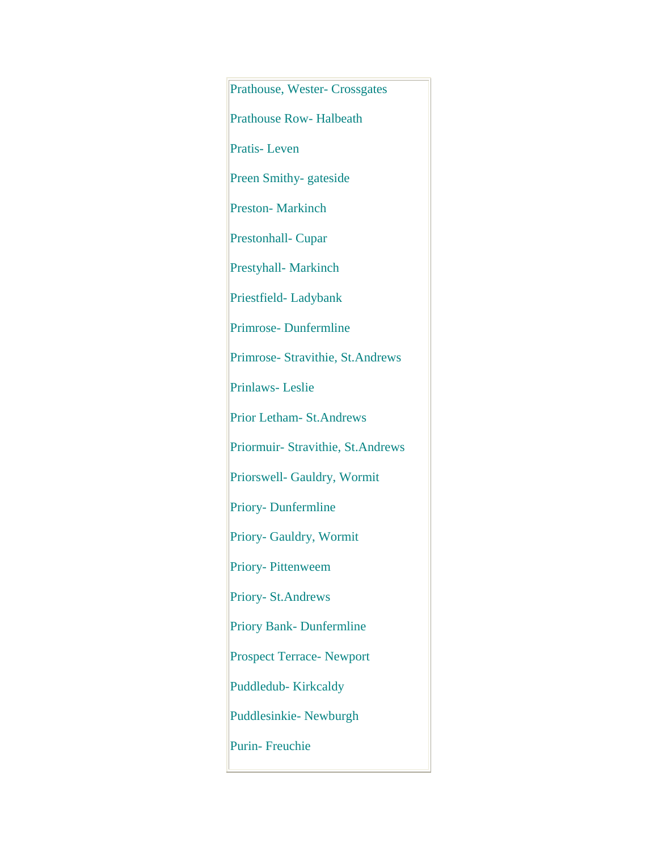Prathouse, Wester- Crossgates Prathouse Row- Halbeath Pratis- Leven Preen Smithy- gateside Preston- Markinch Prestonhall- Cupar Prestyhall- Markinch Priestfield- Ladybank Primrose- Dunfermline Primrose- Stravithie, St.Andrews Prinlaws- Leslie Prior Letham- St.Andrews Priormuir- Stravithie, St.Andrews Priorswell- Gauldry, Wormit Priory- Dunfermline Priory- Gauldry, Wormit Priory- Pittenweem Priory- St.Andrews Priory Bank- Dunfermline Prospect Terrace- Newport Puddledub- Kirkcaldy Puddlesinkie- Newburgh Purin- Freuchie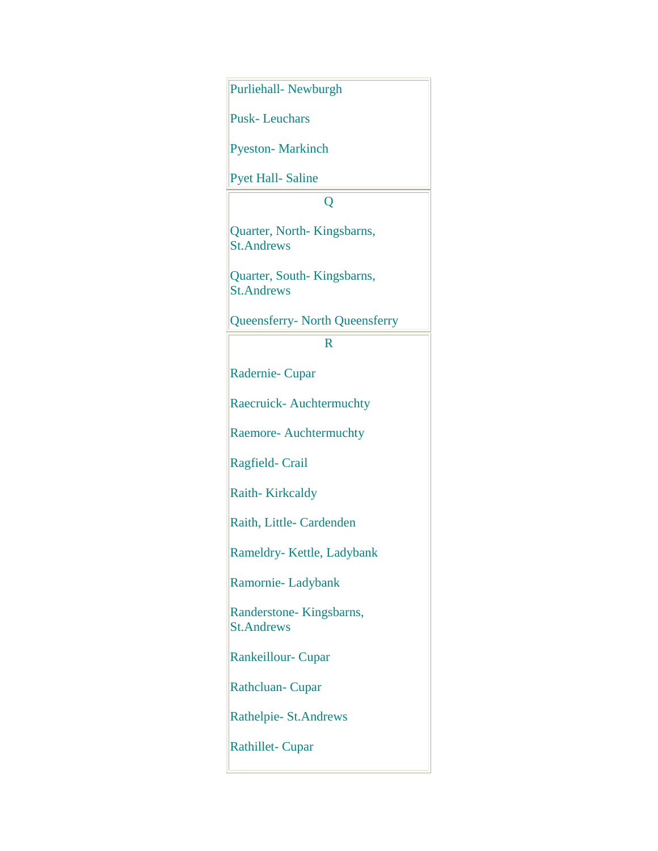| Purliehall- Newburgh                            |
|-------------------------------------------------|
| <b>Pusk-Leuchars</b>                            |
| <b>Pyeston-Markinch</b>                         |
| <b>Pyet Hall-Saline</b>                         |
| Q                                               |
| Quarter, North-Kingsbarns,<br><b>St.Andrews</b> |
| Quarter, South-Kingsbarns,<br><b>St.Andrews</b> |
| <b>Queensferry- North Queensferry</b>           |
| $\mathbf R$                                     |
| Radernie-Cupar                                  |
| <b>Raecruick-Auchtermuchty</b>                  |
| Raemore- Auchtermuchty                          |
| Ragfield-Crail                                  |
| Raith-Kirkcaldy                                 |
| Raith, Little- Cardenden                        |
| Rameldry- Kettle, Ladybank                      |
| Ramornie-Ladybank                               |
| Randerstone-Kingsbarns,<br><b>St.Andrews</b>    |
| <b>Rankeillour- Cupar</b>                       |
| <b>Rathcluan-Cupar</b>                          |
| Rathelpie- St. Andrews                          |
| <b>Rathillet-Cupar</b>                          |
|                                                 |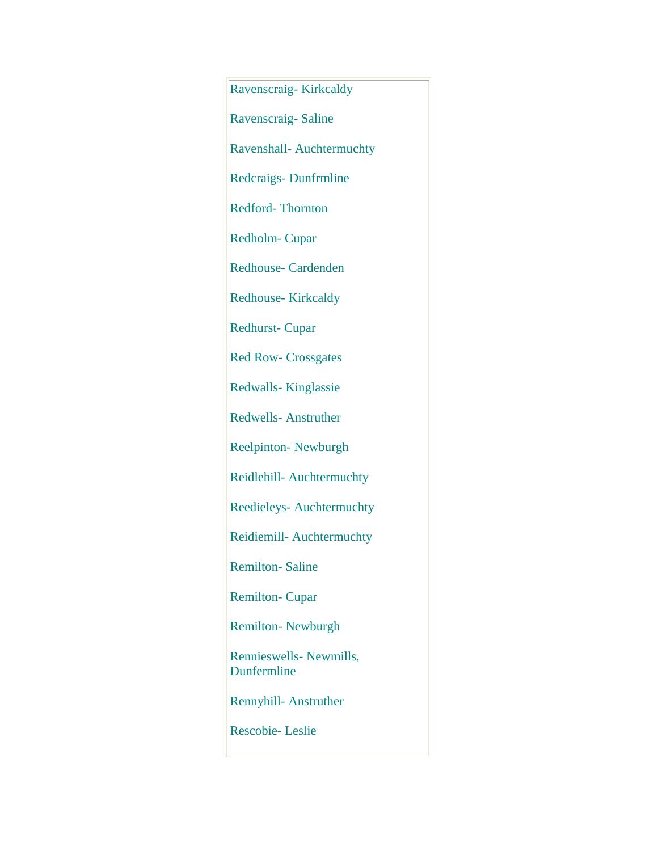Ravenscraig- Kirkcaldy Ravenscraig- Saline Ravenshall- Auchtermuchty Redcraigs- Dunfrmline Redford- Thornton Redholm- Cupar Redhouse- Cardenden Redhouse- Kirkcaldy Redhurst- Cupar Red Row- Crossgates Redwalls- Kinglassie Redwells- Anstruther Reelpinton- Newburgh Reidlehill- Auchtermuchty Reedieleys- Auchtermuchty Reidiemill- Auchtermuchty Remilton- Saline Remilton- Cupar Remilton- Newburgh Rennieswells- Newmills, Dunfermline Rennyhill- Anstruther Rescobie- Leslie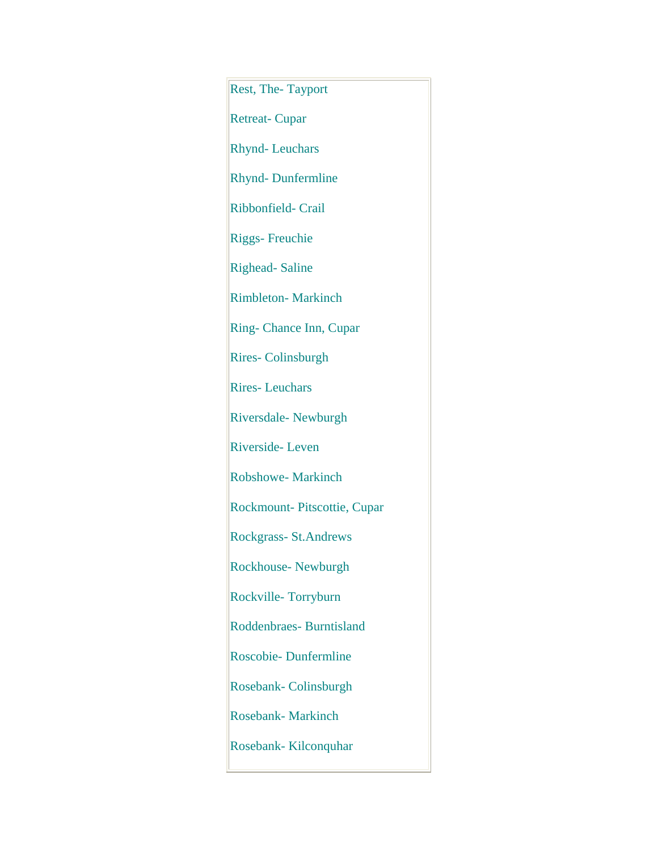Rest, The- Tayport Retreat- Cupar Rhynd- Leuchars Rhynd- Dunfermline Ribbonfield- Crail Riggs- Freuchie Righead- Saline Rimbleton- Markinch Ring- Chance Inn, Cupar Rires- Colinsburgh Rires- Leuchars Riversdale- Newburgh Riverside- Leven Robshowe- Markinch Rockmount- Pitscottie, Cupar Rockgrass- St.Andrews Rockhouse- Newburgh Rockville- Torryburn Roddenbraes- Burntisland Roscobie- Dunfermline Rosebank- Colinsburgh Rosebank- Markinch Rosebank- Kilconquhar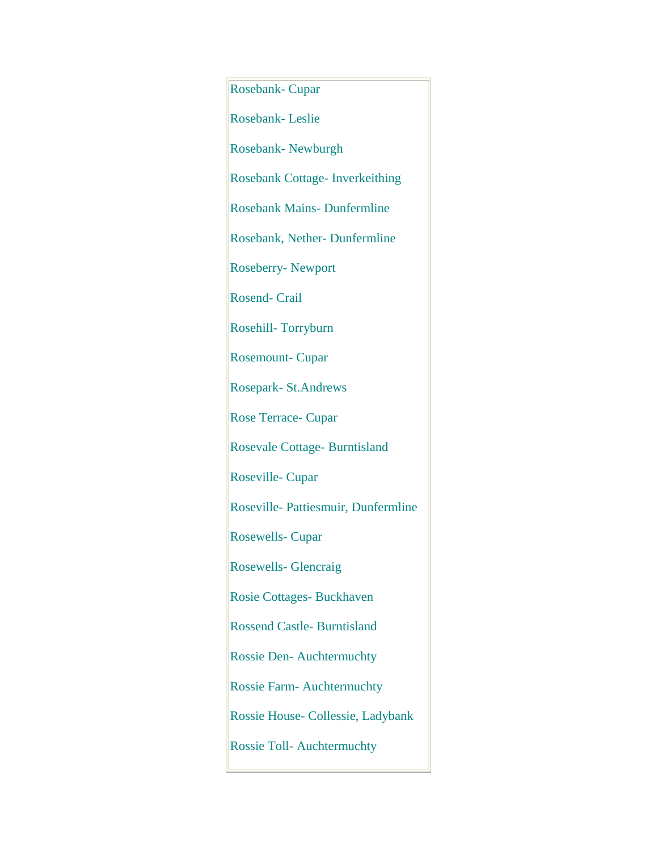Rosebank- Cupar Rosebank- Leslie Rosebank- Newburgh Rosebank Cottage- Inverkeithing Rosebank Mains- Dunfermline Rosebank, Nether- Dunfermline Roseberry- Newport Rosend- Crail Rosehill- Torryburn Rosemount- Cupar Rosepark- St.Andrews Rose Terrace- Cupar Rosevale Cottage- Burntisland Roseville- Cupar Roseville- Pattiesmuir, Dunfermline Rosewells- Cupar Rosewells- Glencraig Rosie Cottages- Buckhaven Rossend Castle- Burntisland Rossie Den- Auchtermuchty Rossie Farm- Auchtermuchty Rossie House- Collessie, Ladybank Rossie Toll- Auchtermuchty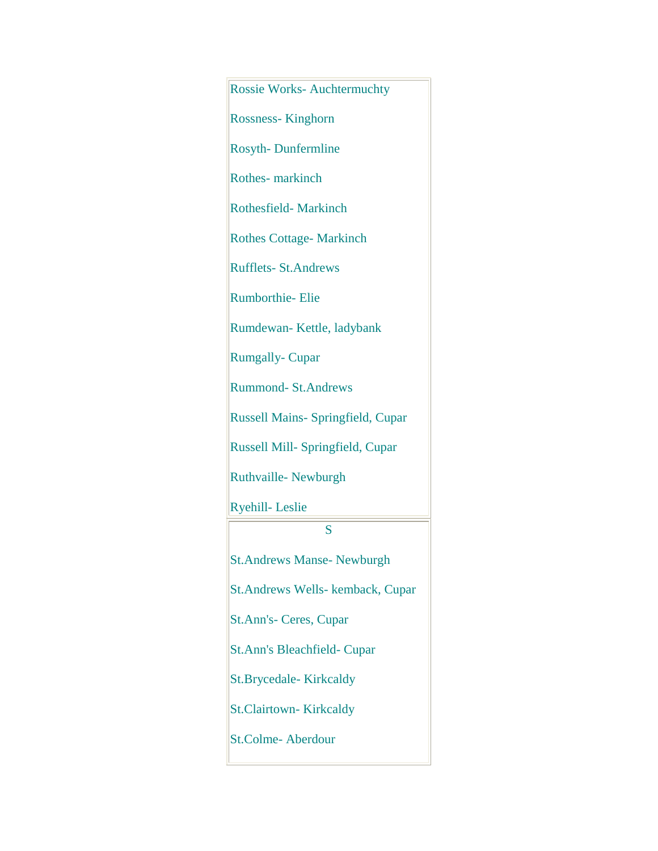Rossie Works- Auchtermuchty Rossness- Kinghorn Rosyth- Dunfermline Rothes- markinch Rothesfield- Markinch Rothes Cottage- Markinch Rufflets- St.Andrews Rumborthie- Elie Rumdewan- Kettle, ladybank Rumgally- Cupar Rummond- St.Andrews Russell Mains- Springfield, Cupar Russell Mill- Springfield, Cupar Ruthvaille- Newburgh Ryehill- Leslie S St.Andrews Manse- Newburgh St.Andrews Wells- kemback, Cupar St.Ann's- Ceres, Cupar St.Ann's Bleachfield- Cupar St.Brycedale- Kirkcaldy St.Clairtown- Kirkcaldy St.Colme- Aberdour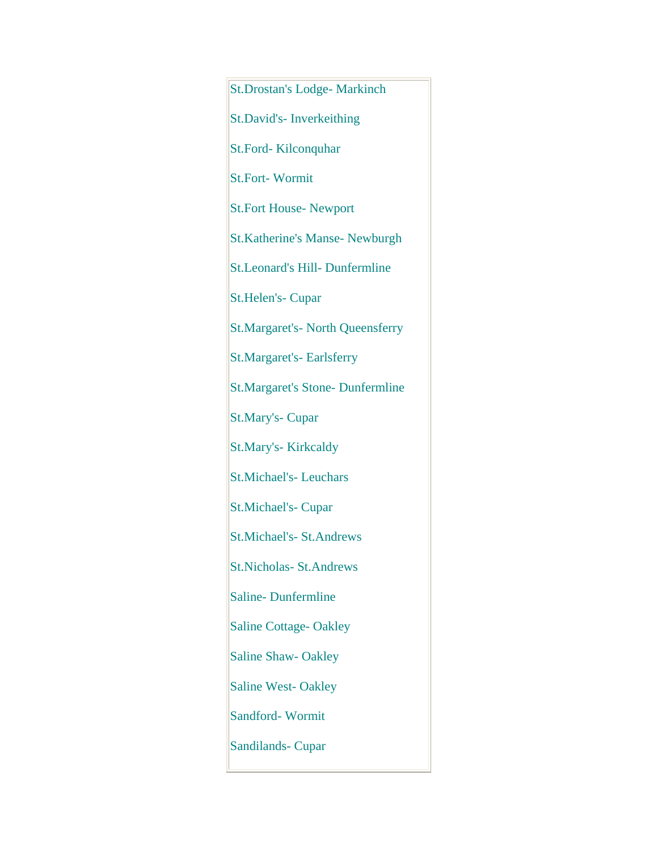St.Drostan's Lodge- Markinch St.David's- Inverkeithing St.Ford- Kilconquhar St.Fort- Wormit St.Fort House- Newport St.Katherine's Manse- Newburgh St.Leonard's Hill- Dunfermline St.Helen's- Cupar St.Margaret's- North Queensferry St.Margaret's- Earlsferry St.Margaret's Stone- Dunfermline St.Mary's- Cupar St.Mary's- Kirkcaldy St.Michael's- Leuchars St.Michael's- Cupar St.Michael's- St.Andrews St.Nicholas- St.Andrews Saline- Dunfermline Saline Cottage- Oakley Saline Shaw- Oakley Saline West- Oakley Sandford- Wormit Sandilands- Cupar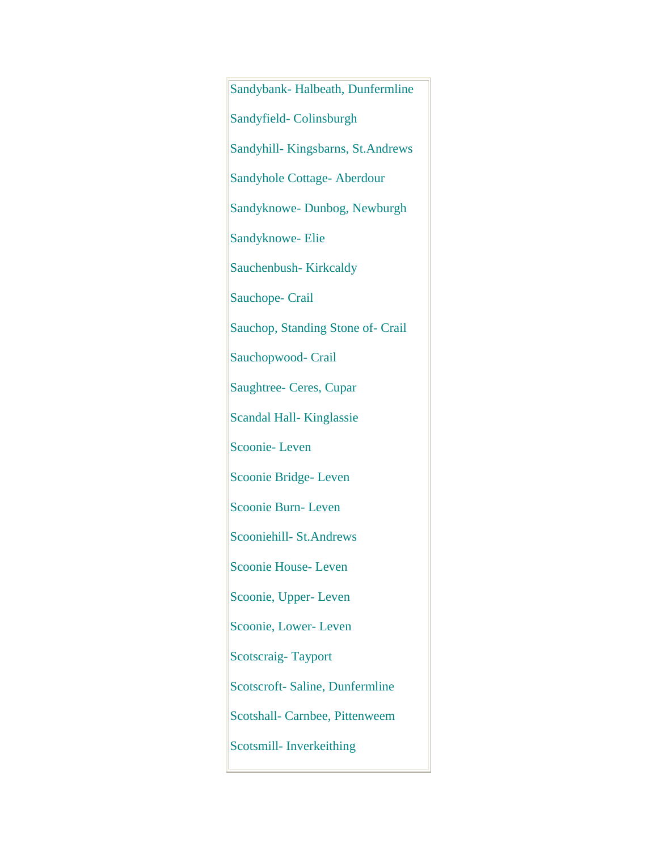Sandybank- Halbeath, Dunfermline Sandyfield- Colinsburgh Sandyhill- Kingsbarns, St.Andrews Sandyhole Cottage- Aberdour Sandyknowe- Dunbog, Newburgh Sandyknowe- Elie Sauchenbush- Kirkcaldy Sauchope- Crail Sauchop, Standing Stone of- Crail Sauchopwood- Crail Saughtree- Ceres, Cupar Scandal Hall- Kinglassie Scoonie- Leven Scoonie Bridge- Leven Scoonie Burn- Leven Scooniehill- St.Andrews Scoonie House- Leven Scoonie, Upper- Leven Scoonie, Lower- Leven Scotscraig- Tayport Scotscroft- Saline, Dunfermline Scotshall- Carnbee, Pittenweem Scotsmill- Inverkeithing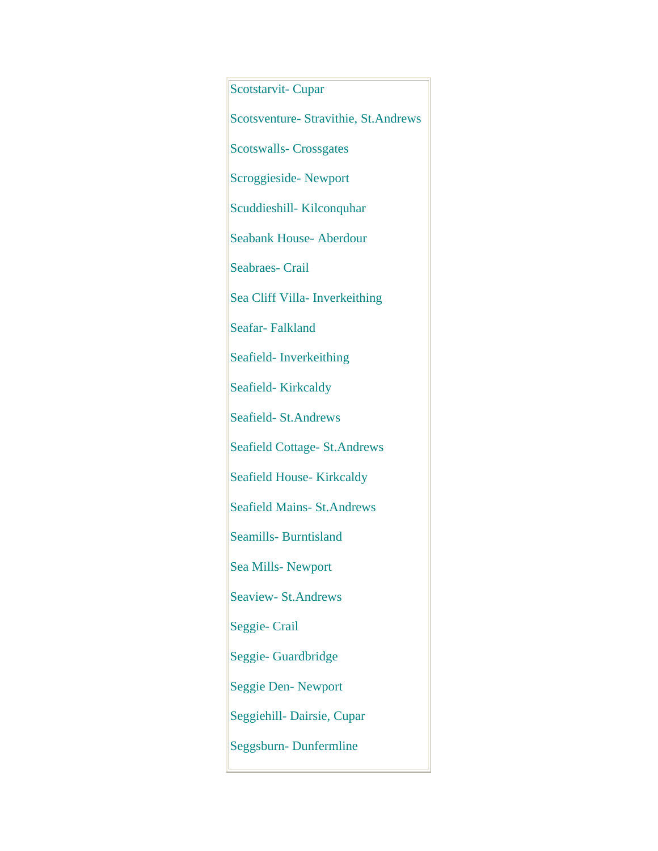Scotstarvit- Cupar Scotsventure- Stravithie, St.Andrews Scotswalls- Crossgates Scroggieside- Newport Scuddieshill- Kilconquhar Seabank House- Aberdour Seabraes- Crail Sea Cliff Villa- Inverkeithing Seafar- Falkland Seafield- Inverkeithing Seafield-Kirkcaldy Seafield- St.Andrews Seafield Cottage- St.Andrews Seafield House- Kirkcaldy Seafield Mains- St.Andrews Seamills- Burntisland Sea Mills- Newport Seaview- St.Andrews Seggie- Crail Seggie- Guardbridge Seggie Den- Newport Seggiehill- Dairsie, Cupar Seggsburn- Dunfermline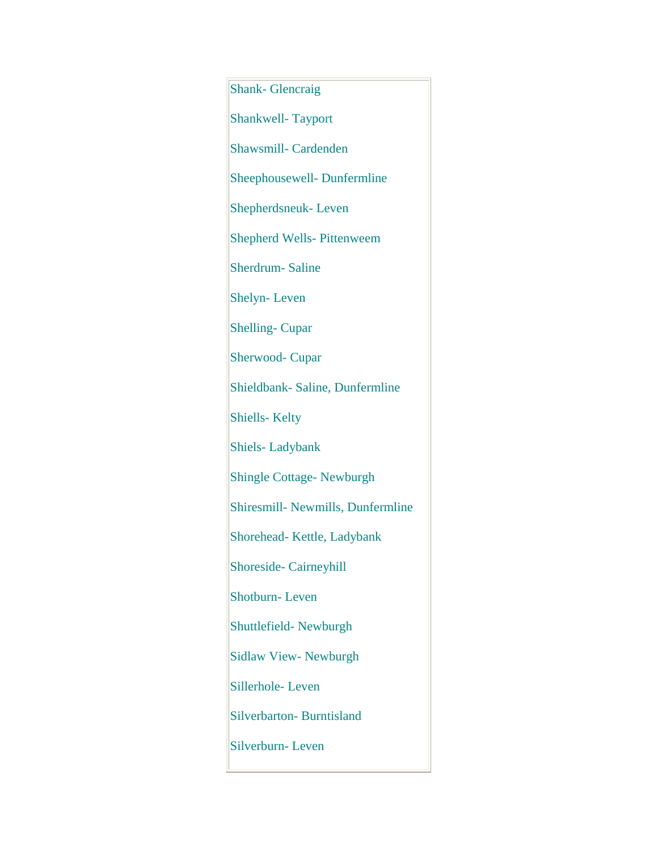Shank- Glencraig Shankwell- Tayport Shawsmill- Cardenden Sheephousewell- Dunfermline Shepherdsneuk- Leven Shepherd Wells- Pittenweem Sherdrum- Saline Shelyn- Leven Shelling- Cupar Sherwood- Cupar Shieldbank- Saline, Dunfermline Shiells- Kelty Shiels- Ladybank Shingle Cottage- Newburgh Shiresmill- Newmills, Dunfermline Shorehead- Kettle, Ladybank Shoreside- Cairneyhill Shotburn- Leven Shuttlefield- Newburgh Sidlaw View- Newburgh Sillerhole- Leven Silverbarton- Burntisland Silverburn- Leven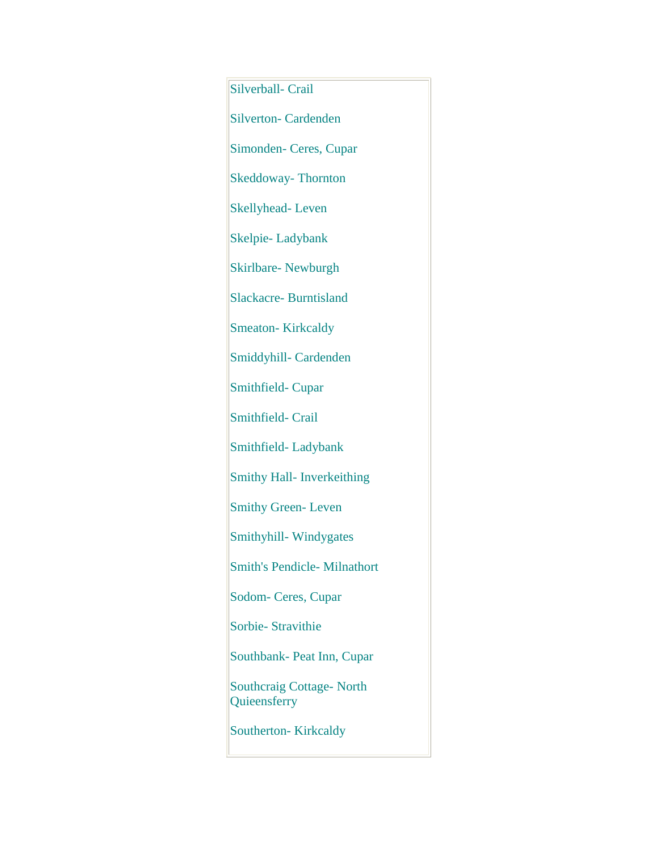Silverball- Crail Silverton- Cardenden Simonden- Ceres, Cupar Skeddoway- Thornton Skellyhead- Leven Skelpie- Ladybank Skirlbare- Newburgh Slackacre- Burntisland Smeaton-Kirkcaldy Smiddyhill- Cardenden Smithfield- Cupar Smithfield- Crail Smithfield- Ladybank Smithy Hall- Inverkeithing Smithy Green-Leven Smithyhill- Windygates Smith's Pendicle- Milnathort Sodom- Ceres, Cupar Sorbie- Stravithie Southbank- Peat Inn, Cupar Southcraig Cottage- North Quieensferry Southerton-Kirkcaldy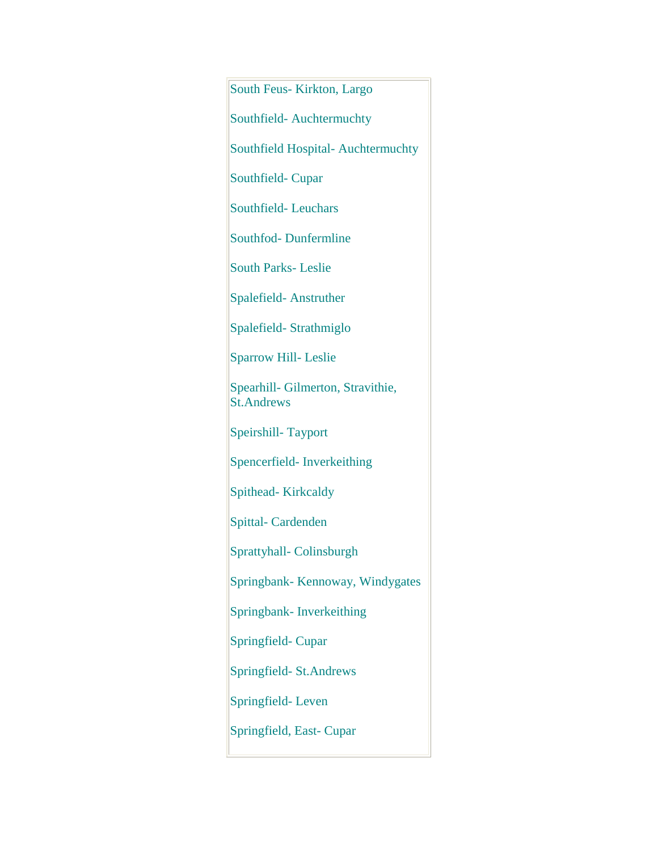South Feus- Kirkton, Largo Southfield- Auchtermuchty Southfield Hospital- Auchtermuchty Southfield- Cupar Southfield- Leuchars Southfod- Dunfermline South Parks- Leslie Spalefield- Anstruther Spalefield- Strathmiglo Sparrow Hill- Leslie Spearhill- Gilmerton, Stravithie, St.Andrews Speirshill- Tayport Spencerfield- Inverkeithing Spithead- Kirkcaldy Spittal- Cardenden Sprattyhall- Colinsburgh Springbank- Kennoway, Windygates Springbank- Inverkeithing Springfield- Cupar Springfield- St.Andrews Springfield- Leven Springfield, East- Cupar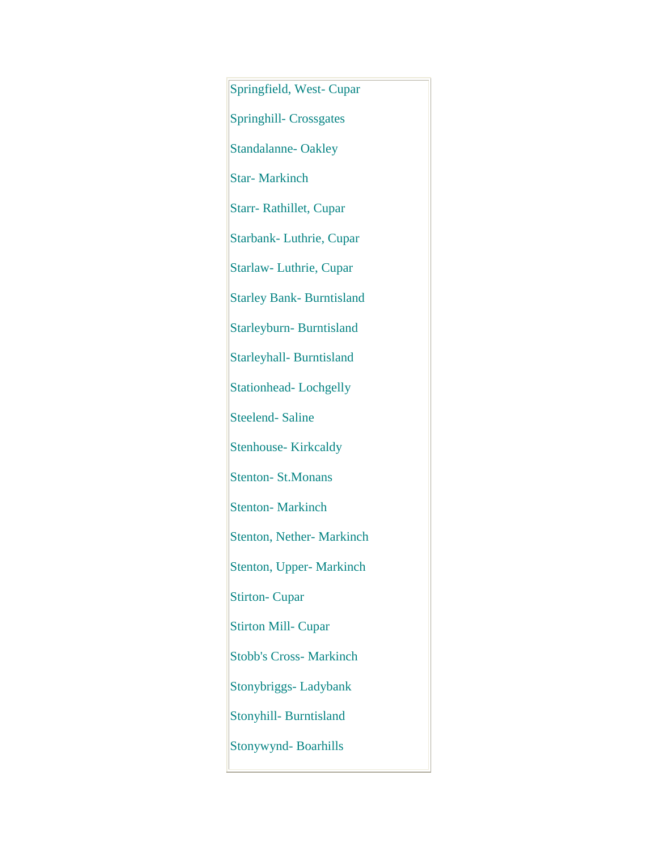Springfield, West- Cupar Springhill- Crossgates Standalanne-Oakley Star- Markinch Starr- Rathillet, Cupar Starbank- Luthrie, Cupar Starlaw- Luthrie, Cupar Starley Bank- Burntisland Starleyburn- Burntisland Starleyhall- Burntisland Stationhead-Lochgelly Steelend- Saline Stenhouse- Kirkcaldy Stenton- St.Monans Stenton-Markinch Stenton, Nether- Markinch Stenton, Upper- Markinch Stirton- Cupar Stirton Mill- Cupar Stobb's Cross- Markinch Stonybriggs- Ladybank Stonyhill- Burntisland Stonywynd- Boarhills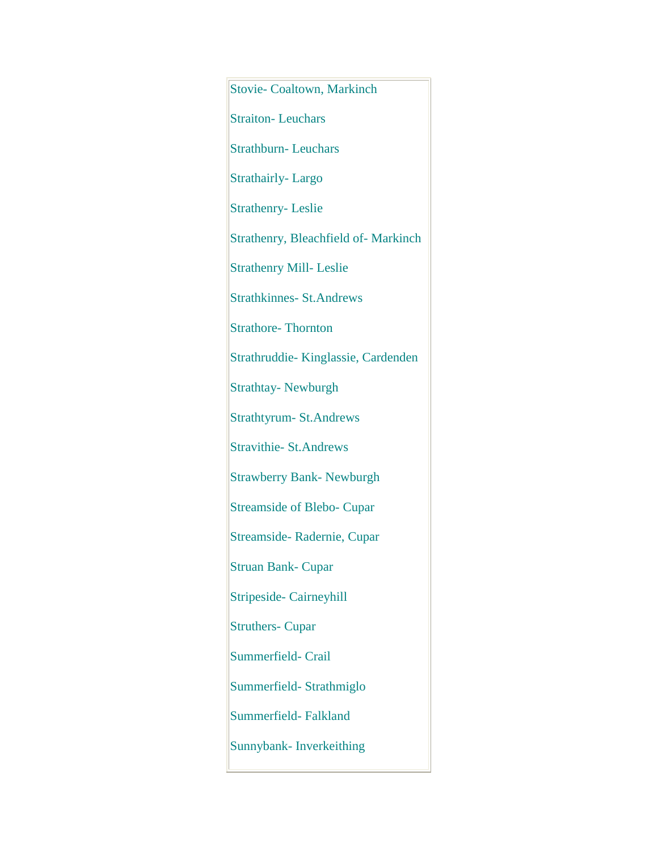Stovie- Coaltown, Markinch Straiton-Leuchars Strathburn- Leuchars Strathairly- Largo Strathenry- Leslie Strathenry, Bleachfield of- Markinch Strathenry Mill- Leslie Strathkinnes- St.Andrews Strathore-Thornton Strathruddie- Kinglassie, Cardenden Strathtay- Newburgh Strathtyrum- St.Andrews Stravithie- St.Andrews Strawberry Bank- Newburgh Streamside of Blebo- Cupar Streamside- Radernie, Cupar Struan Bank- Cupar Stripeside- Cairneyhill Struthers- Cupar Summerfield- Crail Summerfield- Strathmiglo Summerfield- Falkland Sunnybank- Inverkeithing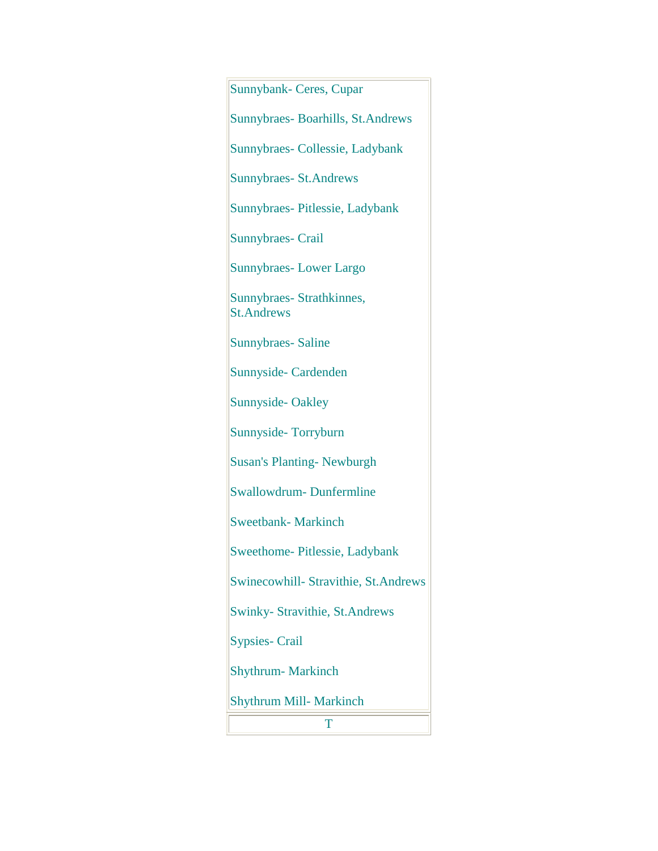Sunnybank- Ceres, Cupar Sunnybraes- Boarhills, St.Andrews Sunnybraes- Collessie, Ladybank Sunnybraes- St.Andrews Sunnybraes- Pitlessie, Ladybank Sunnybraes- Crail Sunnybraes- Lower Largo Sunnybraes- Strathkinnes, St.Andrews Sunnybraes- Saline Sunnyside- Cardenden Sunnyside- Oakley Sunnyside- Torryburn Susan's Planting- Newburgh Swallowdrum- Dunfermline Sweetbank- Markinch Sweethome- Pitlessie, Ladybank Swinecowhill- Stravithie, St.Andrews Swinky- Stravithie, St.Andrews Sypsies- Crail Shythrum- Markinch Shythrum Mill- Markinch T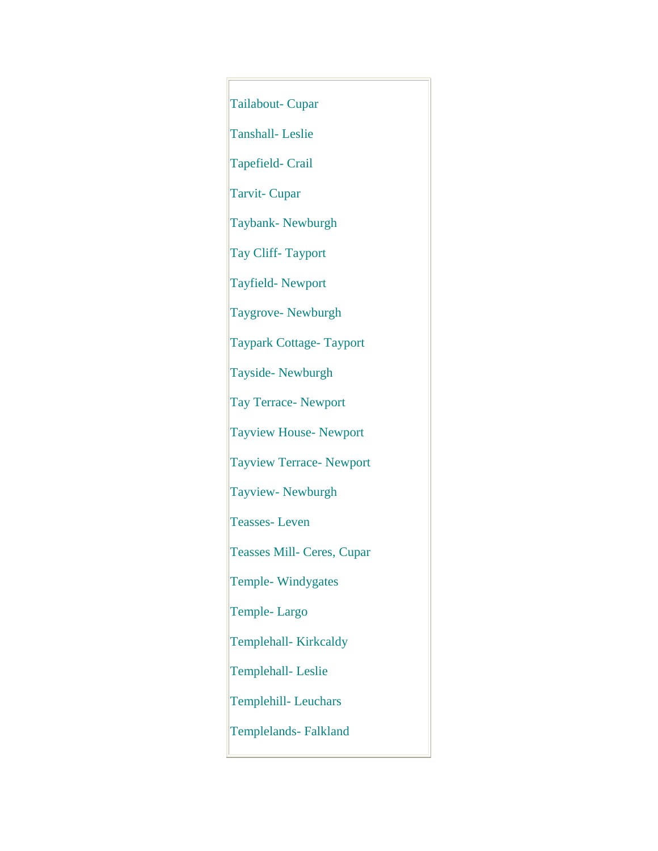Tailabout- Cupar Tanshall- Leslie Tapefield- Crail Tarvit- Cupar Taybank- Newburgh Tay Cliff- Tayport Tayfield- Newport Taygrove- Newburgh Taypark Cottage- Tayport Tayside- Newburgh Tay Terrace- Newport Tayview House- Newport Tayview Terrace- Newport Tayview- Newburgh Teasses- Leven Teasses Mill- Ceres, Cupar Temple- Windygates Temple- Largo Templehall- Kirkcaldy Templehall- Leslie Templehill- Leuchars Templelands- Falkland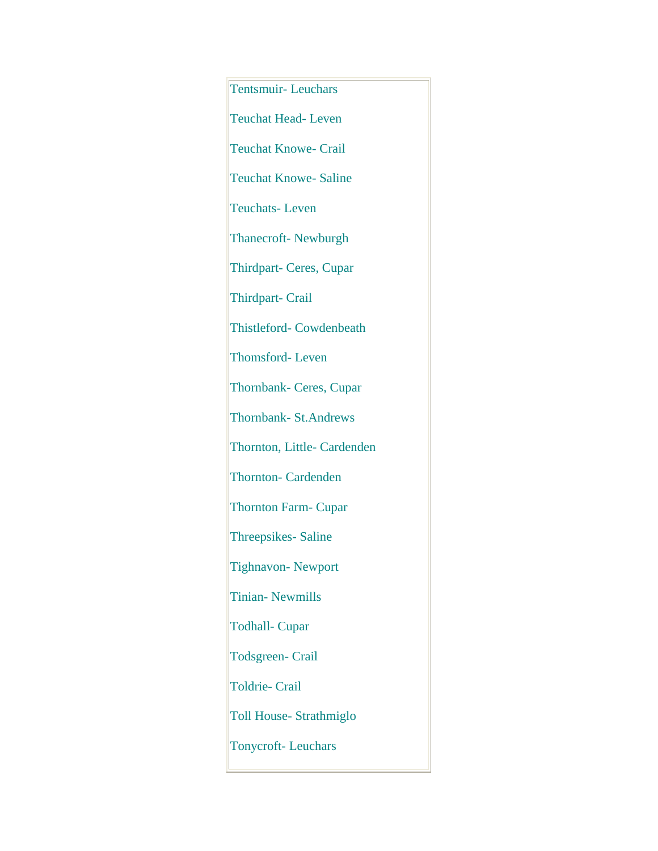Tentsmuir- Leuchars Teuchat Head- Leven Teuchat Knowe- Crail Teuchat Knowe- Saline Teuchats- Leven Thanecroft- Newburgh Thirdpart- Ceres, Cupar Thirdpart- Crail Thistleford- Cowdenbeath Thomsford- Leven Thornbank- Ceres, Cupar Thornbank- St.Andrews Thornton, Little- Cardenden Thornton- Cardenden Thornton Farm- Cupar Threepsikes- Saline Tighnavon- Newport Tinian- Newmills Todhall- Cupar Todsgreen- Crail Toldrie- Crail Toll House- Strathmiglo Tonycroft- Leuchars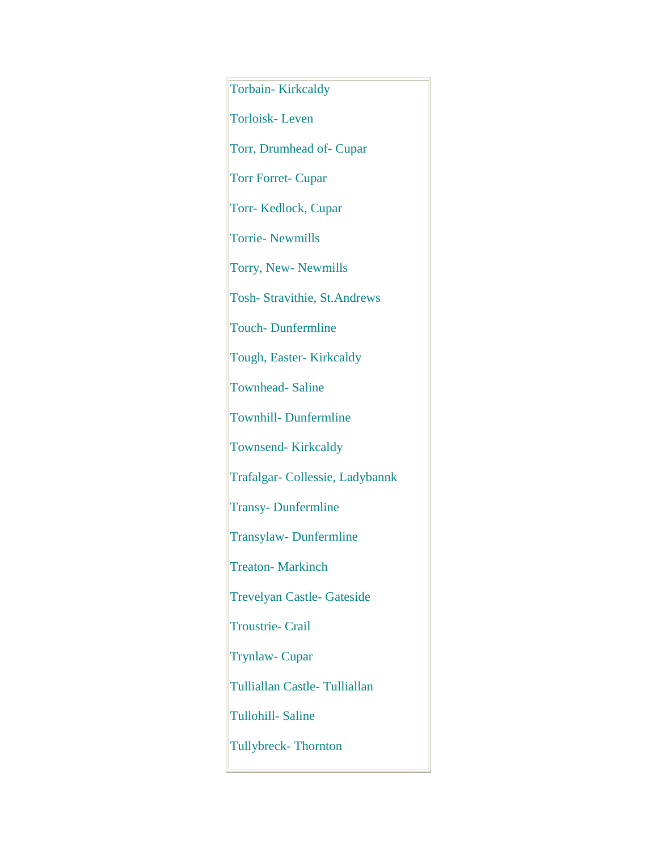Torbain- Kirkcaldy Torloisk- Leven Torr, Drumhead of- Cupar Torr Forret- Cupar Torr- Kedlock, Cupar Torrie- Newmills Torry, New- Newmills Tosh- Stravithie, St.Andrews Touch- Dunfermline Tough, Easter- Kirkcaldy Townhead- Saline Townhill- Dunfermline Townsend- Kirkcaldy Trafalgar- Collessie, Ladybannk Transy- Dunfermline Transylaw- Dunfermline Treaton- Markinch Trevelyan Castle- Gateside Troustrie- Crail Trynlaw- Cupar Tulliallan Castle- Tulliallan Tullohill- Saline Tullybreck- Thornton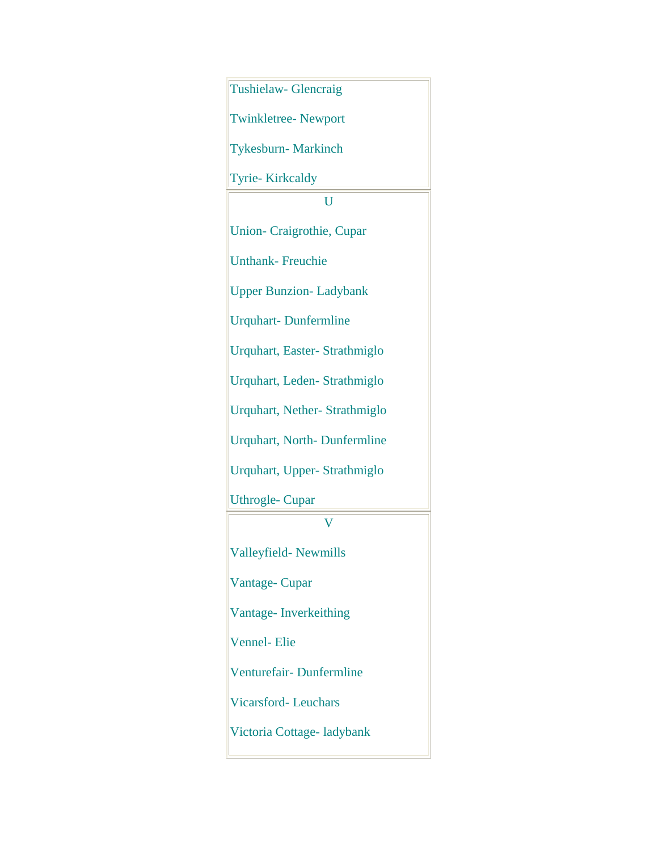| Tushielaw- Glencraig                |
|-------------------------------------|
| <b>Twinkletree-Newport</b>          |
| <b>Tykesburn-Markinch</b>           |
| Tyrie-Kirkcaldy                     |
| Ū                                   |
| <b>Union-Craigrothie, Cupar</b>     |
| <b>Unthank-Freuchie</b>             |
| <b>Upper Bunzion-Ladybank</b>       |
| <b>Urquhart-Dunfermline</b>         |
| Urquhart, Easter- Strathmiglo       |
| Urquhart, Leden-Strathmiglo         |
| <b>Urquhart, Nether-Strathmiglo</b> |
| <b>Urquhart, North-Dunfermline</b>  |
| Urquhart, Upper-Strathmiglo         |
| <b>Uthrogle-Cupar</b>               |
|                                     |
| Valleyfield-Newmills                |
| Vantage-Cupar                       |
| Vantage-Inverkeithing               |
| <b>Vennel-Elie</b>                  |
| Venturefair-Dunfermline             |
| <b>Vicarsford-Leuchars</b>          |
| Victoria Cottage-ladybank           |
|                                     |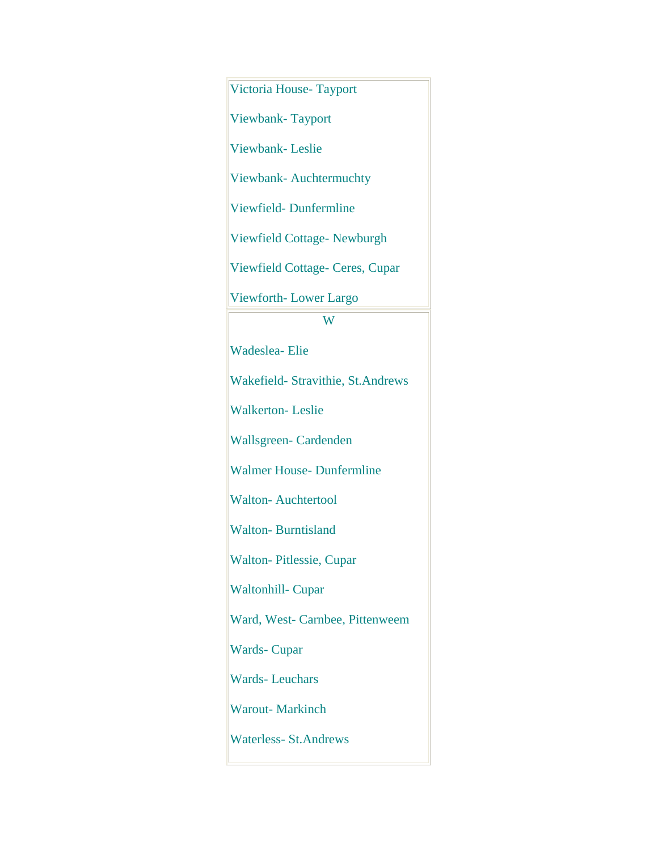Victoria House- Tayport

Viewbank- Tayport

Viewbank- Leslie

Viewbank- Auchtermuchty

Viewfield- Dunfermline

Viewfield Cottage- Newburgh

Viewfield Cottage- Ceres, Cupar

Viewforth- Lower Largo

## W

Wadeslea- Elie

Wakefield- Stravithie, St.Andrews

Walkerton- Leslie

Wallsgreen- Cardenden

Walmer House- Dunfermline

Walton- Auchtertool

Walton- Burntisland

Walton- Pitlessie, Cupar

Waltonhill- Cupar

Ward, West- Carnbee, Pittenweem

Wards- Cupar

Wards- Leuchars

Warout- Markinch

Waterless- St.Andrews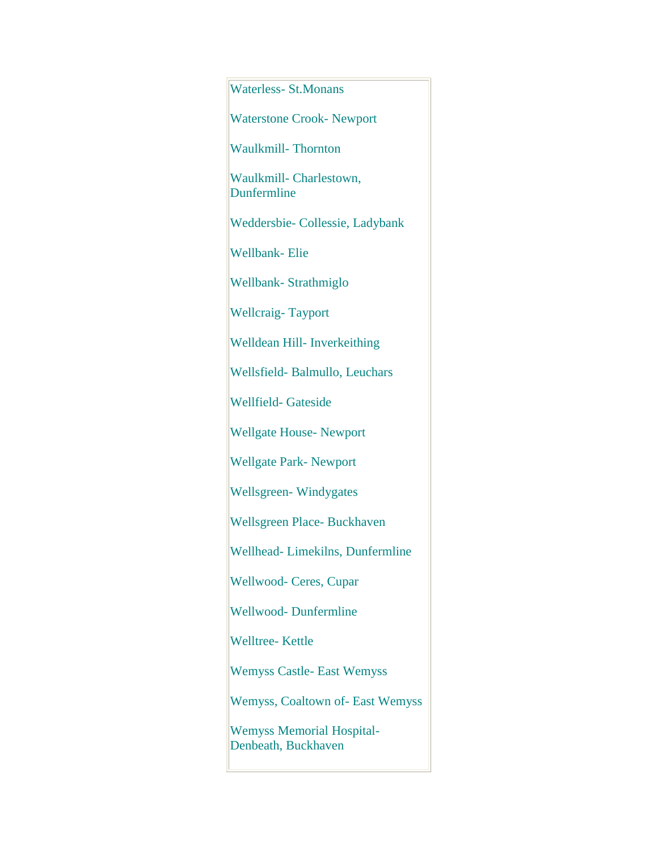| <b>Waterless-St.Monans</b>                              |
|---------------------------------------------------------|
| <b>Waterstone Crook- Newport</b>                        |
| <b>Waulkmill-Thornton</b>                               |
| Waulkmill- Charlestown,<br>Dunfermline                  |
| Weddersbie- Collessie, Ladybank                         |
| <b>Wellbank-Elie</b>                                    |
| Wellbank-Strathmiglo                                    |
| <b>Wellcraig-Tayport</b>                                |
| Welldean Hill- Inverkeithing                            |
| Wellsfield-Balmullo, Leuchars                           |
| <b>Wellfield- Gateside</b>                              |
| <b>Wellgate House- Newport</b>                          |
| <b>Wellgate Park-Newport</b>                            |
| <b>Wellsgreen-Windygates</b>                            |
| Wellsgreen Place- Buckhaven                             |
| Wellhead-Limekilns, Dunfermline                         |
| <b>Wellwood- Ceres, Cupar</b>                           |
| <b>Wellwood-Dunfermline</b>                             |
| <b>Welltree-Kettle</b>                                  |
| <b>Wemyss Castle- East Wemyss</b>                       |
| <b>Wemyss, Coaltown of-East Wemyss</b>                  |
| <b>Wemyss Memorial Hospital-</b><br>Denbeath, Buckhaven |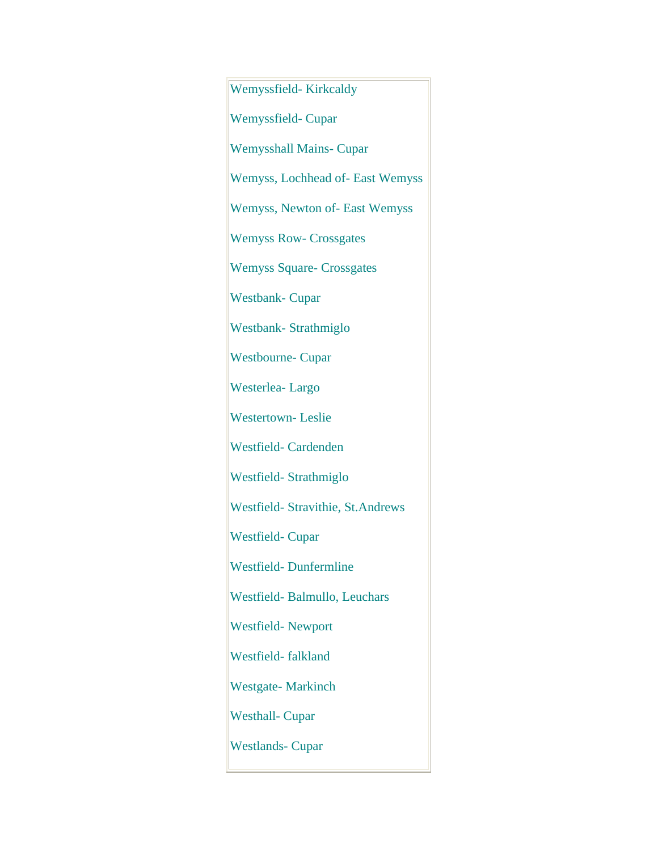Wemyssfield- Kirkcaldy Wemyssfield- Cupar Wemysshall Mains- Cupar Wemyss, Lochhead of- East Wemyss Wemyss, Newton of- East Wemyss Wemyss Row- Crossgates Wemyss Square- Crossgates Westbank- Cupar Westbank- Strathmiglo Westbourne- Cupar Westerlea- Largo Westertown- Leslie Westfield- Cardenden Westfield- Strathmiglo Westfield- Stravithie, St.Andrews Westfield- Cupar Westfield- Dunfermline Westfield- Balmullo, Leuchars Westfield- Newport Westfield- falkland Westgate- Markinch Westhall- Cupar Westlands- Cupar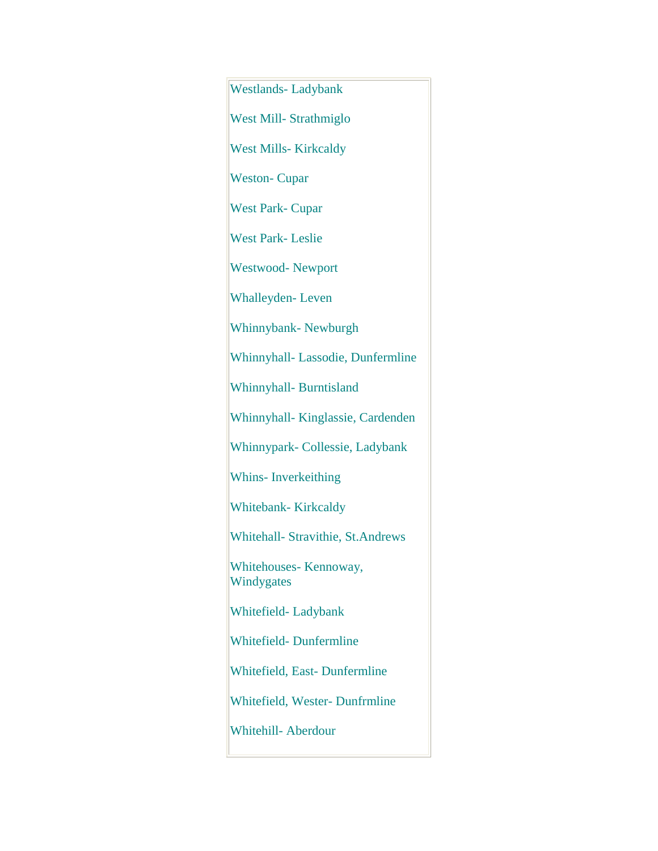Westlands- Ladybank West Mill- Strathmiglo West Mills- Kirkcaldy Weston- Cupar West Park- Cupar West Park- Leslie Westwood- Newport Whalleyden- Leven Whinnybank- Newburgh Whinnyhall- Lassodie, Dunfermline Whinnyhall- Burntisland Whinnyhall- Kinglassie, Cardenden Whinnypark- Collessie, Ladybank Whins- Inverkeithing Whitebank- Kirkcaldy Whitehall- Stravithie, St.Andrews Whitehouses- Kennoway, Windygates Whitefield- Ladybank Whitefield- Dunfermline Whitefield, East- Dunfermline Whitefield, Wester- Dunfrmline Whitehill- Aberdour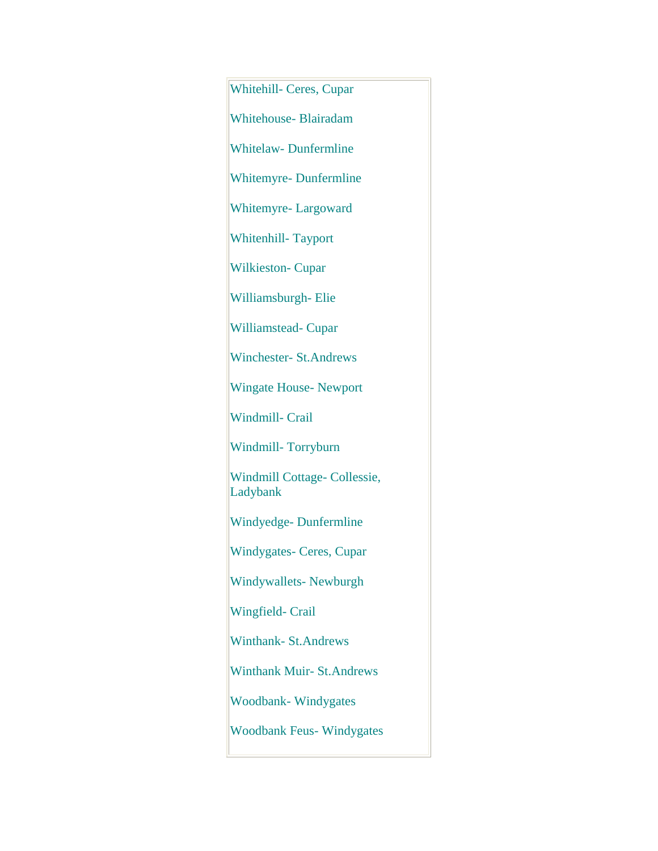Whitehill- Ceres, Cupar Whitehouse- Blairadam Whitelaw- Dunfermline Whitemyre- Dunfermline Whitemyre- Largoward Whitenhill- Tayport Wilkieston- Cupar Williamsburgh- Elie Williamstead- Cupar Winchester- St.Andrews Wingate House- Newport Windmill- Crail Windmill- Torryburn Windmill Cottage- Collessie, Ladybank Windyedge- Dunfermline Windygates- Ceres, Cupar Windywallets- Newburgh Wingfield- Crail Winthank- St.Andrews Winthank Muir- St.Andrews Woodbank- Windygates Woodbank Feus- Windygates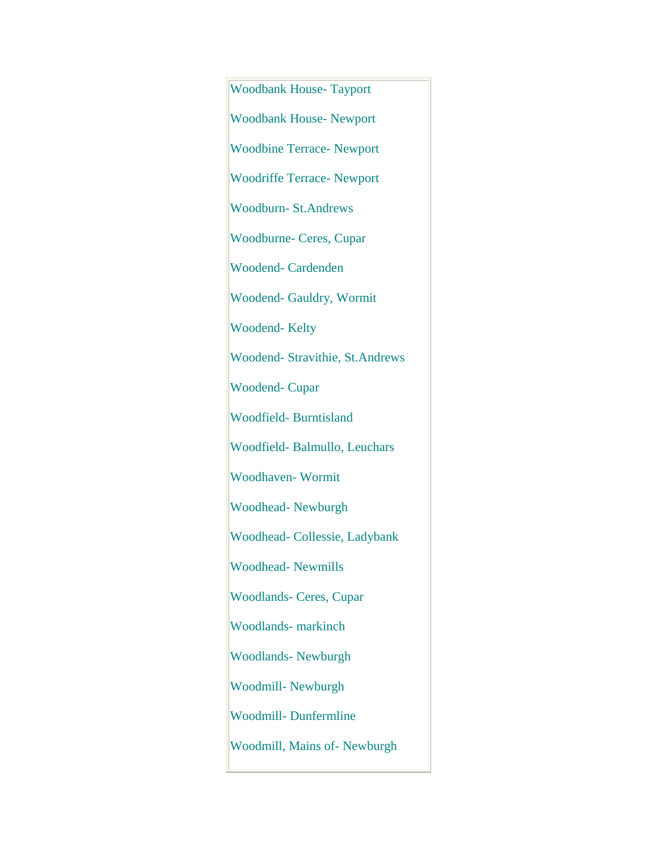Woodbank House- Tayport Woodbank House- Newport Woodbine Terrace- Newport Woodriffe Terrace- Newport Woodburn- St.Andrews Woodburne- Ceres, Cupar Woodend- Cardenden Woodend- Gauldry, Wormit Woodend- Kelty Woodend- Stravithie, St.Andrews Woodend- Cupar Woodfield- Burntisland Woodfield- Balmullo, Leuchars Woodhaven- Wormit Woodhead- Newburgh Woodhead- Collessie, Ladybank Woodhead- Newmills Woodlands- Ceres, Cupar Woodlands- markinch Woodlands- Newburgh Woodmill- Newburgh Woodmill- Dunfermline Woodmill, Mains of- Newburgh